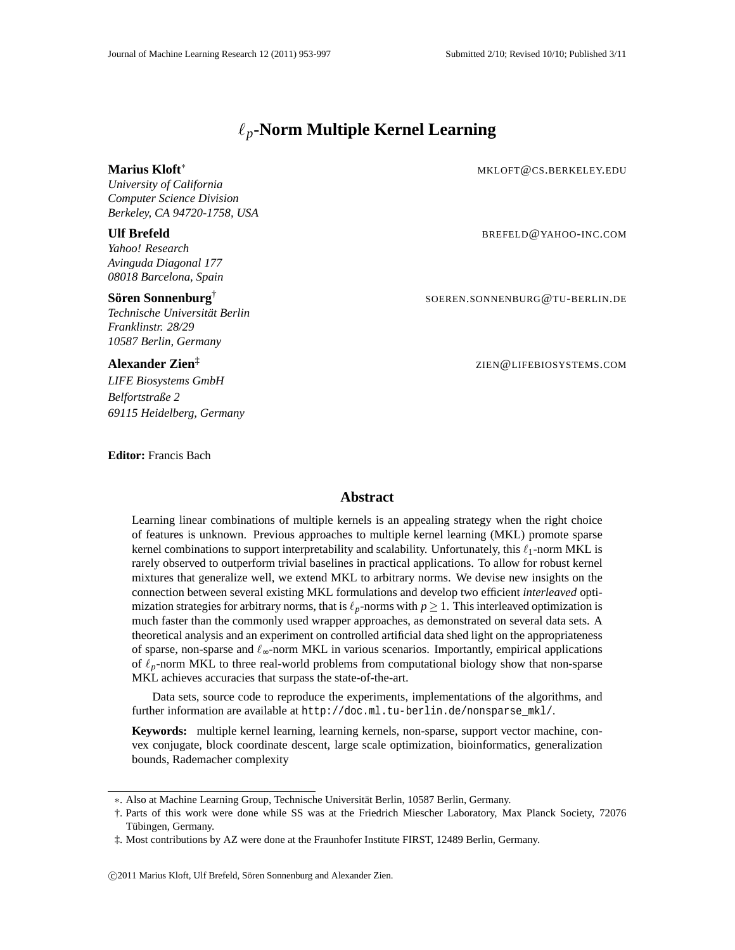# ℓ*p***-Norm Multiple Kernel Learning**

*University of California Computer Science Division Berkeley, CA 94720-1758, USA*

*Yahoo! Research Avinguda Diagonal 177 08018 Barcelona, Spain*

# $\mathbf S$ ören Sonnenburg $^\dagger$

*Technische Universitat Berlin ¨ Franklinstr. 28/29 10587 Berlin, Germany*

# **Alexander Zien**‡

*LIFE Biosystems GmbH Belfortstraße 2 69115 Heidelberg, Germany*

**Editor:** Francis Bach

#### **Marius Kloft**<sup>∗</sup> MKLOFT@CS.BERKELEY.EDU

**Ulf Brefeld** BREFELD@YAHOO-INC.COM

SOEREN.SONNENBURG@TU-BERLIN.DE

ZIEN@LIFEBIOSYSTEMS.COM

#### **Abstract**

Learning linear combinations of multiple kernels is an appealing strategy when the right choice of features is unknown. Previous approaches to multiple kernel learning (MKL) promote sparse kernel combinations to support interpretability and scalability. Unfortunately, this  $\ell_1$ -norm MKL is rarely observed to outperform trivial baselines in practical applications. To allow for robust kernel mixtures that generalize well, we extend MKL to arbitrary norms. We devise new insights on the connection between several existing MKL formulations and develop two efficient *interleaved* optimization strategies for arbitrary norms, that is  $\ell_p$ -norms with  $p \geq 1$ . This interleaved optimization is much faster than the commonly used wrapper approaches, as demonstrated on several data sets. A theoretical analysis and an experiment on controlled artificial data shed light on the appropriateness of sparse, non-sparse and  $\ell_{\infty}$ -norm MKL in various scenarios. Importantly, empirical applications of  $\ell_p$ -norm MKL to three real-world problems from computational biology show that non-sparse MKL achieves accuracies that surpass the state-of-the-art.

Data sets, source code to reproduce the experiments, implementations of the algorithms, and further information are available at http://doc.ml.tu-berlin.de/nonsparse\_mkl/.

**Keywords:** multiple kernel learning, learning kernels, non-sparse, support vector machine, convex conjugate, block coordinate descent, large scale optimization, bioinformatics, generalization bounds, Rademacher complexity

c 2011 Marius Kloft, Ulf Brefeld, Soren Sonnenburg and Alexander Zien. ¨

<sup>∗</sup>. Also at Machine Learning Group, Technische Universitat Berlin, 10587 Berlin, Germany. ¨

<sup>†.</sup> Parts of this work were done while SS was at the Friedrich Miescher Laboratory, Max Planck Society, 72076 Tübingen, Germany.

<sup>‡.</sup> Most contributions by AZ were done at the Fraunhofer Institute FIRST, 12489 Berlin, Germany.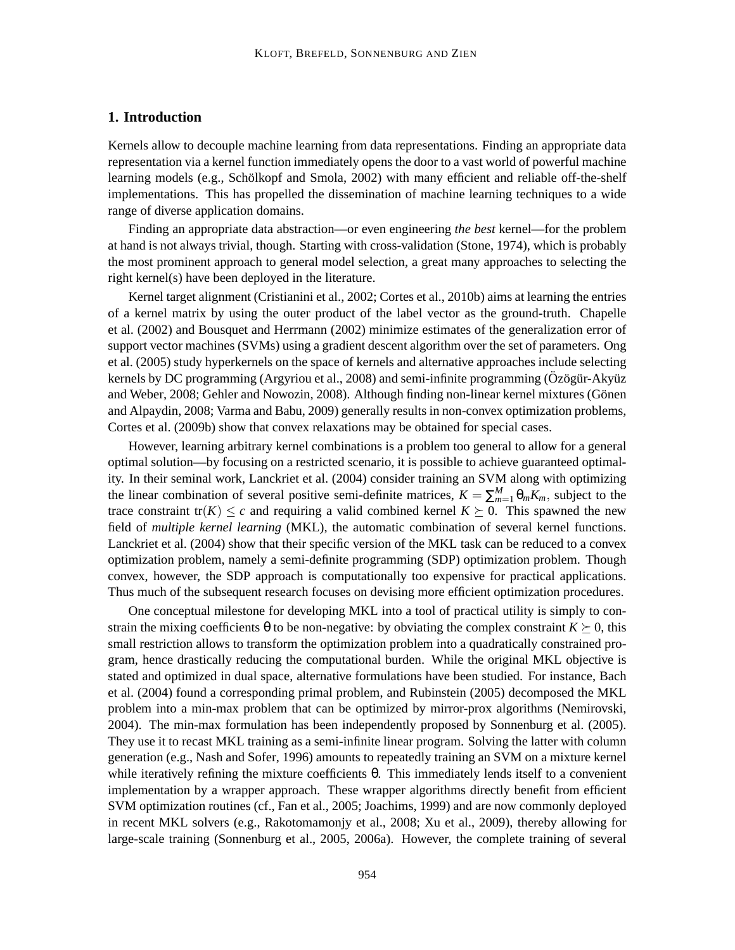# **1. Introduction**

Kernels allow to decouple machine learning from data representations. Finding an appropriate data representation via a kernel function immediately opens the door to a vast world of powerful machine learning models (e.g., Schölkopf and Smola, 2002) with many efficient and reliable off-the-shelf implementations. This has propelled the dissemination of machine learning techniques to a wide range of diverse application domains.

Finding an appropriate data abstraction—or even engineering *the best* kernel—for the problem at hand is not always trivial, though. Starting with cross-validation (Stone, 1974), which is probably the most prominent approach to general model selection, a great many approaches to selecting the right kernel(s) have been deployed in the literature.

Kernel target alignment (Cristianini et al., 2002; Cortes et al., 2010b) aims at learning the entries of a kernel matrix by using the outer product of the label vector as the ground-truth. Chapelle et al. (2002) and Bousquet and Herrmann (2002) minimize estimates of the generalization error of support vector machines (SVMs) using a gradient descent algorithm over the set of parameters. Ong et al. (2005) study hyperkernels on the space of kernels and alternative approaches include selecting kernels by DC programming (Argyriou et al., 2008) and semi-infinite programming (Özögür-Akyüz and Weber, 2008; Gehler and Nowozin, 2008). Although finding non-linear kernel mixtures (Gönen and Alpaydin, 2008; Varma and Babu, 2009) generally results in non-convex optimization problems, Cortes et al. (2009b) show that convex relaxations may be obtained for special cases.

However, learning arbitrary kernel combinations is a problem too general to allow for a general optimal solution—by focusing on a restricted scenario, it is possible to achieve guaranteed optimality. In their seminal work, Lanckriet et al. (2004) consider training an SVM along with optimizing the linear combination of several positive semi-definite matrices,  $K = \sum_{m=1}^{M} \theta_m K_m$ , subject to the trace constraint tr( $K$ )  $\leq c$  and requiring a valid combined kernel  $K \succeq 0$ . This spawned the new field of *multiple kernel learning* (MKL), the automatic combination of several kernel functions. Lanckriet et al. (2004) show that their specific version of the MKL task can be reduced to a convex optimization problem, namely a semi-definite programming (SDP) optimization problem. Though convex, however, the SDP approach is computationally too expensive for practical applications. Thus much of the subsequent research focuses on devising more efficient optimization procedures.

One conceptual milestone for developing MKL into a tool of practical utility is simply to constrain the mixing coefficients  $\theta$  to be non-negative: by obviating the complex constraint  $K \succeq 0$ , this small restriction allows to transform the optimization problem into a quadratically constrained program, hence drastically reducing the computational burden. While the original MKL objective is stated and optimized in dual space, alternative formulations have been studied. For instance, Bach et al. (2004) found a corresponding primal problem, and Rubinstein (2005) decomposed the MKL problem into a min-max problem that can be optimized by mirror-prox algorithms (Nemirovski, 2004). The min-max formulation has been independently proposed by Sonnenburg et al. (2005). They use it to recast MKL training as a semi-infinite linear program. Solving the latter with column generation (e.g., Nash and Sofer, 1996) amounts to repeatedly training an SVM on a mixture kernel while iteratively refining the mixture coefficients  $\theta$ . This immediately lends itself to a convenient implementation by a wrapper approach. These wrapper algorithms directly benefit from efficient SVM optimization routines (cf., Fan et al., 2005; Joachims, 1999) and are now commonly deployed in recent MKL solvers (e.g., Rakotomamonjy et al., 2008; Xu et al., 2009), thereby allowing for large-scale training (Sonnenburg et al., 2005, 2006a). However, the complete training of several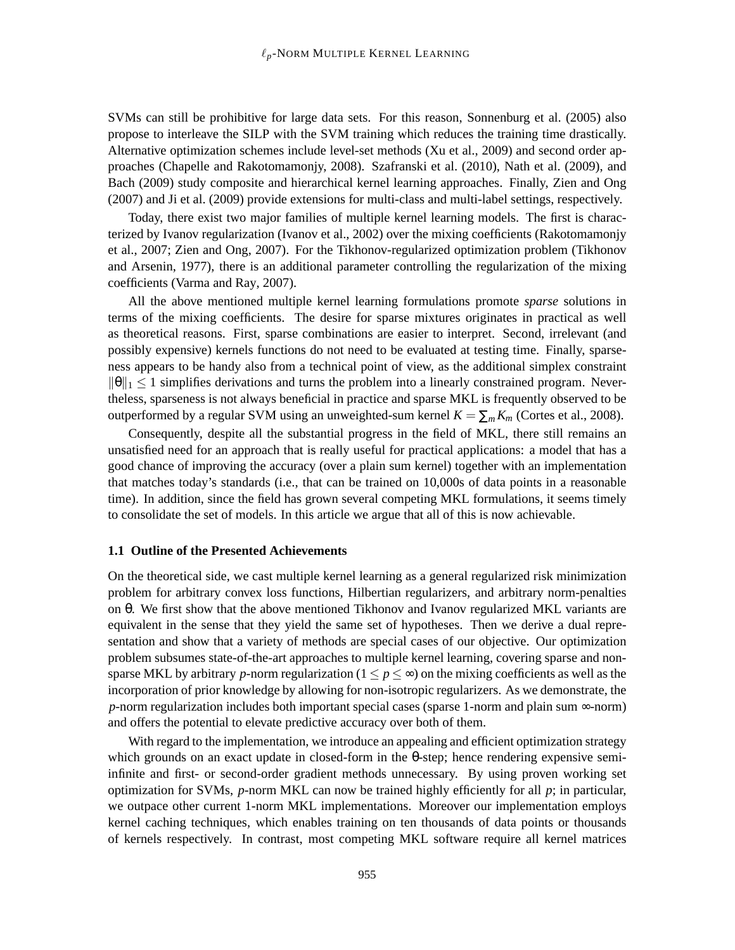SVMs can still be prohibitive for large data sets. For this reason, Sonnenburg et al. (2005) also propose to interleave the SILP with the SVM training which reduces the training time drastically. Alternative optimization schemes include level-set methods (Xu et al., 2009) and second order approaches (Chapelle and Rakotomamonjy, 2008). Szafranski et al. (2010), Nath et al. (2009), and Bach (2009) study composite and hierarchical kernel learning approaches. Finally, Zien and Ong (2007) and Ji et al. (2009) provide extensions for multi-class and multi-label settings, respectively.

Today, there exist two major families of multiple kernel learning models. The first is characterized by Ivanov regularization (Ivanov et al., 2002) over the mixing coefficients (Rakotomamonjy et al., 2007; Zien and Ong, 2007). For the Tikhonov-regularized optimization problem (Tikhonov and Arsenin, 1977), there is an additional parameter controlling the regularization of the mixing coefficients (Varma and Ray, 2007).

All the above mentioned multiple kernel learning formulations promote *sparse* solutions in terms of the mixing coefficients. The desire for sparse mixtures originates in practical as well as theoretical reasons. First, sparse combinations are easier to interpret. Second, irrelevant (and possibly expensive) kernels functions do not need to be evaluated at testing time. Finally, sparseness appears to be handy also from a technical point of view, as the additional simplex constraint  $\|\theta\|_1 \leq 1$  simplifies derivations and turns the problem into a linearly constrained program. Nevertheless, sparseness is not always beneficial in practice and sparse MKL is frequently observed to be outperformed by a regular SVM using an unweighted-sum kernel  $K = \sum_m K_m$  (Cortes et al., 2008).

Consequently, despite all the substantial progress in the field of MKL, there still remains an unsatisfied need for an approach that is really useful for practical applications: a model that has a good chance of improving the accuracy (over a plain sum kernel) together with an implementation that matches today's standards (i.e., that can be trained on 10,000s of data points in a reasonable time). In addition, since the field has grown several competing MKL formulations, it seems timely to consolidate the set of models. In this article we argue that all of this is now achievable.

#### **1.1 Outline of the Presented Achievements**

On the theoretical side, we cast multiple kernel learning as a general regularized risk minimization problem for arbitrary convex loss functions, Hilbertian regularizers, and arbitrary norm-penalties on θ. We first show that the above mentioned Tikhonov and Ivanov regularized MKL variants are equivalent in the sense that they yield the same set of hypotheses. Then we derive a dual representation and show that a variety of methods are special cases of our objective. Our optimization problem subsumes state-of-the-art approaches to multiple kernel learning, covering sparse and nonsparse MKL by arbitrary *p*-norm regularization ( $1 \le p \le \infty$ ) on the mixing coefficients as well as the incorporation of prior knowledge by allowing for non-isotropic regularizers. As we demonstrate, the *p*-norm regularization includes both important special cases (sparse 1-norm and plain sum ∞-norm) and offers the potential to elevate predictive accuracy over both of them.

With regard to the implementation, we introduce an appealing and efficient optimization strategy which grounds on an exact update in closed-form in the θ-step; hence rendering expensive semiinfinite and first- or second-order gradient methods unnecessary. By using proven working set optimization for SVMs, *p*-norm MKL can now be trained highly efficiently for all *p*; in particular, we outpace other current 1-norm MKL implementations. Moreover our implementation employs kernel caching techniques, which enables training on ten thousands of data points or thousands of kernels respectively. In contrast, most competing MKL software require all kernel matrices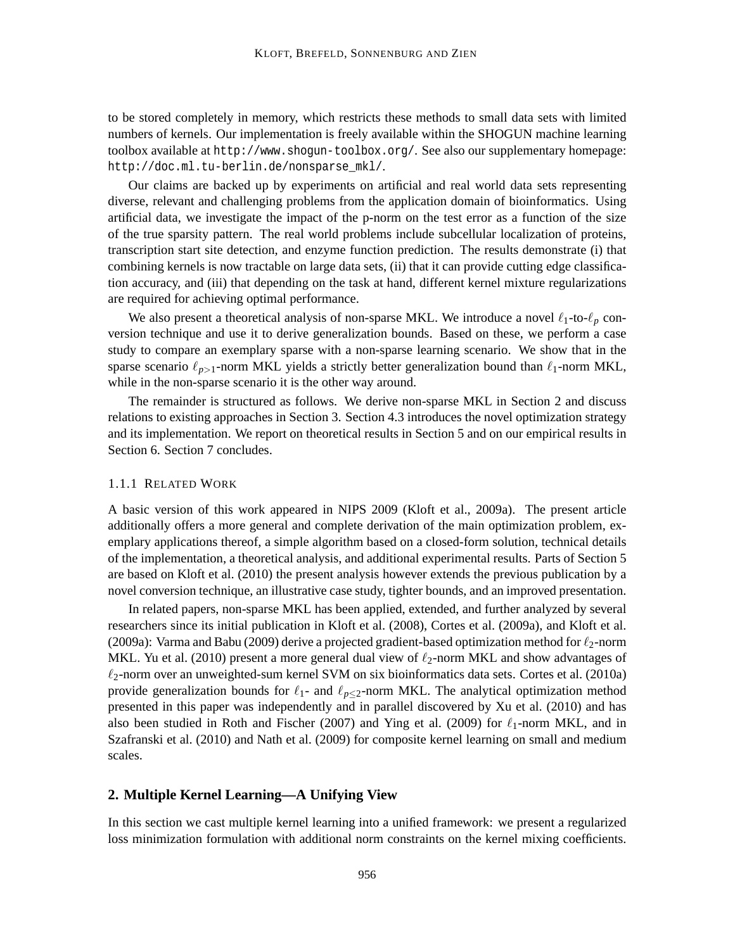to be stored completely in memory, which restricts these methods to small data sets with limited numbers of kernels. Our implementation is freely available within the SHOGUN machine learning toolbox available at http://www.shogun-toolbox.org/. See also our supplementary homepage: http://doc.ml.tu-berlin.de/nonsparse\_mkl/.

Our claims are backed up by experiments on artificial and real world data sets representing diverse, relevant and challenging problems from the application domain of bioinformatics. Using artificial data, we investigate the impact of the p-norm on the test error as a function of the size of the true sparsity pattern. The real world problems include subcellular localization of proteins, transcription start site detection, and enzyme function prediction. The results demonstrate (i) that combining kernels is now tractable on large data sets, (ii) that it can provide cutting edge classification accuracy, and (iii) that depending on the task at hand, different kernel mixture regularizations are required for achieving optimal performance.

We also present a theoretical analysis of non-sparse MKL. We introduce a novel  $\ell_1$ -to- $\ell_p$  conversion technique and use it to derive generalization bounds. Based on these, we perform a case study to compare an exemplary sparse with a non-sparse learning scenario. We show that in the sparse scenario  $\ell_{p>1}$ -norm MKL yields a strictly better generalization bound than  $\ell_1$ -norm MKL, while in the non-sparse scenario it is the other way around.

The remainder is structured as follows. We derive non-sparse MKL in Section 2 and discuss relations to existing approaches in Section 3. Section 4.3 introduces the novel optimization strategy and its implementation. We report on theoretical results in Section 5 and on our empirical results in Section 6. Section 7 concludes.

#### 1.1.1 RELATED WORK

A basic version of this work appeared in NIPS 2009 (Kloft et al., 2009a). The present article additionally offers a more general and complete derivation of the main optimization problem, exemplary applications thereof, a simple algorithm based on a closed-form solution, technical details of the implementation, a theoretical analysis, and additional experimental results. Parts of Section 5 are based on Kloft et al. (2010) the present analysis however extends the previous publication by a novel conversion technique, an illustrative case study, tighter bounds, and an improved presentation.

In related papers, non-sparse MKL has been applied, extended, and further analyzed by several researchers since its initial publication in Kloft et al. (2008), Cortes et al. (2009a), and Kloft et al. (2009a): Varma and Babu (2009) derive a projected gradient-based optimization method for  $\ell_2$ -norm MKL. Yu et al. (2010) present a more general dual view of  $\ell_2$ -norm MKL and show advantages of  $\ell_2$ -norm over an unweighted-sum kernel SVM on six bioinformatics data sets. Cortes et al. (2010a) provide generalization bounds for  $\ell_1$ - and  $\ell_{p\leq 2}$ -norm MKL. The analytical optimization method presented in this paper was independently and in parallel discovered by Xu et al. (2010) and has also been studied in Roth and Fischer (2007) and Ying et al. (2009) for  $\ell_1$ -norm MKL, and in Szafranski et al. (2010) and Nath et al. (2009) for composite kernel learning on small and medium scales.

# **2. Multiple Kernel Learning—A Unifying View**

In this section we cast multiple kernel learning into a unified framework: we present a regularized loss minimization formulation with additional norm constraints on the kernel mixing coefficients.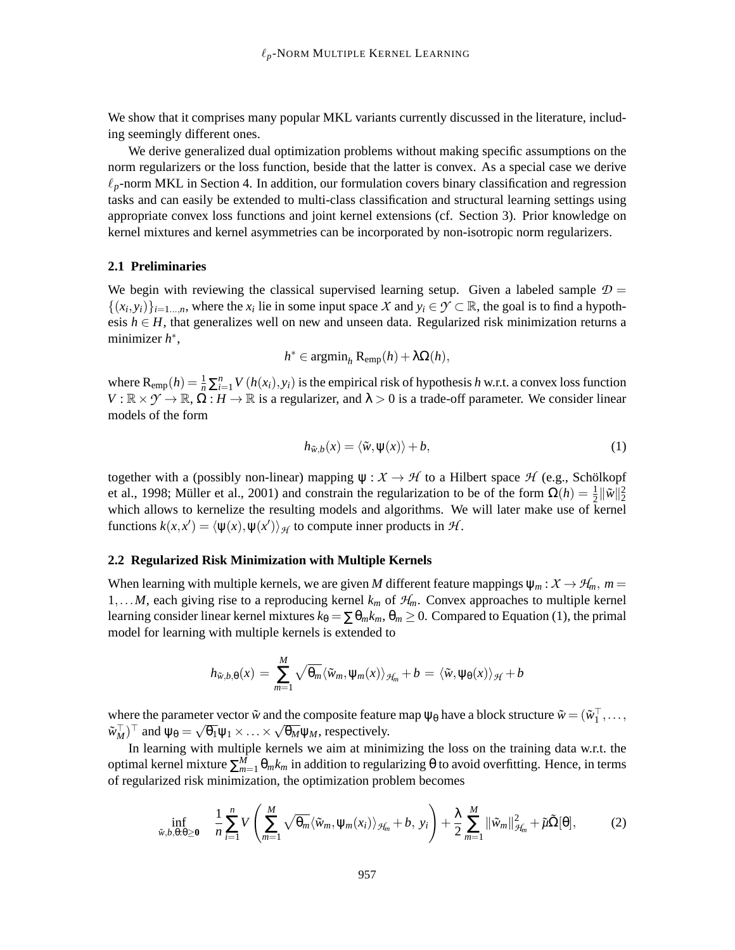We show that it comprises many popular MKL variants currently discussed in the literature, including seemingly different ones.

We derive generalized dual optimization problems without making specific assumptions on the norm regularizers or the loss function, beside that the latter is convex. As a special case we derive  $\ell_p$ -norm MKL in Section 4. In addition, our formulation covers binary classification and regression tasks and can easily be extended to multi-class classification and structural learning settings using appropriate convex loss functions and joint kernel extensions (cf. Section 3). Prior knowledge on kernel mixtures and kernel asymmetries can be incorporated by non-isotropic norm regularizers.

# **2.1 Preliminaries**

We begin with reviewing the classical supervised learning setup. Given a labeled sample  $\mathcal{D} =$  $\{(x_i, y_i)\}_{i=1\ldots,n}$ , where the  $x_i$  lie in some input space X and  $y_i \in \mathcal{Y} \subset \mathbb{R}$ , the goal is to find a hypothesis  $h \in H$ , that generalizes well on new and unseen data. Regularized risk minimization returns a minimizer *h* ∗ ,

$$
h^* \in \operatorname{argmin}_h \mathrm{R}_{\text{emp}}(h) + \lambda \Omega(h),
$$

where  $R_{emp}(h) = \frac{1}{n} \sum_{i=1}^{n} V(h(x_i), y_i)$  is the empirical risk of hypothesis *h* w.r.t. a convex loss function  $V : \mathbb{R} \times \gamma \to \mathbb{R}, \Omega : H \to \mathbb{R}$  is a regularizer, and  $\lambda > 0$  is a trade-off parameter. We consider linear models of the form

$$
h_{\tilde{w},b}(x) = \langle \tilde{w}, \psi(x) \rangle + b,\tag{1}
$$

together with a (possibly non-linear) mapping  $\psi : \mathcal{X} \to \mathcal{H}$  to a Hilbert space  $\mathcal{H}$  (e.g., Schölkopf et al., 1998; Müller et al., 2001) and constrain the regularization to be of the form  $\Omega(h) = \frac{1}{2} ||\tilde{w}||_2^2$ which allows to kernelize the resulting models and algorithms. We will later make use of kernel functions  $k(x, x') = \langle \psi(x), \psi(x') \rangle_{\mathcal{H}}$  to compute inner products in  $\mathcal{H}$ .

### **2.2 Regularized Risk Minimization with Multiple Kernels**

When learning with multiple kernels, we are given *M* different feature mappings  $\psi_m : X \to \mathcal{H}_m$ ,  $m =$ 1,...*M*, each giving rise to a reproducing kernel  $k_m$  of  $H_m$ . Convex approaches to multiple kernel learning consider linear kernel mixtures  $k_{\theta} = \sum \theta_m k_m$ ,  $\theta_m \ge 0$ . Compared to Equation (1), the primal model for learning with multiple kernels is extended to

$$
h_{\tilde{w},b,\theta}(x) = \sum_{m=1}^{M} \sqrt{\theta_m} \langle \tilde{w}_m, \psi_m(x) \rangle_{\mathcal{H}_m} + b = \langle \tilde{w}, \psi_{\theta}(x) \rangle_{\mathcal{H}} + b
$$

where the parameter vector  $\tilde{w}$  and the composite feature map  $\psi_{\theta}$  have a block structure  $\tilde{w} = (\tilde{w}_1^\dagger, \dots, \tilde{w}_n)$  $\tilde{w}_M^{\top}$  and  $\psi_\theta = \sqrt{\theta_1} \psi_1 \times \ldots \times \sqrt{\theta_M} \psi_M$ , respectively.

In learning with multiple kernels we aim at minimizing the loss on the training data w.r.t. the optimal kernel mixture  $\sum_{m=1}^{M} \theta_m k_m$  in addition to regularizing θ to avoid overfitting. Hence, in terms of regularized risk minimization, the optimization problem becomes

$$
\inf_{\tilde{w},b,\theta:\theta\geq 0} \quad \frac{1}{n}\sum_{i=1}^n V\left(\sum_{m=1}^M \sqrt{\theta_m} \langle \tilde{w}_m,\psi_m(x_i)\rangle_{\mathcal{H}_m} + b,\ y_i\right) + \frac{\lambda}{2}\sum_{m=1}^M \|\tilde{w}_m\|_{\mathcal{H}_m}^2 + \tilde{\mu}\tilde{\Omega}[\theta],\tag{2}
$$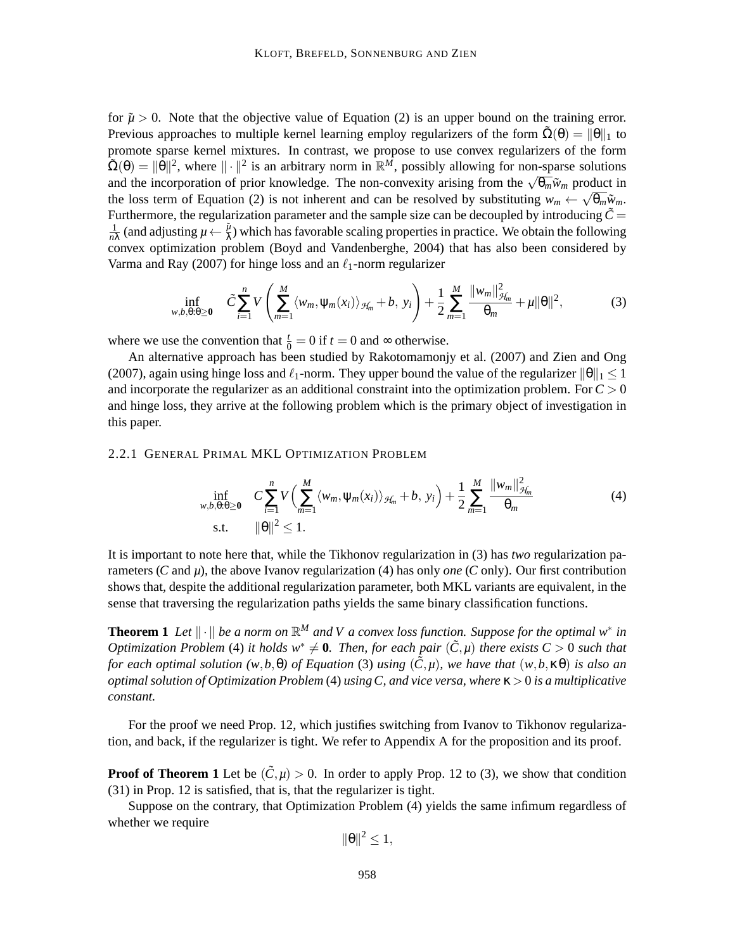for  $\tilde{\mu} > 0$ . Note that the objective value of Equation (2) is an upper bound on the training error. Previous approaches to multiple kernel learning employ regularizers of the form  $\tilde{\Omega}(\theta) = ||\theta||_1$  to promote sparse kernel mixtures. In contrast, we propose to use convex regularizers of the form  $\tilde{\Omega}(\theta) = \|\theta\|^2$ , where  $\|\cdot\|^2$  is an arbitrary norm in  $\mathbb{R}^M$ , possibly allowing for non-sparse solutions and the incorporation of prior knowledge. The non-convexity arising from the  $\sqrt{\theta_m}$ *w*<sub>*m*</sub> product in the loss term of Equation (2) is not inherent and can be resolved by substituting  $w_m \leftarrow \sqrt{\theta_m} \tilde{w}_m$ . Furthermore, the regularization parameter and the sample size can be decoupled by introducing  $\tilde{C}$  = 1  $\frac{1}{n\lambda}$  (and adjusting  $\mu \leftarrow \frac{\tilde{\mu}}{\lambda}$ ) which has favorable scaling properties in practice. We obtain the following convex optimization problem (Boyd and Vandenberghe, 2004) that has also been considered by Varma and Ray (2007) for hinge loss and an  $\ell_1$ -norm regularizer

$$
\inf_{w,b,\theta:\theta\geq 0} \quad \tilde{C} \sum_{i=1}^n V\left(\sum_{m=1}^M \langle w_m, \psi_m(x_i) \rangle_{\mathcal{H}_m} + b, \ y_i\right) + \frac{1}{2} \sum_{m=1}^M \frac{\|w_m\|_{\mathcal{H}_m}^2}{\theta_m} + \mu \|\theta\|^2,\tag{3}
$$

where we use the convention that  $\frac{t}{0} = 0$  if  $t = 0$  and  $\infty$  otherwise.

An alternative approach has been studied by Rakotomamonjy et al. (2007) and Zien and Ong (2007), again using hinge loss and  $\ell_1$ -norm. They upper bound the value of the regularizer  $\|\theta\|_1 \leq 1$ and incorporate the regularizer as an additional constraint into the optimization problem. For *C* > 0 and hinge loss, they arrive at the following problem which is the primary object of investigation in this paper.

#### 2.2.1 GENERAL PRIMAL MKL OPTIMIZATION PROBLEM

$$
\inf_{w,b,\theta:\theta\geq 0} \quad C \sum_{i=1}^{n} V\Big(\sum_{m=1}^{M} \langle w_m, \psi_m(x_i) \rangle_{\mathcal{H}_m} + b, \ y_i\Big) + \frac{1}{2} \sum_{m=1}^{M} \frac{\|w_m\|_{\mathcal{H}_m}^2}{\theta_m} \tag{4}
$$
\n
$$
\text{s.t.} \quad \|\theta\|^2 \leq 1.
$$

It is important to note here that, while the Tikhonov regularization in (3) has *two* regularization parameters (*C* and *µ*), the above Ivanov regularization (4) has only *one* (*C* only). Our first contribution shows that, despite the additional regularization parameter, both MKL variants are equivalent, in the sense that traversing the regularization paths yields the same binary classification functions.

**Theorem 1** Let  $\|\cdot\|$  be a norm on  $\mathbb{R}^M$  and V a convex loss function. Suppose for the optimal  $w^*$  in *Optimization Problem* (4) *it holds*  $w^* \neq 0$ *. Then, for each pair* ( $\tilde{C}, \mu$ ) *there exists*  $C > 0$  *such that for each optimal solution*  $(w, b, \theta)$  *of Equation* (3) *using*  $(\tilde{C}, \mu)$ *, we have that*  $(w, b, \kappa\theta)$  *is also an optimal solution of Optimization Problem* (4) *using C, and vice versa, where* κ > 0 *is a multiplicative constant.*

For the proof we need Prop. 12, which justifies switching from Ivanov to Tikhonov regularization, and back, if the regularizer is tight. We refer to Appendix A for the proposition and its proof.

**Proof of Theorem 1** Let be  $(\tilde{C}, \mu) > 0$ . In order to apply Prop. 12 to (3), we show that condition (31) in Prop. 12 is satisfied, that is, that the regularizer is tight.

Suppose on the contrary, that Optimization Problem (4) yields the same infimum regardless of whether we require

$$
\|\theta\|^2\leq 1,
$$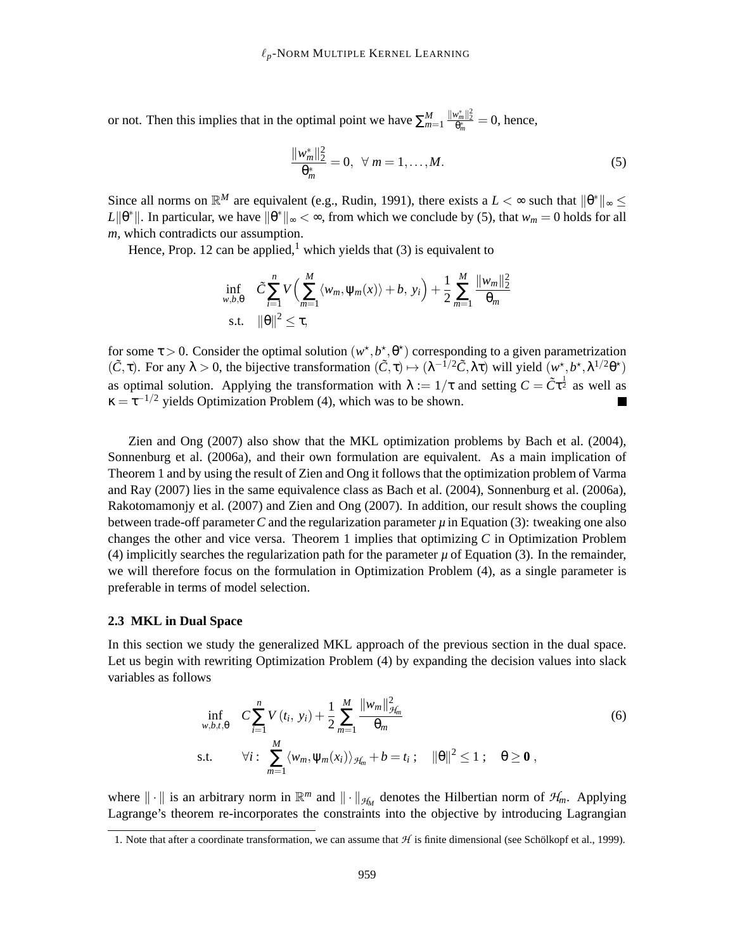or not. Then this implies that in the optimal point we have  $\sum_{m=1}^{M} \frac{||w_m^*||_2^2}{\theta_m^*} = 0$ , hence,

$$
\frac{\|w_m^*\|_2^2}{\theta_m^*} = 0, \ \ \forall \ m = 1, \dots, M. \tag{5}
$$

Since all norms on  $\mathbb{R}^M$  are equivalent (e.g., Rudin, 1991), there exists a  $L < \infty$  such that  $\|\theta^*\|_{\infty} \le$  $L\|\theta^*\|$ . In particular, we have  $\|\theta^*\|_{\infty} < \infty$ , from which we conclude by (5), that  $w_m = 0$  holds for all *m*, which contradicts our assumption.

Hence, Prop. 12 can be applied,<sup>1</sup> which yields that (3) is equivalent to

$$
\inf_{w,b,\theta} \quad \tilde{C} \sum_{i=1}^{n} V\Big(\sum_{m=1}^{M} \langle w_m, \psi_m(x) \rangle + b, \ y_i\Big) + \frac{1}{2} \sum_{m=1}^{M} \frac{||w_m||_2^2}{\theta_m}
$$
\n
$$
\text{s.t.} \quad ||\theta||^2 \le \tau,
$$

for some  $\tau > 0$ . Consider the optimal solution  $(w^*, b^*, \theta^*)$  corresponding to a given parametrization  $(\tilde{C}, \tau)$ . For any  $\lambda > 0$ , the bijective transformation  $(\tilde{C}, \tau) \mapsto (\lambda^{-1/2} \tilde{C}, \lambda \tau)$  will yield  $(w^*, b^*, \lambda^{1/2} \theta^*)$ as optimal solution. Applying the transformation with  $\lambda := 1/\tau$  and setting  $C = \tilde{C}\tau^{\frac{1}{2}}$  as well as  $\kappa = \tau^{-1/2}$  yields Optimization Problem (4), which was to be shown.

Zien and Ong (2007) also show that the MKL optimization problems by Bach et al. (2004), Sonnenburg et al. (2006a), and their own formulation are equivalent. As a main implication of Theorem 1 and by using the result of Zien and Ong it follows that the optimization problem of Varma and Ray (2007) lies in the same equivalence class as Bach et al. (2004), Sonnenburg et al. (2006a), Rakotomamonjy et al. (2007) and Zien and Ong (2007). In addition, our result shows the coupling between trade-off parameter*C* and the regularization parameter *µ* in Equation (3): tweaking one also changes the other and vice versa. Theorem 1 implies that optimizing *C* in Optimization Problem (4) implicitly searches the regularization path for the parameter  $\mu$  of Equation (3). In the remainder, we will therefore focus on the formulation in Optimization Problem (4), as a single parameter is preferable in terms of model selection.

## **2.3 MKL in Dual Space**

In this section we study the generalized MKL approach of the previous section in the dual space. Let us begin with rewriting Optimization Problem (4) by expanding the decision values into slack variables as follows

$$
\inf_{w,b,t,\theta} C \sum_{i=1}^{n} V(t_i, y_i) + \frac{1}{2} \sum_{m=1}^{M} \frac{\|w_m\|_{\mathcal{H}_m}^2}{\theta_m}
$$
\ns.t. 
$$
\forall i: \sum_{m=1}^{M} \langle w_m, \psi_m(x_i) \rangle_{\mathcal{H}_m} + b = t_i; \quad ||\theta||^2 \le 1; \quad \theta \ge \mathbf{0},
$$
\n(6)

where  $\|\cdot\|$  is an arbitrary norm in  $\mathbb{R}^m$  and  $\|\cdot\|_{\mathcal{H}_M}$  denotes the Hilbertian norm of  $\mathcal{H}_m$ . Applying Lagrange's theorem re-incorporates the constraints into the objective by introducing Lagrangian

<sup>1.</sup> Note that after a coordinate transformation, we can assume that  $H$  is finite dimensional (see Schölkopf et al., 1999).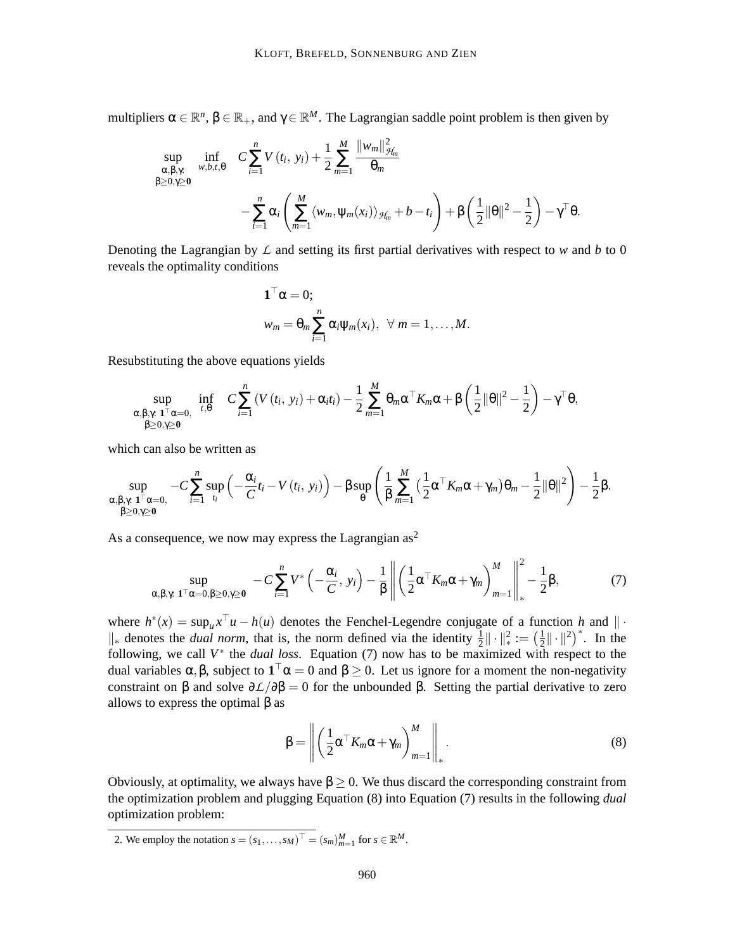multipliers  $\alpha \in \mathbb{R}^n$ ,  $\beta \in \mathbb{R}_+$ , and  $\gamma \in \mathbb{R}^M$ . The Lagrangian saddle point problem is then given by

$$
\sup_{\substack{\alpha,\beta,\gamma:\ \beta>0\\ \beta\geq 0,\gamma\geq 0}} \inf_{w,b,t,\theta} C \sum_{i=1}^n V(t_i, y_i) + \frac{1}{2} \sum_{m=1}^M \frac{||w_m||_{\mathcal{H}_m}^2}{\theta_m} \n- \sum_{i=1}^n \alpha_i \left( \sum_{m=1}^M \langle w_m, \psi_m(x_i) \rangle_{\mathcal{H}_m} + b - t_i \right) + \beta \left( \frac{1}{2} ||\theta||^2 - \frac{1}{2} \right) - \gamma^{\top} \theta.
$$

Denoting the Lagrangian by  $\mathcal L$  and setting its first partial derivatives with respect to  $w$  and  $b$  to 0 reveals the optimality conditions

$$
\mathbf{1}^{\top} \alpha = 0;
$$
  

$$
w_m = \theta_m \sum_{i=1}^n \alpha_i \psi_m(x_i), \ \forall m = 1, ..., M.
$$

Resubstituting the above equations yields

$$
\sup_{\substack{\alpha,\beta,\gamma:\mathbf{1}^\top\alpha=0,\quad t,\theta\\ \beta\geq 0,\gamma\geq 0}} \inf_{t,\theta} C \sum_{i=1}^n \left(V(t_i,\ y_i) + \alpha_i t_i\right) - \frac{1}{2} \sum_{m=1}^M \theta_m \alpha^\top K_m \alpha + \beta \left(\frac{1}{2} \|\theta\|^2 - \frac{1}{2}\right) - \gamma^\top \theta,
$$

which can also be written as

$$
\sup_{\substack{\alpha,\beta,\gamma\;\; \mathbf{1}^\top\alpha=0,\\ \beta\geq 0,\gamma\geq \mathbf{0}}}-C\sum_{i=1}^n\sup_{t_i}\left(-\frac{\alpha_i}{C}t_i-V\left(t_i,\;y_i\right)\right)-\beta\sup_{\theta}\left(\frac{1}{\beta}\sum_{m=1}^M\big(\frac{1}{2}\alpha^\top K_m\alpha+\gamma_m\big)\theta_m-\frac{1}{2}\|\theta\|^2\right)-\frac{1}{2}\beta.
$$

As a consequence, we now may express the Lagrangian  $as^2$ 

$$
\sup_{\alpha,\beta,\gamma:\mathbf{1}^\top\alpha=0,\beta\geq 0,\gamma\geq\mathbf{0}} -C\sum_{i=1}^n V^*\left(-\frac{\alpha_i}{C},y_i\right)-\frac{1}{\beta}\left\|\left(\frac{1}{2}\alpha^\top K_m\alpha+\gamma_m\right)_{m=1}^M\right\|_*^2-\frac{1}{2}\beta,\tag{7}
$$

where  $h^*(x) = \sup_u x^\perp u - h(u)$  denotes the Fenchel-Legendre conjugate of a function *h* and  $\|\cdot\|$  $\|\cdot\|_*^2$  denotes the *dual norm*, that is, the norm defined via the identity  $\frac{1}{2} \|\cdot\|_*^2 := (\frac{1}{2})$ following, we call  $V^*$  the *dual loss*. Equation (7) now has to be maximized with respect to the  $\frac{1}{2} \| \cdot \|^2$ <sup>\*</sup>. In the dual variables  $\alpha, \beta$ , subject to  $1^{\perp} \alpha = 0$  and  $\beta \ge 0$ . Let us ignore for a moment the non-negativity constraint on β and solve  $\partial \mathcal{L}/\partial \beta = 0$  for the unbounded β. Setting the partial derivative to zero allows to express the optimal  $\beta$  as

$$
\beta = \left\| \left( \frac{1}{2} \alpha^{\top} K_m \alpha + \gamma_m \right)_{m=1}^M \right\|_*.
$$
\n(8)

Obviously, at optimality, we always have  $β ≥ 0$ . We thus discard the corresponding constraint from the optimization problem and plugging Equation (8) into Equation (7) results in the following *dual* optimization problem:

2. We employ the notation  $s = (s_1, \ldots, s_M)^\top = (s_m)_{m=1}^M$  for  $s \in \mathbb{R}^M$ .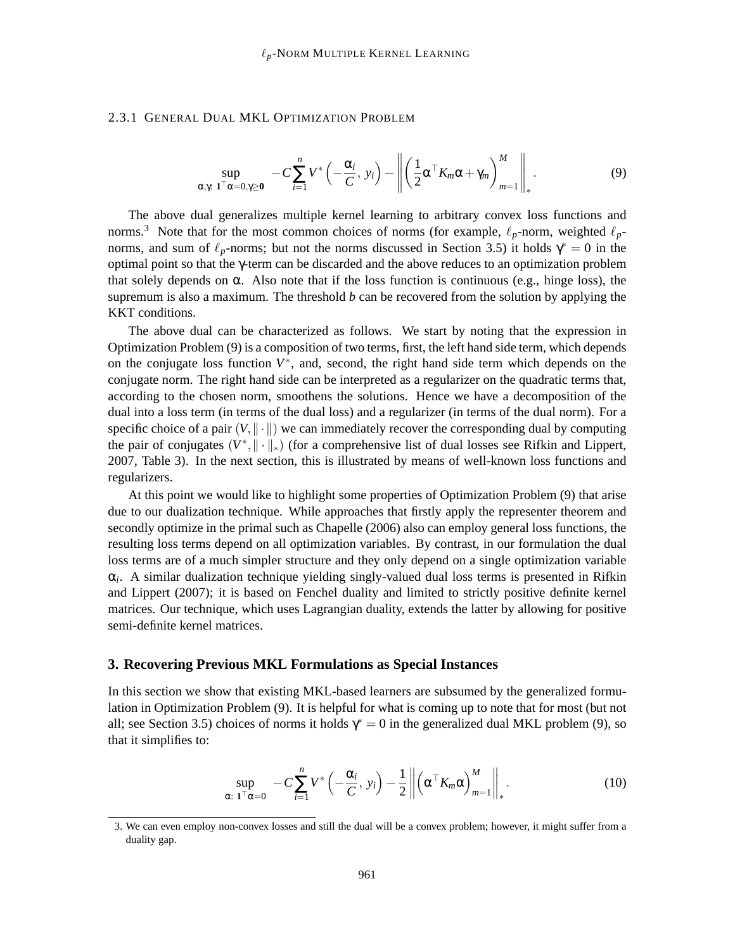#### 2.3.1 GENERAL DUAL MKL OPTIMIZATION PROBLEM

$$
\sup_{\alpha,\gamma:\;{\bf 1}^\top\alpha=0,\gamma\geq {\bf 0}}\; -C\sum_{i=1}^nV^*\left(-\frac{\alpha_i}{C},\;y_i\right)-\left\|\left(\frac{1}{2}\alpha^\top K_m\alpha+\gamma_m\right)_{m=1}^M\right\|_*.\tag{9}
$$

The above dual generalizes multiple kernel learning to arbitrary convex loss functions and norms.<sup>3</sup> Note that for the most common choices of norms (for example,  $\ell_p$ -norm, weighted  $\ell_p$ norms, and sum of  $\ell_p$ -norms; but not the norms discussed in Section 3.5) it holds  $\gamma^* = 0$  in the optimal point so that the γ-term can be discarded and the above reduces to an optimization problem that solely depends on  $\alpha$ . Also note that if the loss function is continuous (e.g., hinge loss), the supremum is also a maximum. The threshold *b* can be recovered from the solution by applying the KKT conditions.

The above dual can be characterized as follows. We start by noting that the expression in Optimization Problem (9) is a composition of two terms, first, the left hand side term, which depends on the conjugate loss function  $V^*$ , and, second, the right hand side term which depends on the conjugate norm. The right hand side can be interpreted as a regularizer on the quadratic terms that, according to the chosen norm, smoothens the solutions. Hence we have a decomposition of the dual into a loss term (in terms of the dual loss) and a regularizer (in terms of the dual norm). For a specific choice of a pair  $(V, \| \cdot \|)$  we can immediately recover the corresponding dual by computing the pair of conjugates  $(V^*, \|\cdot\|_*)$  (for a comprehensive list of dual losses see Rifkin and Lippert, 2007, Table 3). In the next section, this is illustrated by means of well-known loss functions and regularizers.

At this point we would like to highlight some properties of Optimization Problem (9) that arise due to our dualization technique. While approaches that firstly apply the representer theorem and secondly optimize in the primal such as Chapelle (2006) also can employ general loss functions, the resulting loss terms depend on all optimization variables. By contrast, in our formulation the dual loss terms are of a much simpler structure and they only depend on a single optimization variable α*i* . A similar dualization technique yielding singly-valued dual loss terms is presented in Rifkin and Lippert (2007); it is based on Fenchel duality and limited to strictly positive definite kernel matrices. Our technique, which uses Lagrangian duality, extends the latter by allowing for positive semi-definite kernel matrices.

#### **3. Recovering Previous MKL Formulations as Special Instances**

In this section we show that existing MKL-based learners are subsumed by the generalized formulation in Optimization Problem (9). It is helpful for what is coming up to note that for most (but not all; see Section 3.5) choices of norms it holds  $\gamma^* = 0$  in the generalized dual MKL problem (9), so that it simplifies to:

$$
\sup_{\alpha: \; \mathbf{1}^\top \alpha = 0} \; -C \sum_{i=1}^n V^* \left( -\frac{\alpha_i}{C}, \; y_i \right) - \frac{1}{2} \left\| \left( \alpha^\top K_m \alpha \right)_{m=1}^M \right\|_*.
$$

<sup>3.</sup> We can even employ non-convex losses and still the dual will be a convex problem; however, it might suffer from a duality gap.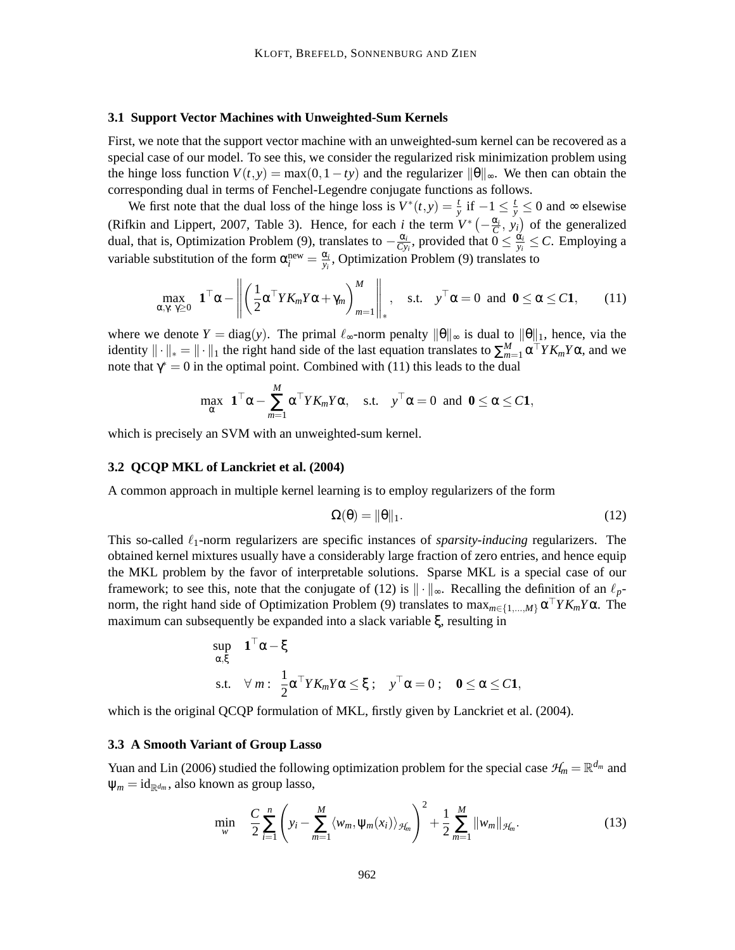#### **3.1 Support Vector Machines with Unweighted-Sum Kernels**

First, we note that the support vector machine with an unweighted-sum kernel can be recovered as a special case of our model. To see this, we consider the regularized risk minimization problem using the hinge loss function  $V(t, y) = \max(0, 1 - ty)$  and the regularizer  $\|\theta\|_{\infty}$ . We then can obtain the corresponding dual in terms of Fenchel-Legendre conjugate functions as follows.

We first note that the dual loss of the hinge loss is  $V^*(t, y) = \frac{t}{y}$  if  $-1 \le \frac{t}{y} \le 0$  and  $\infty$  elsewise (Rifkin and Lippert, 2007, Table 3). Hence, for each *i* the term  $V^*(-\frac{\alpha_i}{C}, y_i)$  of the generalized dual, that is, Optimization Problem (9), translates to  $-\frac{\alpha_i}{Cy}$  $\frac{\alpha_i}{C y_i}$ , provided that  $0 \leq \frac{\alpha_i}{y_i}$  $\frac{\alpha_i}{y_i} \leq C$ . Employing a variable substitution of the form  $\alpha_i^{\text{new}} = \frac{\alpha_i}{y_i}$  $\frac{\alpha_i}{y_i}$ , Optimization Problem (9) translates to

$$
\max_{\alpha,\gamma:\gamma\geq 0} \mathbf{1}^\top \alpha - \left\| \left( \frac{1}{2} \alpha^\top Y K_m Y \alpha + \gamma_m \right)_{m=1}^M \right\|_*, \quad \text{s.t.} \quad y^\top \alpha = 0 \text{ and } \mathbf{0} \leq \alpha \leq C \mathbf{1}, \qquad (11)
$$

where we denote  $Y = diag(y)$ . The primal  $\ell_{\infty}$ -norm penalty  $\|\theta\|_{\infty}$  is dual to  $\|\theta\|_1$ , hence, via the identity  $\|\cdot\|_* = \|\cdot\|_1$  the right hand side of the last equation translates to  $\sum_{m=1}^{M} \alpha^{\top} Y K_m Y \alpha$ , and we note that  $\gamma^* = 0$  in the optimal point. Combined with (11) this leads to the dual

$$
\max_{\alpha} \ \mathbf{1}^{\top} \alpha - \sum_{m=1}^{M} \alpha^{\top} Y K_m Y \alpha, \quad \text{s.t.} \quad y^{\top} \alpha = 0 \text{ and } \mathbf{0} \leq \alpha \leq C \mathbf{1},
$$

which is precisely an SVM with an unweighted-sum kernel.

# **3.2 QCQP MKL of Lanckriet et al. (2004)**

A common approach in multiple kernel learning is to employ regularizers of the form

$$
\Omega(\theta) = \|\theta\|_1. \tag{12}
$$

This so-called ℓ1-norm regularizers are specific instances of *sparsity-inducing* regularizers. The obtained kernel mixtures usually have a considerably large fraction of zero entries, and hence equip the MKL problem by the favor of interpretable solutions. Sparse MKL is a special case of our framework; to see this, note that the conjugate of (12) is  $\|\cdot\|_{\infty}$ . Recalling the definition of an  $\ell_p$ norm, the right hand side of Optimization Problem (9) translates to  $\max_{m \in \{1,\dots,M\}} \alpha^{\dagger} Y K_m Y \alpha$ . The maximum can subsequently be expanded into a slack variable ξ, resulting in

$$
\sup_{\alpha,\xi} \quad \mathbf{1}^\top \alpha - \xi
$$
\n
$$
\text{s.t.} \quad \forall \, m: \ \frac{1}{2} \alpha^\top Y K_m Y \alpha \le \xi \, ; \quad \mathbf{y}^\top \alpha = 0 \, ; \quad \mathbf{0} \le \alpha \le C \mathbf{1},
$$

which is the original QCQP formulation of MKL, firstly given by Lanckriet et al. (2004).

#### **3.3 A Smooth Variant of Group Lasso**

Yuan and Lin (2006) studied the following optimization problem for the special case  $\mathcal{H}_m = \mathbb{R}^{d_m}$  and  $\psi_m = id_{\mathbb{R}^{d_m}}$ , also known as group lasso,

$$
\min_{w} \quad \frac{C}{2} \sum_{i=1}^{n} \left( y_i - \sum_{m=1}^{M} \langle w_m, \psi_m(x_i) \rangle_{\mathcal{H}_m} \right)^2 + \frac{1}{2} \sum_{m=1}^{M} ||w_m||_{\mathcal{H}_m}.
$$
 (13)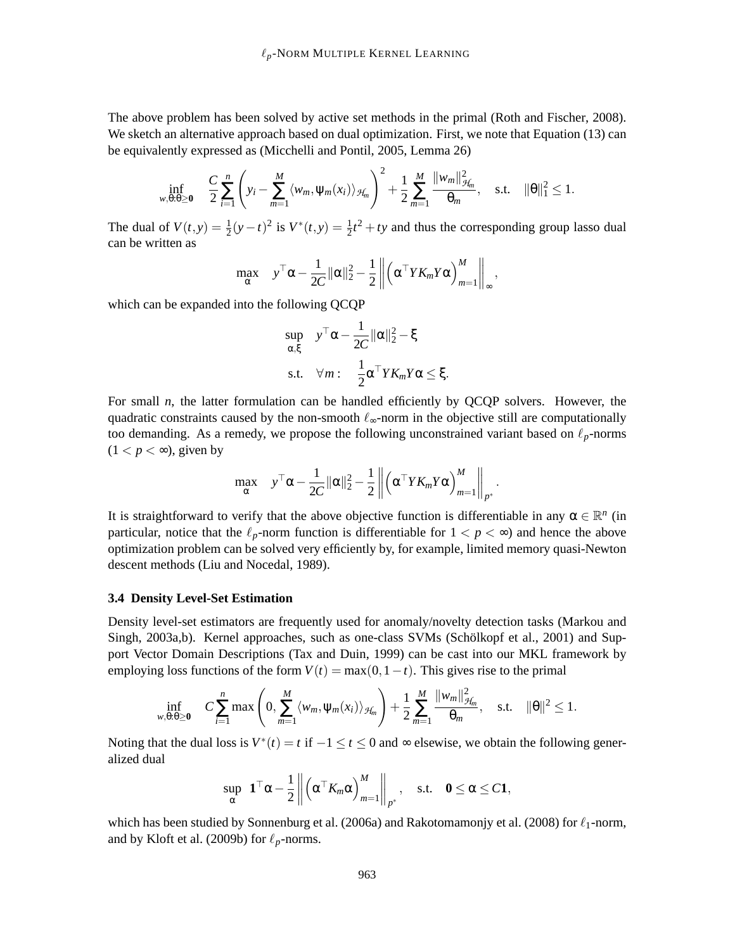The above problem has been solved by active set methods in the primal (Roth and Fischer, 2008). We sketch an alternative approach based on dual optimization. First, we note that Equation (13) can be equivalently expressed as (Micchelli and Pontil, 2005, Lemma 26)

$$
\inf_{w,\theta:\theta\geq 0} \quad \frac{C}{2} \sum_{i=1}^n \left( y_i - \sum_{m=1}^M \langle w_m, \psi_m(x_i) \rangle_{\mathcal{H}_m} \right)^2 + \frac{1}{2} \sum_{m=1}^M \frac{\|w_m\|_{\mathcal{H}_m}^2}{\theta_m}, \quad \text{s.t.} \quad \|\theta\|_1^2 \leq 1.
$$

The dual of  $V(t, y) = \frac{1}{2}(y - t)^2$  is  $V^*(t, y) = \frac{1}{2}t^2 + ty$  and thus the corresponding group lasso dual can be written as

$$
\max_{\alpha} \quad y^{\top} \alpha - \frac{1}{2C} ||\alpha||_2^2 - \frac{1}{2} \left\| \left( \alpha^{\top} Y K_m Y \alpha \right)_{m=1}^M \right\|_{\infty},
$$

which can be expanded into the following QCQP

$$
\sup_{\alpha,\xi} \quad y^{\top} \alpha - \frac{1}{2C} ||\alpha||_2^2 - \xi
$$
  
s.t.  $\forall m: \quad \frac{1}{2} \alpha^{\top} Y K_m Y \alpha \leq \xi.$ 

For small *n*, the latter formulation can be handled efficiently by QCQP solvers. However, the quadratic constraints caused by the non-smooth  $\ell_{\infty}$ -norm in the objective still are computationally too demanding. As a remedy, we propose the following unconstrained variant based on  $\ell_p$ -norms  $(1 < p < \infty)$ , given by

$$
\max_{\alpha} \quad y^{\top} \alpha - \frac{1}{2C} \|\alpha\|_2^2 - \frac{1}{2} \left\| \left( \alpha^{\top} Y K_m Y \alpha \right)_{m=1}^{M} \right\|_{p^*}.
$$

It is straightforward to verify that the above objective function is differentiable in any  $\alpha \in \mathbb{R}^n$  (in particular, notice that the  $\ell_p$ -norm function is differentiable for  $1 < p < \infty$ ) and hence the above optimization problem can be solved very efficiently by, for example, limited memory quasi-Newton descent methods (Liu and Nocedal, 1989).

#### **3.4 Density Level-Set Estimation**

Density level-set estimators are frequently used for anomaly/novelty detection tasks (Markou and Singh, 2003a,b). Kernel approaches, such as one-class SVMs (Schölkopf et al., 2001) and Support Vector Domain Descriptions (Tax and Duin, 1999) can be cast into our MKL framework by employing loss functions of the form  $V(t) = \max(0, 1-t)$ . This gives rise to the primal

$$
\inf_{w,\theta:\theta\geq 0} \quad C\sum_{i=1}^n \max\left(0,\sum_{m=1}^M \langle w_m,\psi_m(x_i)\rangle_{\mathcal{H}_m}\right) + \frac{1}{2}\sum_{m=1}^M \frac{\|w_m\|_{\mathcal{H}_m}^2}{\theta_m}, \quad \text{s.t.} \quad \|\theta\|^2 \leq 1.
$$

Noting that the dual loss is  $V^*(t) = t$  if  $-1 \le t \le 0$  and  $\infty$  elsewise, we obtain the following generalized dual

$$
\sup_{\alpha} \mathbf{1}^{\top} \alpha - \frac{1}{2} \left\| \left( \alpha^{\top} K_m \alpha \right)_{m=1}^{M} \right\|_{p^*}, \quad \text{s.t.} \quad \mathbf{0} \leq \alpha \leq C \mathbf{1},
$$

which has been studied by Sonnenburg et al. (2006a) and Rakotomamoniy et al. (2008) for  $\ell_1$ -norm, and by Kloft et al. (2009b) for  $\ell_p$ -norms.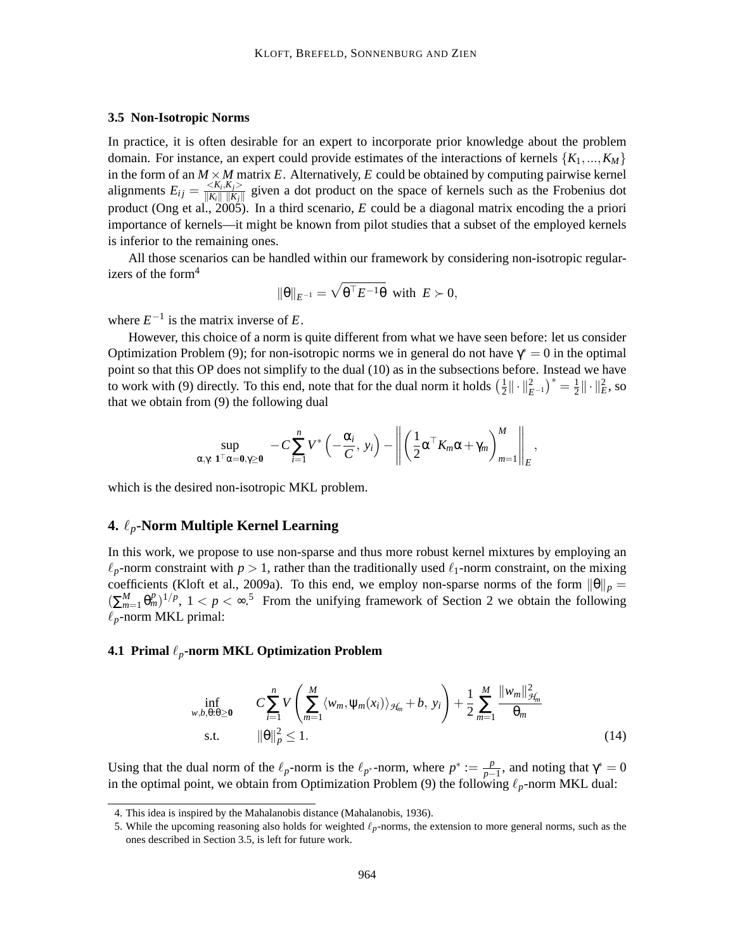#### **3.5 Non-Isotropic Norms**

In practice, it is often desirable for an expert to incorporate prior knowledge about the problem domain. For instance, an expert could provide estimates of the interactions of kernels  $\{K_1, ..., K_M\}$ in the form of an  $M \times M$  matrix  $E$ . Alternatively,  $E$  could be obtained by computing pairwise kernel alignments  $E_{ij} = \frac{\langle K_i, K_j \rangle}{\|K_i\| \|K_i\|}$  $\frac{\langle K_i, K_j \rangle}{\|K_i\| \|K_j\|}$  given a dot product on the space of kernels such as the Frobenius dot product (Ong et al., 2005). In a third scenario, *E* could be a diagonal matrix encoding the a priori importance of kernels—it might be known from pilot studies that a subset of the employed kernels is inferior to the remaining ones.

All those scenarios can be handled within our framework by considering non-isotropic regularizers of the form<sup>4</sup>

$$
\|\theta\|_{E^{-1}} = \sqrt{\theta^{\top} E^{-1} \theta} \text{ with } E \succ 0,
$$

where  $E^{-1}$  is the matrix inverse of *E*.

However, this choice of a norm is quite different from what we have seen before: let us consider Optimization Problem (9); for non-isotropic norms we in general do not have  $\gamma^* = 0$  in the optimal point so that this OP does not simplify to the dual (10) as in the subsections before. Instead we have to work with (9) directly. To this end, note that for the dual norm it holds  $(\frac{1}{2})$  $\frac{1}{2} \|\cdot\|_{E^{-1}}^2$ <sup>\*</sup> =  $\frac{1}{2}$  $\frac{1}{2} \| \cdot \|_E^2$ , so that we obtain from (9) the following dual

$$
\sup_{\alpha,\gamma:\; \mathbf{1}^\top \alpha = \mathbf{0}, \gamma \geq \mathbf{0}} \; -C \sum_{i=1}^n V^* \left(-\frac{\alpha_i}{C},\; y_i\right) - \left\| \left(\frac{1}{2} \alpha^\top K_m \alpha + \gamma_m \right)_{m=1}^M \right\|_E,
$$

which is the desired non-isotropic MKL problem.

# **4.** ℓ*p***-Norm Multiple Kernel Learning**

In this work, we propose to use non-sparse and thus more robust kernel mixtures by employing an  $\ell_p$ -norm constraint with  $p > 1$ , rather than the traditionally used  $\ell_1$ -norm constraint, on the mixing coefficients (Kloft et al., 2009a). To this end, we employ non-sparse norms of the form  $\|\theta\|_p =$  $(\sum_{m=1}^{M} \theta_m^p)^{1/p}$ ,  $1 < p < \infty$ .<sup>5</sup> From the unifying framework of Section 2 we obtain the following  $\ell_p$ -norm MKL primal:

# **4.1 Primal** ℓ*p***-norm MKL Optimization Problem**

$$
\inf_{w,b,\theta:\theta\geq 0} \qquad C \sum_{i=1}^{n} V\left(\sum_{m=1}^{M} \langle w_m, \psi_m(x_i) \rangle_{\mathcal{H}_m} + b, \ y_i\right) + \frac{1}{2} \sum_{m=1}^{M} \frac{\|w_m\|_{\mathcal{H}_m}^2}{\theta_m} \text{s.t.} \qquad \|\theta\|_p^2 \leq 1.
$$
\n(14)

Using that the dual norm of the  $\ell_p$ -norm is the  $\ell_{p^*}$ -norm, where  $p^* := \frac{p}{p-1}$  $\frac{p}{p-1}$ , and noting that  $\gamma^* = 0$ in the optimal point, we obtain from Optimization Problem (9) the following  $\ell_p$ -norm MKL dual:

<sup>4.</sup> This idea is inspired by the Mahalanobis distance (Mahalanobis, 1936).

<sup>5.</sup> While the upcoming reasoning also holds for weighted ℓ*p*-norms, the extension to more general norms, such as the ones described in Section 3.5, is left for future work.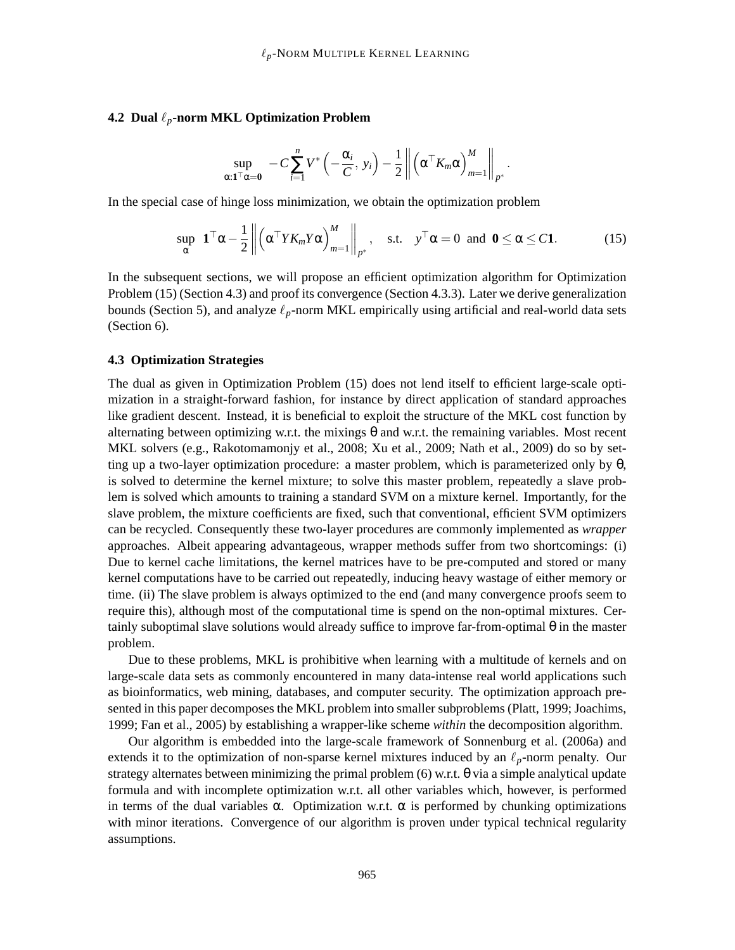# **4.2 Dual** ℓ*p***-norm MKL Optimization Problem**

$$
\sup_{\alpha: \mathbf{1}^\top \alpha = \mathbf{0}} -C \sum_{i=1}^n V^* \left(-\frac{\alpha_i}{C}, y_i\right) - \frac{1}{2} \left\| \left(\alpha^\top K_m \alpha\right)_{m=1}^M \right\|_{p^*}.
$$

In the special case of hinge loss minimization, we obtain the optimization problem

$$
\sup_{\alpha} \mathbf{1}^{\top} \alpha - \frac{1}{2} \left\| \left( \alpha^{\top} Y K_m Y \alpha \right)_{m=1}^{M} \right\|_{p^*}, \quad \text{s.t.} \quad y^{\top} \alpha = 0 \text{ and } \mathbf{0} \le \alpha \le C \mathbf{1}. \tag{15}
$$

In the subsequent sections, we will propose an efficient optimization algorithm for Optimization Problem (15) (Section 4.3) and proof its convergence (Section 4.3.3). Later we derive generalization bounds (Section 5), and analyze  $\ell_p$ -norm MKL empirically using artificial and real-world data sets (Section 6).

#### **4.3 Optimization Strategies**

The dual as given in Optimization Problem (15) does not lend itself to efficient large-scale optimization in a straight-forward fashion, for instance by direct application of standard approaches like gradient descent. Instead, it is beneficial to exploit the structure of the MKL cost function by alternating between optimizing w.r.t. the mixings  $\theta$  and w.r.t. the remaining variables. Most recent MKL solvers (e.g., Rakotomamonjy et al., 2008; Xu et al., 2009; Nath et al., 2009) do so by setting up a two-layer optimization procedure: a master problem, which is parameterized only by  $\theta$ , is solved to determine the kernel mixture; to solve this master problem, repeatedly a slave problem is solved which amounts to training a standard SVM on a mixture kernel. Importantly, for the slave problem, the mixture coefficients are fixed, such that conventional, efficient SVM optimizers can be recycled. Consequently these two-layer procedures are commonly implemented as *wrapper* approaches. Albeit appearing advantageous, wrapper methods suffer from two shortcomings: (i) Due to kernel cache limitations, the kernel matrices have to be pre-computed and stored or many kernel computations have to be carried out repeatedly, inducing heavy wastage of either memory or time. (ii) The slave problem is always optimized to the end (and many convergence proofs seem to require this), although most of the computational time is spend on the non-optimal mixtures. Certainly suboptimal slave solutions would already suffice to improve far-from-optimal θ in the master problem.

Due to these problems, MKL is prohibitive when learning with a multitude of kernels and on large-scale data sets as commonly encountered in many data-intense real world applications such as bioinformatics, web mining, databases, and computer security. The optimization approach presented in this paper decomposes the MKL problem into smaller subproblems (Platt, 1999; Joachims, 1999; Fan et al., 2005) by establishing a wrapper-like scheme *within* the decomposition algorithm.

Our algorithm is embedded into the large-scale framework of Sonnenburg et al. (2006a) and extends it to the optimization of non-sparse kernel mixtures induced by an  $\ell_p$ -norm penalty. Our strategy alternates between minimizing the primal problem (6) w.r.t. θ via a simple analytical update formula and with incomplete optimization w.r.t. all other variables which, however, is performed in terms of the dual variables  $\alpha$ . Optimization w.r.t.  $\alpha$  is performed by chunking optimizations with minor iterations. Convergence of our algorithm is proven under typical technical regularity assumptions.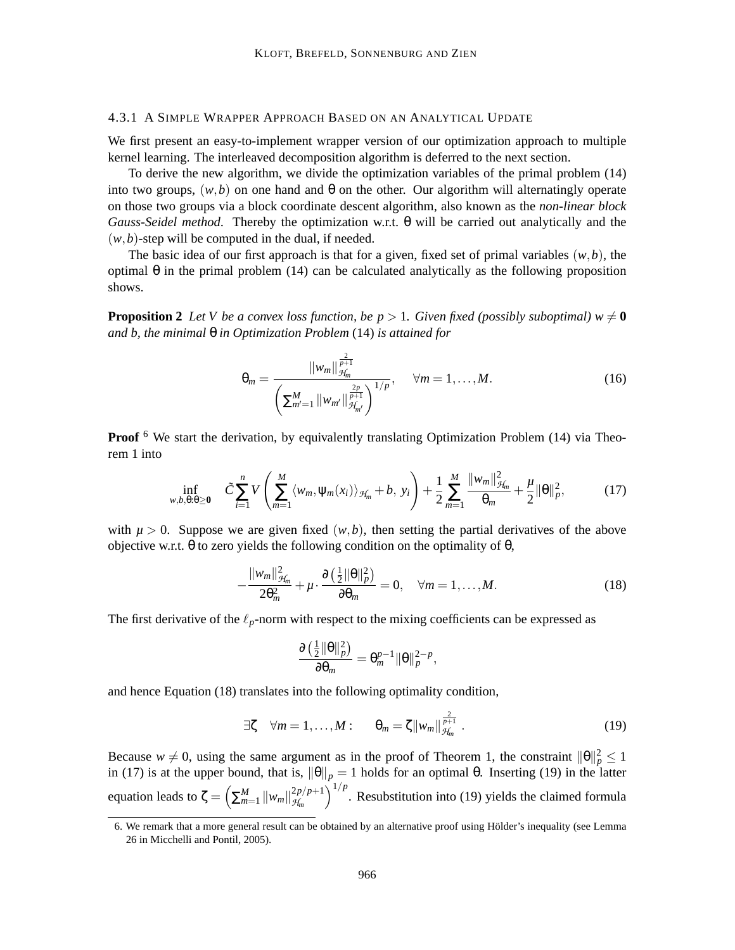#### 4.3.1 A SIMPLE WRAPPER APPROACH BASED ON AN ANALYTICAL UPDATE

We first present an easy-to-implement wrapper version of our optimization approach to multiple kernel learning. The interleaved decomposition algorithm is deferred to the next section.

To derive the new algorithm, we divide the optimization variables of the primal problem (14) into two groups,  $(w, b)$  on one hand and  $\theta$  on the other. Our algorithm will alternatingly operate on those two groups via a block coordinate descent algorithm, also known as the *non-linear block Gauss-Seidel method*. Thereby the optimization w.r.t. θ will be carried out analytically and the  $(w, b)$ -step will be computed in the dual, if needed.

The basic idea of our first approach is that for a given, fixed set of primal variables  $(w, b)$ , the optimal θ in the primal problem (14) can be calculated analytically as the following proposition shows.

**Proposition 2** Let V be a convex loss function, be  $p > 1$ . Given fixed (possibly suboptimal)  $w \neq 0$ *and b, the minimal* θ *in Optimization Problem* (14) *is attained for*

$$
\theta_m = \frac{\|w_m\|_{\mathcal{H}_m}^{\frac{2}{p+1}}}{\left(\sum_{m'=1}^M \|w_{m'}\|_{\mathcal{H}_{m'}}^{\frac{2p}{p+1}}\right)^{1/p}}, \quad \forall m = 1, \dots, M. \tag{16}
$$

**Proof** <sup>6</sup> We start the derivation, by equivalently translating Optimization Problem (14) via Theorem 1 into

$$
\inf_{w,b,\theta:\theta\geq 0} \quad \tilde{C} \sum_{i=1}^n V\left(\sum_{m=1}^M \langle w_m, \psi_m(x_i) \rangle_{\mathcal{H}_m} + b, \ y_i\right) + \frac{1}{2} \sum_{m=1}^M \frac{\|w_m\|_{\mathcal{H}_m}^2}{\theta_m} + \frac{\mu}{2} \|\theta\|_p^2, \tag{17}
$$

with  $\mu > 0$ . Suppose we are given fixed  $(w, b)$ , then setting the partial derivatives of the above objective w.r.t.  $θ$  to zero yields the following condition on the optimality of  $θ$ ,

$$
-\frac{\|w_m\|_{\mathcal{H}_m}^2}{2\theta_m^2} + \mu \cdot \frac{\partial \left(\frac{1}{2}\|\theta\|_p^2\right)}{\partial \theta_m} = 0, \quad \forall m = 1, \dots, M. \tag{18}
$$

The first derivative of the  $\ell_p$ -norm with respect to the mixing coefficients can be expressed as

$$
\frac{\partial \left(\frac{1}{2} \|\theta\|_p^2\right)}{\partial \theta_m} = \theta_m^{p-1} \|\theta\|_p^{2-p},
$$

and hence Equation (18) translates into the following optimality condition,

$$
\exists \zeta \quad \forall m = 1, \dots, M: \qquad \theta_m = \zeta \|w_m\|_{\mathcal{H}_m}^{\frac{2}{p+1}}.
$$
 (19)

Because  $w \neq 0$ , using the same argument as in the proof of Theorem 1, the constraint  $\|\theta\|_p^2 \leq 1$ in (17) is at the upper bound, that is,  $\|\theta\|_p = 1$  holds for an optimal  $\theta$ . Inserting (19) in the latter equation leads to  $\zeta = \left(\sum_{m=1}^{M} ||w_m||_{\mathcal{H}_m}^{2p/p+1}\right)$ *H<sup>m</sup>*  $\int_{0}^{1/p}$ . Resubstitution into (19) yields the claimed formula

<sup>6.</sup> We remark that a more general result can be obtained by an alternative proof using Holder's inequality (see Lemma ¨ 26 in Micchelli and Pontil, 2005).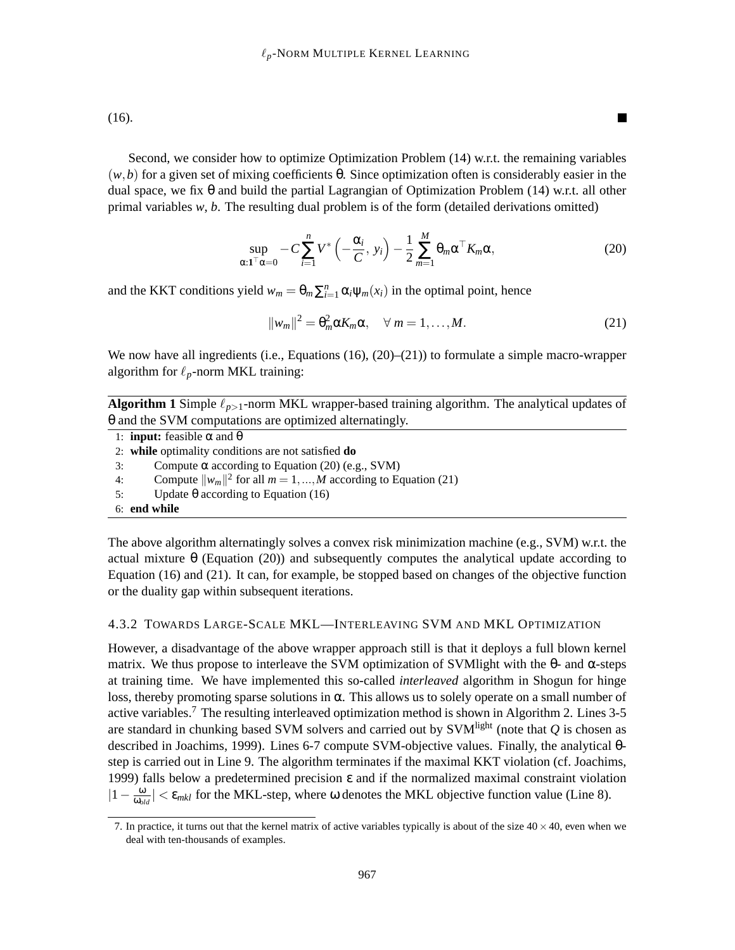(16).

Second, we consider how to optimize Optimization Problem (14) w.r.t. the remaining variables (*w*,*b*) for a given set of mixing coefficients θ. Since optimization often is considerably easier in the dual space, we fix θ and build the partial Lagrangian of Optimization Problem (14) w.r.t. all other primal variables  $w$ ,  $b$ . The resulting dual problem is of the form (detailed derivations omitted)

$$
\sup_{\alpha: \mathbf{1}^\top \alpha = 0} -C \sum_{i=1}^n V^* \left( -\frac{\alpha_i}{C}, y_i \right) - \frac{1}{2} \sum_{m=1}^M \theta_m \alpha^\top K_m \alpha, \tag{20}
$$

and the KKT conditions yield  $w_m = \theta_m \sum_{i=1}^n \alpha_i \psi_m(x_i)$  in the optimal point, hence

$$
||w_m||^2 = \theta_m^2 \alpha K_m \alpha, \quad \forall \ m = 1, \dots, M. \tag{21}
$$

 $\blacksquare$ 

We now have all ingredients (i.e., Equations  $(16)$ ,  $(20)$ – $(21)$ ) to formulate a simple macro-wrapper algorithm for  $\ell_p$ -norm MKL training:

**Algorithm 1** Simple  $\ell_{p>1}$ -norm MKL wrapper-based training algorithm. The analytical updates of θ and the SVM computations are optimized alternatingly.

|    | 1: <b>input:</b> feasible $\alpha$ and $\theta$                     |
|----|---------------------------------------------------------------------|
|    | 2: while optimality conditions are not satisfied <b>do</b>          |
| 3: | Compute $\alpha$ according to Equation (20) (e.g., SVM)             |
| 4: | Compute $  w_m  ^2$ for all $m = 1, , M$ according to Equation (21) |
| 5: | Update θ according to Equation (16)                                 |
|    | 6: end while                                                        |

The above algorithm alternatingly solves a convex risk minimization machine (e.g., SVM) w.r.t. the actual mixture θ (Equation (20)) and subsequently computes the analytical update according to Equation (16) and (21). It can, for example, be stopped based on changes of the objective function or the duality gap within subsequent iterations.

#### 4.3.2 TOWARDS LARGE-SCALE MKL—INTERLEAVING SVM AND MKL OPTIMIZATION

However, a disadvantage of the above wrapper approach still is that it deploys a full blown kernel matrix. We thus propose to interleave the SVM optimization of SVM light with the θ- and α-steps at training time. We have implemented this so-called *interleaved* algorithm in Shogun for hinge loss, thereby promoting sparse solutions in  $\alpha$ . This allows us to solely operate on a small number of active variables.<sup>7</sup> The resulting interleaved optimization method is shown in Algorithm 2. Lines  $3-5$ are standard in chunking based SVM solvers and carried out by SVM<sup>light</sup> (note that *Q* is chosen as described in Joachims, 1999). Lines 6-7 compute SVM-objective values. Finally, the analytical θstep is carried out in Line 9. The algorithm terminates if the maximal KKT violation (cf. Joachims, 1999) falls below a predetermined precision ε and if the normalized maximal constraint violation  $|1-\frac{\omega}{\omega_0}$  $\frac{\omega}{\omega_{old}}$  |  $\lt \varepsilon_{mkl}$  for the MKL-step, where  $\omega$  denotes the MKL objective function value (Line 8).

<sup>7.</sup> In practice, it turns out that the kernel matrix of active variables typically is about of the size  $40 \times 40$ , even when we deal with ten-thousands of examples.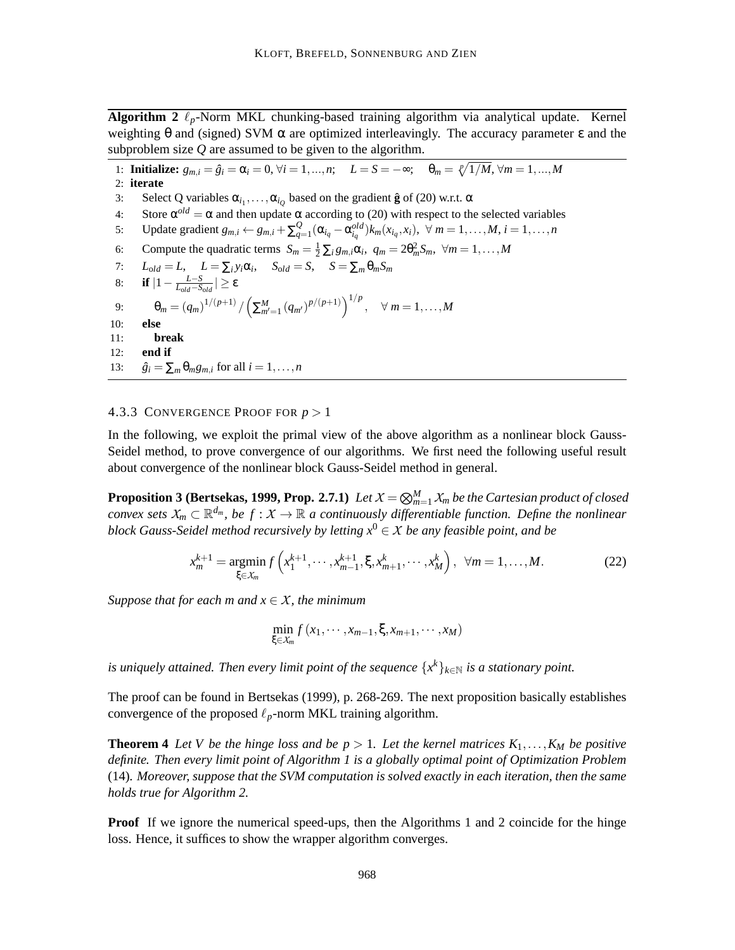**Algorithm 2**  $\ell_p$ -Norm MKL chunking-based training algorithm via analytical update. Kernel weighting  $\theta$  and (signed) SVM  $\alpha$  are optimized interleavingly. The accuracy parameter  $\epsilon$  and the subproblem size *Q* are assumed to be given to the algorithm.

1: **Initialize:**  $g_{m,i} = \hat{g}_i = \alpha_i = 0, \forall i = 1, ..., n; \quad L = S = -\infty; \quad \theta_m = \sqrt[p]{1/M}, \forall m = 1, ..., M$ 2: **iterate** 3: Select Q variables  $\alpha_{i_1}, \ldots, \alpha_{i_Q}$  based on the gradient  $\hat{\mathbf{g}}$  of (20) w.r.t.  $\alpha$ 4: Store  $\alpha^{old} = \alpha$  and then update  $\alpha$  according to (20) with respect to the selected variables 5: Update gradient  $g_{m,i} \leftarrow g_{m,i} + \sum_{q=1}^{Q} (\alpha_{i_q} - \alpha_{i_q}^{old}) k_m(x_{i_q}, x_i), \ \forall \ m = 1, ..., M, i = 1, ..., n$ 6: Compute the quadratic terms  $S_m = \frac{1}{2} \sum_i g_{m,i} \alpha_i$ ,  $q_m = 2\theta_m^2 S_m$ ,  $\forall m = 1, ..., M$ 7:  $L_{old} = L$ ,  $L = \sum_i y_i \alpha_i$ ,  $S_{old} = S$ ,  $S = \sum_m \theta_m S_m$ 8: **if**  $|1 - \frac{L-S}{L_{old}-S_{old}}|$  ≥ ε 9:  $\theta_m = (q_m)^{1/(p+1)} / \left(\sum_{m'=1}^M (q_{m'})^{p/(p+1)}\right)^{1/p}, \quad \forall m = 1, ..., M$ 10: **else** 11: **break** 12: **end if** 13:  $\hat{g}_i = \sum_m \theta_m g_{m,i}$  for all  $i = 1, \ldots, n$ 

#### 4.3.3 CONVERGENCE PROOF FOR *p* > 1

In the following, we exploit the primal view of the above algorithm as a nonlinear block Gauss-Seidel method, to prove convergence of our algorithms. We first need the following useful result about convergence of the nonlinear block Gauss-Seidel method in general.

**Proposition 3 (Bertsekas, 1999, Prop. 2.7.1)** Let  $X = \bigotimes_{m=1}^{M} X_m$  be the Cartesian product of closed *convex sets*  $X_m \subset \mathbb{R}^{d_m}$ , be  $f: X \to \mathbb{R}$  a continuously differentiable function. Define the nonlinear *block Gauss-Seidel method recursively by letting*  $x^0 \in X$  *be any feasible point, and be* 

$$
x_m^{k+1} = \underset{\xi \in \mathcal{X}_m}{\text{argmin}} f\left(x_1^{k+1}, \dots, x_{m-1}^{k+1}, \xi, x_{m+1}^k, \dots, x_M^k\right), \ \forall m = 1, \dots, M. \tag{22}
$$

*Suppose that for each m and*  $x \in X$ *, the minimum* 

$$
\min_{\xi \in \mathcal{X}_m} f(x_1, \cdots, x_{m-1}, \xi, x_{m+1}, \cdots, x_M)
$$

*is uniquely attained. Then every limit point of the sequence*  $\{x^k\}_{k\in\mathbb{N}}$  *is a stationary point.* 

The proof can be found in Bertsekas (1999), p. 268-269. The next proposition basically establishes convergence of the proposed  $\ell_p$ -norm MKL training algorithm.

**Theorem 4** *Let V be the hinge loss and be*  $p > 1$ *. Let the kernel matrices*  $K_1, \ldots, K_M$  *be positive definite. Then every limit point of Algorithm 1 is a globally optimal point of Optimization Problem* (14)*. Moreover, suppose that the SVM computation is solved exactly in each iteration, then the same holds true for Algorithm 2.*

**Proof** If we ignore the numerical speed-ups, then the Algorithms 1 and 2 coincide for the hinge loss. Hence, it suffices to show the wrapper algorithm converges.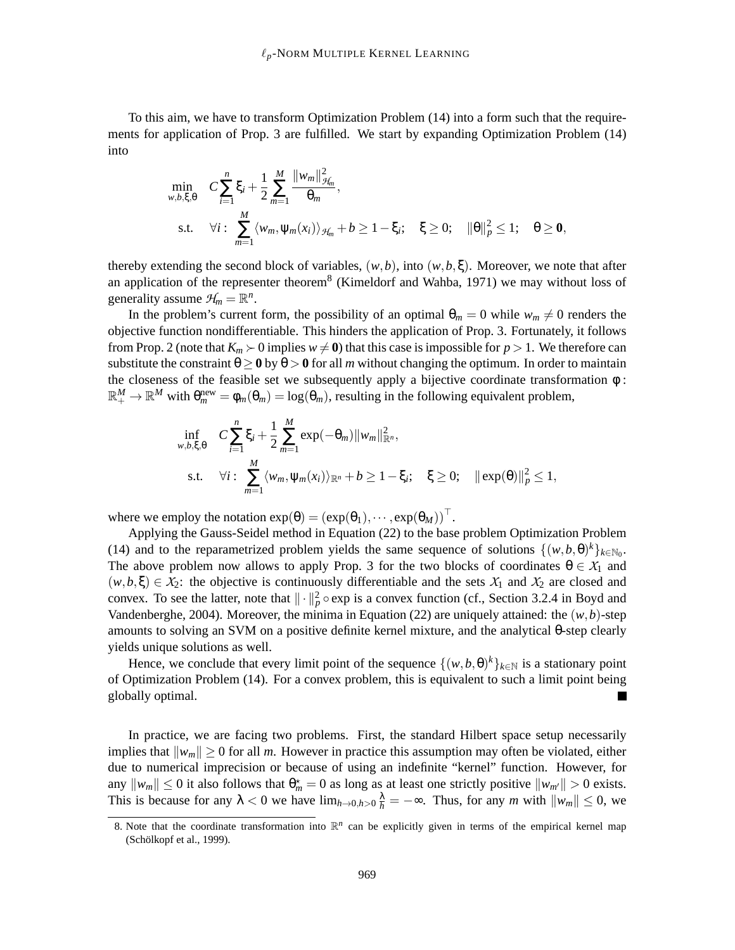To this aim, we have to transform Optimization Problem (14) into a form such that the requirements for application of Prop. 3 are fulfilled. We start by expanding Optimization Problem (14) into

$$
\min_{w,b,\xi,\theta} \quad C \sum_{i=1}^{n} \xi_i + \frac{1}{2} \sum_{m=1}^{M} \frac{\|w_m\|_{\mathcal{H}_m}^2}{\theta_m},
$$
\n
$$
\text{s.t.} \quad \forall i: \sum_{m=1}^{M} \langle w_m, \psi_m(x_i) \rangle_{\mathcal{H}_m} + b \ge 1 - \xi_i; \quad \xi \ge 0; \quad \|\theta\|_{p}^2 \le 1; \quad \theta \ge 0,
$$

thereby extending the second block of variables,  $(w, b)$ , into  $(w, b, \xi)$ . Moreover, we note that after an application of the representer theorem<sup>8</sup> (Kimeldorf and Wahba, 1971) we may without loss of generality assume  $\mathcal{H}_m = \mathbb{R}^n$ .

In the problem's current form, the possibility of an optimal  $\theta_m = 0$  while  $w_m \neq 0$  renders the objective function nondifferentiable. This hinders the application of Prop. 3. Fortunately, it follows from Prop. 2 (note that  $K_m$  ≻ 0 implies  $w \neq 0$ ) that this case is impossible for  $p > 1$ . We therefore can substitute the constraint  $\theta \ge 0$  by  $\theta > 0$  for all *m* without changing the optimum. In order to maintain the closeness of the feasible set we subsequently apply a bijective coordinate transformation φ :  $\mathbb{R}^M_+ \to \mathbb{R}^M$  with  $\theta_m^{\text{new}} = \phi_m(\theta_m) = \log(\theta_m)$ , resulting in the following equivalent problem,

$$
\inf_{w,b,\xi,\theta} C \sum_{i=1}^{n} \xi_i + \frac{1}{2} \sum_{m=1}^{M} \exp(-\theta_m) \|w_m\|_{\mathbb{R}^n}^2,
$$
\n  
\ns.t.  $\forall i : \sum_{m=1}^{M} \langle w_m, \psi_m(x_i) \rangle_{\mathbb{R}^n} + b \ge 1 - \xi_i; \quad \xi \ge 0; \quad ||\exp(\theta)||_p^2 \le 1,$ 

where we employ the notation  $exp(\theta) = (exp(\theta_1), \cdots, exp(\theta_M))^{\top}$ .

Applying the Gauss-Seidel method in Equation (22) to the base problem Optimization Problem (14) and to the reparametrized problem yields the same sequence of solutions  $\{(w, b, \theta)^k\}_{k \in \mathbb{N}_0}$ . The above problem now allows to apply Prop. 3 for the two blocks of coordinates  $\theta \in X_1$  and  $(w, b, \xi) \in X_2$ : the objective is continuously differentiable and the sets  $X_1$  and  $X_2$  are closed and convex. To see the latter, note that  $\|\cdot\|_p^2 \circ \exp$  is a convex function (cf., Section 3.2.4 in Boyd and Vandenberghe, 2004). Moreover, the minima in Equation (22) are uniquely attained: the  $(w, b)$ -step amounts to solving an SVM on a positive definite kernel mixture, and the analytical θ-step clearly yields unique solutions as well.

Hence, we conclude that every limit point of the sequence  $\{(w, b, \theta)^k\}_{k \in \mathbb{N}}$  is a stationary point of Optimization Problem (14). For a convex problem, this is equivalent to such a limit point being globally optimal.

In practice, we are facing two problems. First, the standard Hilbert space setup necessarily implies that  $||w_m|| \ge 0$  for all *m*. However in practice this assumption may often be violated, either due to numerical imprecision or because of using an indefinite "kernel" function. However, for any  $\|w_m\| \leq 0$  it also follows that  $\theta_m^* = 0$  as long as at least one strictly positive  $\|w_{m'}\| > 0$  exists. This is because for any  $\lambda < 0$  we have  $\lim_{h\to 0, h>0} \frac{\lambda}{h} = -\infty$ . Thus, for any *m* with  $\|w_m\| \leq 0$ , we

<sup>8.</sup> Note that the coordinate transformation into  $\mathbb{R}^n$  can be explicitly given in terms of the empirical kernel map (Schölkopf et al., 1999).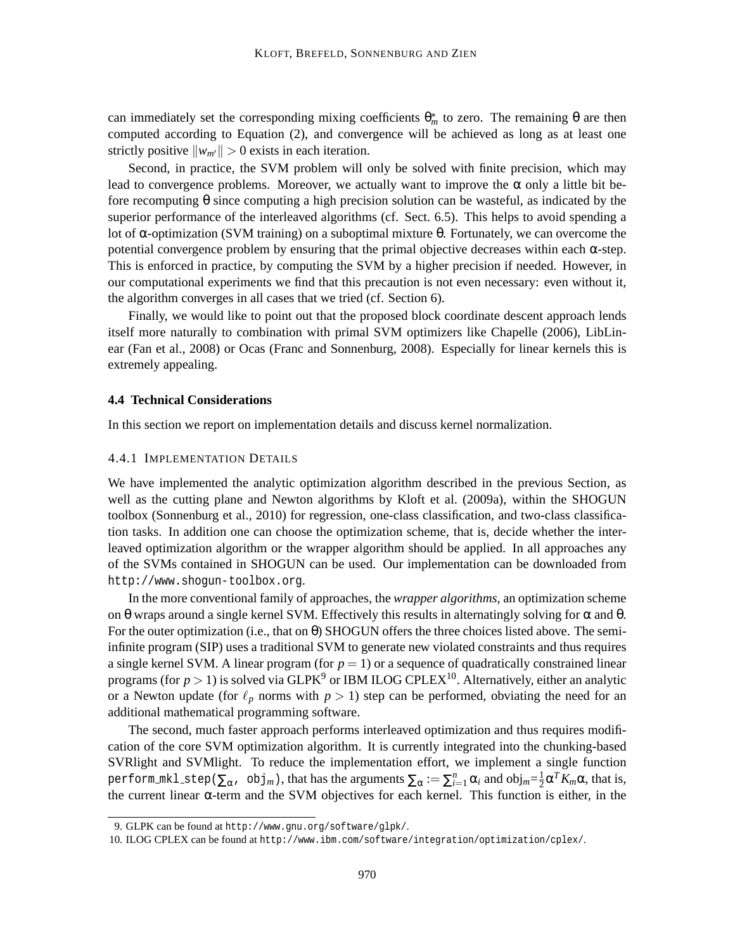can immediately set the corresponding mixing coefficients  $\theta_m^*$  to zero. The remaining  $\theta$  are then computed according to Equation (2), and convergence will be achieved as long as at least one strictly positive  $\|w_{m'}\| > 0$  exists in each iteration.

Second, in practice, the SVM problem will only be solved with finite precision, which may lead to convergence problems. Moreover, we actually want to improve the  $\alpha$  only a little bit before recomputing θ since computing a high precision solution can be wasteful, as indicated by the superior performance of the interleaved algorithms (cf. Sect. 6.5). This helps to avoid spending a lot of α-optimization (SVM training) on a suboptimal mixture θ. Fortunately, we can overcome the potential convergence problem by ensuring that the primal objective decreases within each α-step. This is enforced in practice, by computing the SVM by a higher precision if needed. However, in our computational experiments we find that this precaution is not even necessary: even without it, the algorithm converges in all cases that we tried (cf. Section 6).

Finally, we would like to point out that the proposed block coordinate descent approach lends itself more naturally to combination with primal SVM optimizers like Chapelle (2006), LibLinear (Fan et al., 2008) or Ocas (Franc and Sonnenburg, 2008). Especially for linear kernels this is extremely appealing.

#### **4.4 Technical Considerations**

In this section we report on implementation details and discuss kernel normalization.

#### 4.4.1 IMPLEMENTATION DETAILS

We have implemented the analytic optimization algorithm described in the previous Section, as well as the cutting plane and Newton algorithms by Kloft et al. (2009a), within the SHOGUN toolbox (Sonnenburg et al., 2010) for regression, one-class classification, and two-class classification tasks. In addition one can choose the optimization scheme, that is, decide whether the interleaved optimization algorithm or the wrapper algorithm should be applied. In all approaches any of the SVMs contained in SHOGUN can be used. Our implementation can be downloaded from http://www.shogun-toolbox.org.

In the more conventional family of approaches, the *wrapper algorithms*, an optimization scheme on θ wraps around a single kernel SVM. Effectively this results in alternatingly solving for  $\alpha$  and  $\theta$ . For the outer optimization (i.e., that on  $\theta$ ) SHOGUN offers the three choices listed above. The semiinfinite program (SIP) uses a traditional SVM to generate new violated constraints and thus requires a single kernel SVM. A linear program (for  $p = 1$ ) or a sequence of quadratically constrained linear programs (for  $p > 1$ ) is solved via GLPK<sup>9</sup> or IBM ILOG CPLEX<sup>10</sup>. Alternatively, either an analytic or a Newton update (for  $\ell_p$  norms with  $p > 1$ ) step can be performed, obviating the need for an additional mathematical programming software.

The second, much faster approach performs interleaved optimization and thus requires modification of the core SVM optimization algorithm. It is currently integrated into the chunking-based SVRlight and SVMlight. To reduce the implementation effort, we implement a single function perform\_mkl\_step( $\sum_{\alpha}$ , obj $_m$ ), that has the arguments  $\sum_{\alpha}:=\sum_{i=1}^n\alpha_i$  and  $\text{obj}_m{=}\frac{1}{2}$  $\frac{1}{2}\alpha^T K_m \alpha$ , that is, the current linear α-term and the SVM objectives for each kernel. This function is either, in the

<sup>9.</sup> GLPK can be found at http://www.gnu.org/software/glpk/.

<sup>10.</sup> ILOG CPLEX can be found at http://www.ibm.com/software/integration/optimization/cplex/.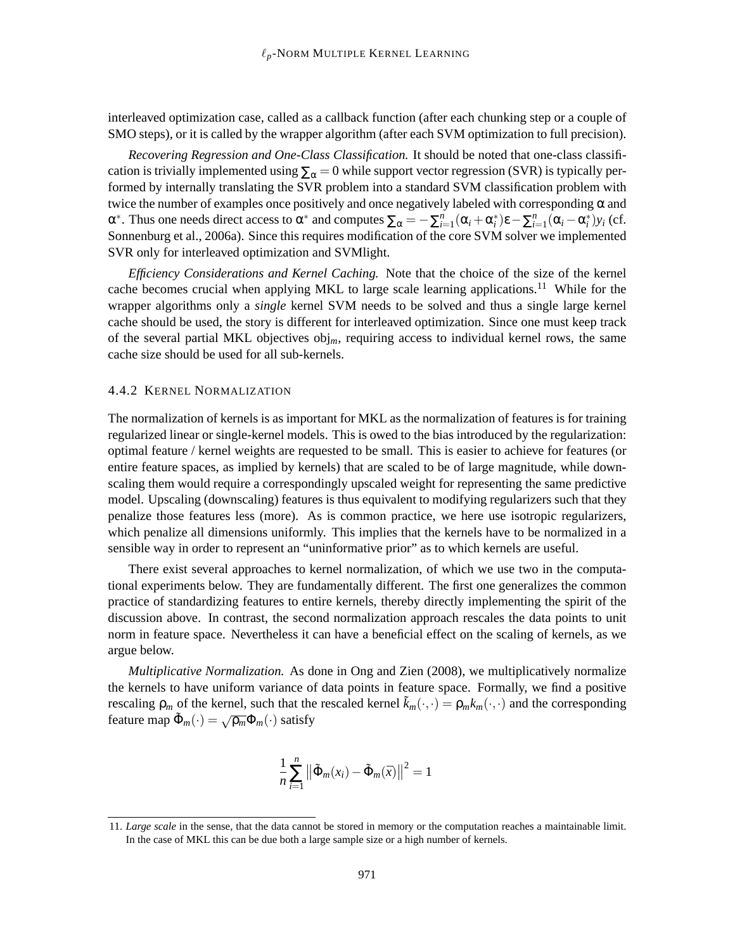interleaved optimization case, called as a callback function (after each chunking step or a couple of SMO steps), or it is called by the wrapper algorithm (after each SVM optimization to full precision).

*Recovering Regression and One-Class Classification.* It should be noted that one-class classification is trivially implemented using  $\Sigma_\alpha = 0$  while support vector regression (SVR) is typically performed by internally translating the SVR problem into a standard SVM classification problem with twice the number of examples once positively and once negatively labeled with corresponding  $\alpha$  and  $α^*$ . Thus one needs direct access to  $α^*$  and computes  $\sum_α = -\sum_{i=1}^n (α_i + α_i^*) ε - \sum_{i=1}^n (α_i - α_i^*) y_i$  (cf. Sonnenburg et al., 2006a). Since this requires modification of the core SVM solver we implemented SVR only for interleaved optimization and SVMlight.

*Efficiency Considerations and Kernel Caching.* Note that the choice of the size of the kernel cache becomes crucial when applying MKL to large scale learning applications.<sup>11</sup> While for the wrapper algorithms only a *single* kernel SVM needs to be solved and thus a single large kernel cache should be used, the story is different for interleaved optimization. Since one must keep track of the several partial MKL objectives obj*m*, requiring access to individual kernel rows, the same cache size should be used for all sub-kernels.

### 4.4.2 KERNEL NORMALIZATION

The normalization of kernels is as important for MKL as the normalization of features is for training regularized linear or single-kernel models. This is owed to the bias introduced by the regularization: optimal feature / kernel weights are requested to be small. This is easier to achieve for features (or entire feature spaces, as implied by kernels) that are scaled to be of large magnitude, while downscaling them would require a correspondingly upscaled weight for representing the same predictive model. Upscaling (downscaling) features is thus equivalent to modifying regularizers such that they penalize those features less (more). As is common practice, we here use isotropic regularizers, which penalize all dimensions uniformly. This implies that the kernels have to be normalized in a sensible way in order to represent an "uninformative prior" as to which kernels are useful.

There exist several approaches to kernel normalization, of which we use two in the computational experiments below. They are fundamentally different. The first one generalizes the common practice of standardizing features to entire kernels, thereby directly implementing the spirit of the discussion above. In contrast, the second normalization approach rescales the data points to unit norm in feature space. Nevertheless it can have a beneficial effect on the scaling of kernels, as we argue below.

*Multiplicative Normalization.* As done in Ong and Zien (2008), we multiplicatively normalize the kernels to have uniform variance of data points in feature space. Formally, we find a positive rescaling  $\rho_m$  of the kernel, such that the rescaled kernel  $\tilde{k}_m(\cdot,\cdot) = \rho_m k_m(\cdot,\cdot)$  and the corresponding feature map  $\tilde{\Phi}_m(\cdot) = \sqrt{\rho_m} \Phi_m(\cdot)$  satisfy

$$
\frac{1}{n}\sum_{i=1}^{n} ||\tilde{\Phi}_{m}(x_{i}) - \tilde{\Phi}_{m}(\bar{x})||^{2} = 1
$$

<sup>11.</sup> *Large scale* in the sense, that the data cannot be stored in memory or the computation reaches a maintainable limit. In the case of MKL this can be due both a large sample size or a high number of kernels.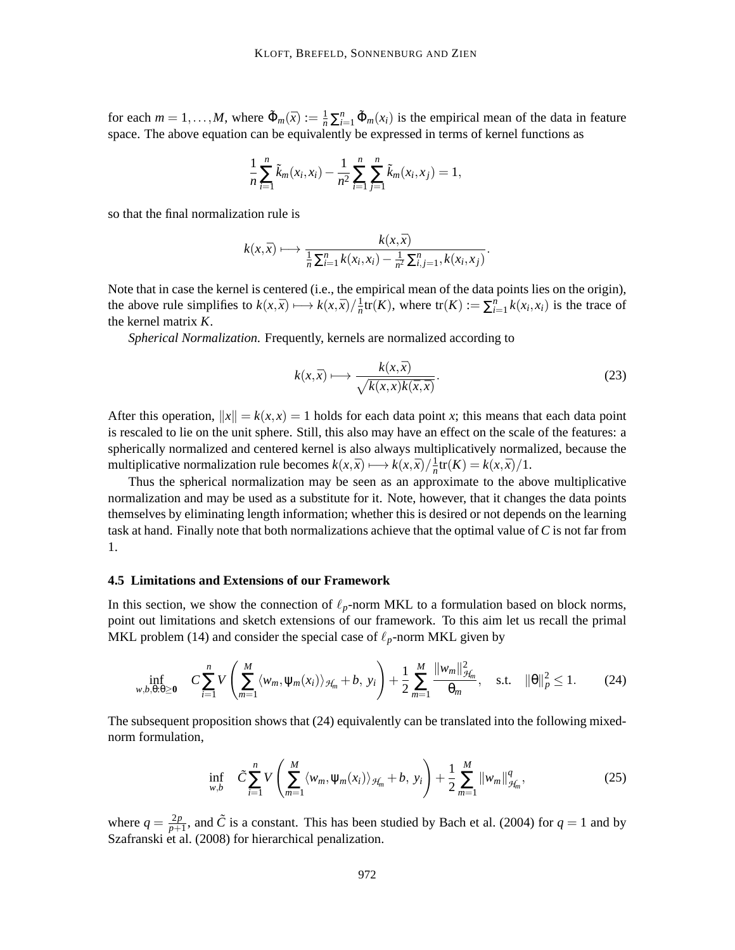for each  $m = 1, ..., M$ , where  $\tilde{\Phi}_m(\bar{x}) := \frac{1}{n} \sum_{i=1}^n \tilde{\Phi}_m(x_i)$  is the empirical mean of the data in feature space. The above equation can be equivalently be expressed in terms of kernel functions as

$$
\frac{1}{n}\sum_{i=1}^n \tilde{k}_m(x_i,x_i) - \frac{1}{n^2}\sum_{i=1}^n \sum_{j=1}^n \tilde{k}_m(x_i,x_j) = 1,
$$

so that the final normalization rule is

$$
k(x,\bar{x}) \longmapsto \frac{k(x,\bar{x})}{\frac{1}{n}\sum_{i=1}^{n}k(x_i,x_i)-\frac{1}{n^2}\sum_{i,j=1}^{n},k(x_i,x_j)}.
$$

Note that in case the kernel is centered (i.e., the empirical mean of the data points lies on the origin), the above rule simplifies to  $k(x, \bar{x}) \longmapsto k(x, \bar{x}) / \frac{1}{n}$  $\frac{1}{n}$ tr(*K*), where tr(*K*) :=  $\sum_{i=1}^{n} k(x_i, x_i)$  is the trace of the kernel matrix *K*.

*Spherical Normalization.* Frequently, kernels are normalized according to

$$
k(x,\bar{x}) \longmapsto \frac{k(x,\bar{x})}{\sqrt{k(x,x)k(\bar{x},\bar{x})}}.
$$
\n(23)

After this operation,  $||x|| = k(x, x) = 1$  holds for each data point x; this means that each data point is rescaled to lie on the unit sphere. Still, this also may have an effect on the scale of the features: a spherically normalized and centered kernel is also always multiplicatively normalized, because the multiplicative normalization rule becomes  $k(x, \bar{x}) \mapsto k(x, \bar{x}) / \frac{1}{n}$  $\frac{1}{n}$ tr(*K*) =  $k(x,\bar{x})/1$ .

Thus the spherical normalization may be seen as an approximate to the above multiplicative normalization and may be used as a substitute for it. Note, however, that it changes the data points themselves by eliminating length information; whether this is desired or not depends on the learning task at hand. Finally note that both normalizations achieve that the optimal value of*C* is not far from 1.

# **4.5 Limitations and Extensions of our Framework**

In this section, we show the connection of  $\ell_p$ -norm MKL to a formulation based on block norms, point out limitations and sketch extensions of our framework. To this aim let us recall the primal MKL problem (14) and consider the special case of  $\ell_p$ -norm MKL given by

$$
\inf_{w,b,\theta:\theta\geq 0} \quad C \sum_{i=1}^{n} V\left(\sum_{m=1}^{M} \langle w_m, \psi_m(x_i) \rangle_{\mathcal{H}_m} + b, \ y_i\right) + \frac{1}{2} \sum_{m=1}^{M} \frac{||w_m||_{\mathcal{H}_m}^2}{\theta_m}, \quad \text{s.t.} \quad ||\theta||_p^2 \leq 1. \tag{24}
$$

The subsequent proposition shows that (24) equivalently can be translated into the following mixednorm formulation,

$$
\inf_{w,b} \quad \tilde{C} \sum_{i=1}^{n} V\left(\sum_{m=1}^{M} \langle w_m, \psi_m(x_i) \rangle_{\mathcal{H}_m} + b, \ y_i\right) + \frac{1}{2} \sum_{m=1}^{M} ||w_m||_{\mathcal{H}_m}^q, \tag{25}
$$

where  $q = \frac{2p}{p+1}$  $\frac{2p}{p+1}$ , and  $\tilde{C}$  is a constant. This has been studied by Bach et al. (2004) for  $q = 1$  and by Szafranski et al. (2008) for hierarchical penalization.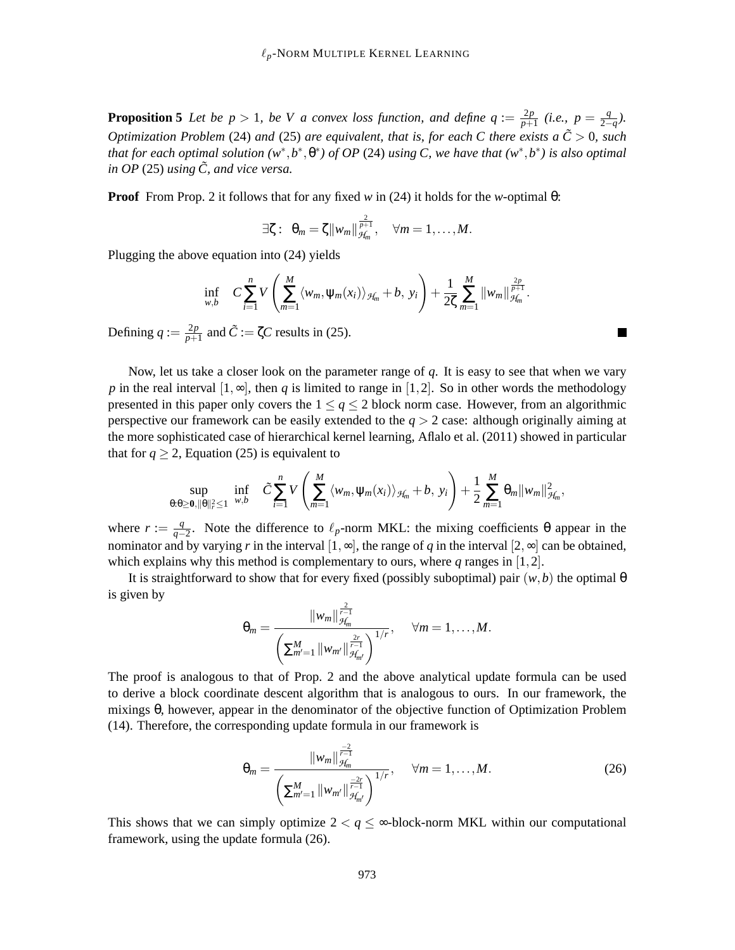**Proposition 5** Let be  $p > 1$ , be V a convex loss function, and define  $q := \frac{2p}{p+1}$  $\frac{2p}{p+1}$  (i.e.,  $p = \frac{q}{2-}$  $\frac{q}{2-q}$ ). *Optimization Problem* (24) *and* (25) *are equivalent, that is, for each C there exists a*  $\tilde{C} > 0$ *, such that for each optimal solution*  $(w^*, b^*, \theta^*)$  *of OP* (24) *using C*, we have that  $(w^*, b^*)$  is also optimal *in OP* (25) *using*  $\tilde{C}$ *, and vice versa.* 

**Proof** From Prop. 2 it follows that for any fixed *w* in (24) it holds for the *w*-optimal θ:

$$
\exists \zeta: \ \theta_m = \zeta \|w_m\|_{\mathcal{H}_m}^{\frac{2}{p+1}}, \quad \forall m = 1,\ldots,M.
$$

Plugging the above equation into (24) yields

$$
\inf_{w,b} C \sum_{i=1}^n V\left(\sum_{m=1}^M \langle w_m, \psi_m(x_i) \rangle_{\mathcal{H}_m} + b, y_i\right) + \frac{1}{2\zeta} \sum_{m=1}^M ||w_m||_{\mathcal{H}_m}^{\frac{2p}{p+1}}.
$$

Defining  $q := \frac{2p}{p+1}$  $\frac{2p}{p+1}$  and  $\tilde{C} := \zeta C$  results in (25).

Now, let us take a closer look on the parameter range of *q*. It is easy to see that when we vary *p* in the real interval  $[1, \infty]$ , then *q* is limited to range in  $[1, 2]$ . So in other words the methodology presented in this paper only covers the  $1 \le q \le 2$  block norm case. However, from an algorithmic perspective our framework can be easily extended to the *q* > 2 case: although originally aiming at the more sophisticated case of hierarchical kernel learning, Aflalo et al. (2011) showed in particular that for  $q \ge 2$ , Equation (25) is equivalent to

$$
\sup_{\theta:\theta\geq 0,\|\theta\|_r^2\leq 1}\inf_{w,b}\quad \tilde{C}\sum_{i=1}^nV\left(\sum_{m=1}^M\langle w_m,\psi_m(x_i)\rangle_{\mathcal{H}_m}+b,\ y_i\right)+\frac{1}{2}\sum_{m=1}^M\theta_m\|w_m\|_{\mathcal{H}_m}^2,
$$

where  $r := \frac{q}{q}$  $\frac{q}{q-2}$ . Note the difference to  $\ell_p$ -norm MKL: the mixing coefficients θ appear in the nominator and by varying *r* in the interval  $[1, \infty]$ , the range of *q* in the interval  $[2, \infty]$  can be obtained, which explains why this method is complementary to ours, where *q* ranges in [1,2].

It is straightforward to show that for every fixed (possibly suboptimal) pair  $(w, b)$  the optimal  $\theta$ is given by

$$
\theta_m = \frac{\|w_m\|_{\mathcal{H}_m}^{\frac{2}{r-1}}}{\left(\sum_{m'=1}^M \|w_{m'}\|_{\mathcal{H}_{m'}}^{\frac{2r}{r-1}}\right)^{1/r}}, \quad \forall m = 1,\ldots,M.
$$

The proof is analogous to that of Prop. 2 and the above analytical update formula can be used to derive a block coordinate descent algorithm that is analogous to ours. In our framework, the mixings θ, however, appear in the denominator of the objective function of Optimization Problem (14). Therefore, the corresponding update formula in our framework is

$$
\theta_m = \frac{\|w_m\|_{\mathcal{H}_m}^{\frac{-2}{r-1}}}{\left(\sum_{m'=1}^M \|w_{m'}\|_{\mathcal{H}_{m'}}^{\frac{-2r}{r-1}}\right)^{1/r}}, \quad \forall m = 1, \dots, M. \tag{26}
$$

This shows that we can simply optimize  $2 < q \leq \infty$ -block-norm MKL within our computational framework, using the update formula (26).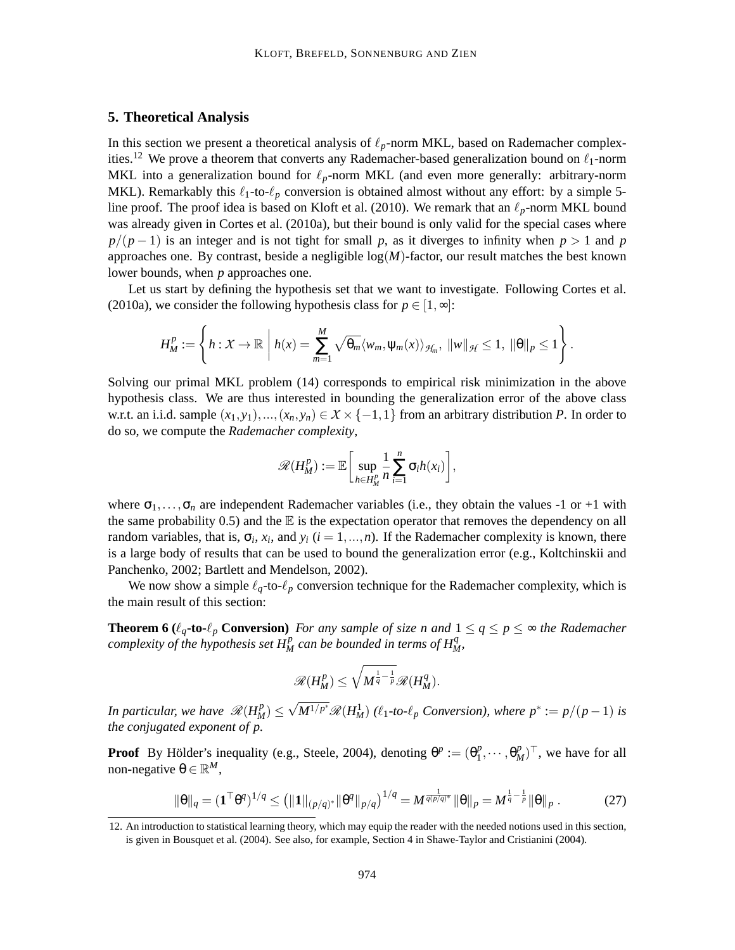# **5. Theoretical Analysis**

In this section we present a theoretical analysis of  $\ell_p$ -norm MKL, based on Rademacher complexities.<sup>12</sup> We prove a theorem that converts any Rademacher-based generalization bound on  $\ell_1$ -norm MKL into a generalization bound for  $\ell_p$ -norm MKL (and even more generally: arbitrary-norm MKL). Remarkably this  $\ell_1$ -to- $\ell_p$  conversion is obtained almost without any effort: by a simple 5line proof. The proof idea is based on Kloft et al. (2010). We remark that an  $\ell_p$ -norm MKL bound was already given in Cortes et al. (2010a), but their bound is only valid for the special cases where  $p/(p-1)$  is an integer and is not tight for small p, as it diverges to infinity when  $p > 1$  and p approaches one. By contrast, beside a negligible  $log(M)$ -factor, our result matches the best known lower bounds, when *p* approaches one.

Let us start by defining the hypothesis set that we want to investigate. Following Cortes et al. (2010a), we consider the following hypothesis class for  $p \in [1, \infty]$ :

$$
H_M^p:=\left\{h:\mathcal{X}\to\mathbb{R}\,\,\bigg|\,\,h(x)=\sum_{m=1}^M\sqrt{\theta_m}\langle w_m,\psi_m(x)\rangle_{\mathcal{H}_m},\,\,\|w\|_{\mathcal{H}}\leq 1,\,\,\|\theta\|_{p}\leq 1\right\}.
$$

Solving our primal MKL problem (14) corresponds to empirical risk minimization in the above hypothesis class. We are thus interested in bounding the generalization error of the above class w.r.t. an i.i.d. sample  $(x_1, y_1),..., (x_n, y_n) \in X \times \{-1,1\}$  from an arbitrary distribution *P*. In order to do so, we compute the *Rademacher complexity*,

$$
\mathscr{R}(H_M^p):=\mathbb{E}\bigg[\sup_{h\in H_M^p}\frac{1}{n}\sum_{i=1}^n\sigma_ih(x_i)\bigg],
$$

where  $\sigma_1, \ldots, \sigma_n$  are independent Rademacher variables (i.e., they obtain the values -1 or +1 with the same probability 0.5) and the  $\mathbb E$  is the expectation operator that removes the dependency on all random variables, that is,  $\sigma_i$ ,  $x_i$ , and  $y_i$  ( $i = 1, ..., n$ ). If the Rademacher complexity is known, there is a large body of results that can be used to bound the generalization error (e.g., Koltchinskii and Panchenko, 2002; Bartlett and Mendelson, 2002).

We now show a simple  $\ell_q$ -to- $\ell_p$  conversion technique for the Rademacher complexity, which is the main result of this section:

**Theorem 6** ( $\ell_q$ **-to-** $\ell_p$  **Conversion**) *For any sample of size n and*  $1 \leq q \leq p \leq \infty$  *the Rademacher complexity of the hypothesis set*  $H_M^p$  *can be bounded in terms of*  $H_M^q$ *,* 

$$
\mathscr{R}(H^{p}_{M})\leq \sqrt{M^{\frac{1}{q}-\frac{1}{p}}}\mathscr{R}(H^{q}_{M}).
$$

*In particular, we have*  $\mathscr{R}(H_M^p) \le \sqrt{M^{1/p^*}} \mathscr{R}(H_M^1)$  ( $\ell_1$ -to- $\ell_p$  Conversion), where  $p^* := p/(p-1)$  is *the conjugated exponent of p.*

**Proof** By Hölder's inequality (e.g., Steele, 2004), denoting  $\theta^p := (\theta_1^p)$  $\theta_1^p, \dots, \theta_M^p)^\top$ , we have for all non-negative θ ∈  $\mathbb{R}^M$ ,

$$
\|\theta\|_q = (\mathbf{1}^\top \theta^q)^{1/q} \le (\|\mathbf{1}\|_{(p/q)^*} \|\theta^q\|_{p/q})^{1/q} = M^{\frac{1}{q(p/q)^*}} \|\theta\|_p = M^{\frac{1}{q} - \frac{1}{p}} \|\theta\|_p. \tag{27}
$$

<sup>12.</sup> An introduction to statistical learning theory, which may equip the reader with the needed notions used in this section, is given in Bousquet et al. (2004). See also, for example, Section 4 in Shawe-Taylor and Cristianini (2004).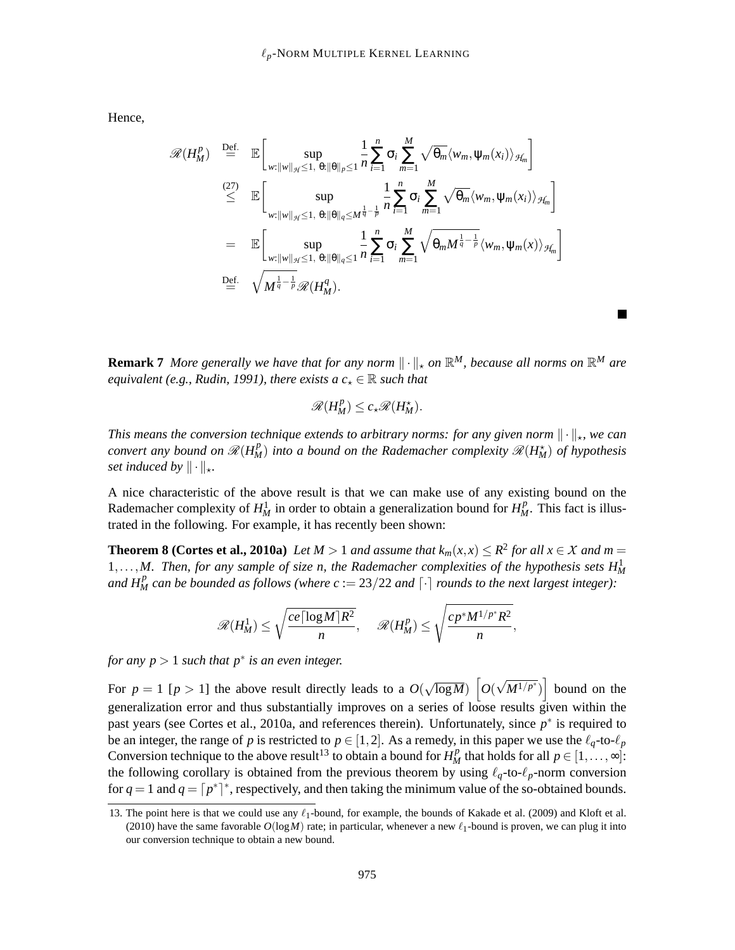Hence,

$$
\mathscr{R}(H_M^p) \stackrel{\text{Def.}}{=} \mathbb{E}\bigg[\sup_{w:\|w\|_{\mathcal{H}}\leq 1, \theta:\|\theta\|_{p}\leq 1} \frac{1}{n} \sum_{i=1}^n \sigma_i \sum_{m=1}^M \sqrt{\theta_m} \langle w_m, \psi_m(x_i) \rangle_{\mathcal{H}_m}\bigg]
$$
\n
$$
\stackrel{(27)}{\leq} \mathbb{E}\bigg[\sup_{w:\|w\|_{\mathcal{H}}\leq 1, \theta:\|\theta\|_{q}\leq M^{\frac{1}{q}-\frac{1}{p}}} \frac{1}{n} \sum_{i=1}^n \sigma_i \sum_{m=1}^M \sqrt{\theta_m} \langle w_m, \psi_m(x_i) \rangle_{\mathcal{H}_m}\bigg]
$$
\n
$$
= \mathbb{E}\bigg[\sup_{w:\|w\|_{\mathcal{H}}\leq 1, \theta:\|\theta\|_{q}\leq 1} \frac{1}{n} \sum_{i=1}^n \sigma_i \sum_{m=1}^M \sqrt{\theta_m M^{\frac{1}{q}-\frac{1}{p}}} \langle w_m, \psi_m(x) \rangle_{\mathcal{H}_m}\bigg]
$$
\n
$$
\stackrel{\text{Def.}}{=} \sqrt{M^{\frac{1}{q}-\frac{1}{p}}} \mathscr{R}(H_M^q).
$$

**Remark 7** More generally we have that for any norm  $\|\cdot\|_{\star}$  on  $\mathbb{R}^{M}$ , because all norms on  $\mathbb{R}^{M}$  are *equivalent (e.g., Rudin, 1991), there exists a*  $c<sub>\star</sub> \in \mathbb{R}$  *such that* 

$$
\mathscr{R}(H_M^p) \leq c_\star \mathscr{R}(H_M^\star).
$$

*This means the conversion technique extends to arbitrary norms: for any given norm*  $\|\cdot\|_*$ *, we can convert any bound on*  $\mathscr{R}(H_M^p)$  *into a bound on the Rademacher complexity*  $\mathscr{R}(H_M^{\star})$  *of hypothesis set induced by*  $\|\cdot\|_{\star}$ *.* 

A nice characteristic of the above result is that we can make use of any existing bound on the Rademacher complexity of  $H_M^1$  in order to obtain a generalization bound for  $H_M^p$ . This fact is illustrated in the following. For example, it has recently been shown:

**Theorem 8 (Cortes et al., 2010a)** *Let*  $M > 1$  *and assume that*  $k_m(x, x) \leq R^2$  *for all*  $x \in X$  *and*  $m = 1$  $1, \ldots, M$ . Then, for any sample of size n, the Rademacher complexities of the hypothesis sets  $H_M^1$ *and*  $H_M^p$  *can be bounded as follows (where c* := 23/22 *and*  $\lceil \cdot \rceil$  *rounds to the next largest integer)*:

$$
\mathscr{R}(H_M^1) \leq \sqrt{\frac{ce\lceil \log M\rceil R^2}{n}}, \quad \mathscr{R}(H_M^p) \leq \sqrt{\frac{cp^*M^{1/p^*}R^2}{n}},
$$

*for any p* > 1 *such that p*∗ *is an even integer.*

For  $p = 1$  [ $p > 1$ ] the above result directly leads to a  $O(\sqrt{\log M})$   $\left[O(\sqrt{M^{1/p^*}})\right]$  bound on the generalization error and thus substantially improves on a series of loose results given within the past years (see Cortes et al., 2010a, and references therein). Unfortunately, since  $p^*$  is required to be an integer, the range of *p* is restricted to  $p \in [1,2]$ . As a remedy, in this paper we use the  $\ell_q$ -to- $\ell_p$ Conversion technique to the above result<sup>13</sup> to obtain a bound for  $H_M^p$  that holds for all  $p \in [1, \ldots, \infty]$ : the following corollary is obtained from the previous theorem by using  $\ell_q$ -to- $\ell_p$ -norm conversion for  $q = 1$  and  $q = \lceil p^* \rceil^*$ , respectively, and then taking the minimum value of the so-obtained bounds.

<sup>13.</sup> The point here is that we could use any  $\ell_1$ -bound, for example, the bounds of Kakade et al. (2009) and Kloft et al. (2010) have the same favorable  $O(logM)$  rate; in particular, whenever a new  $\ell_1$ -bound is proven, we can plug it into our conversion technique to obtain a new bound.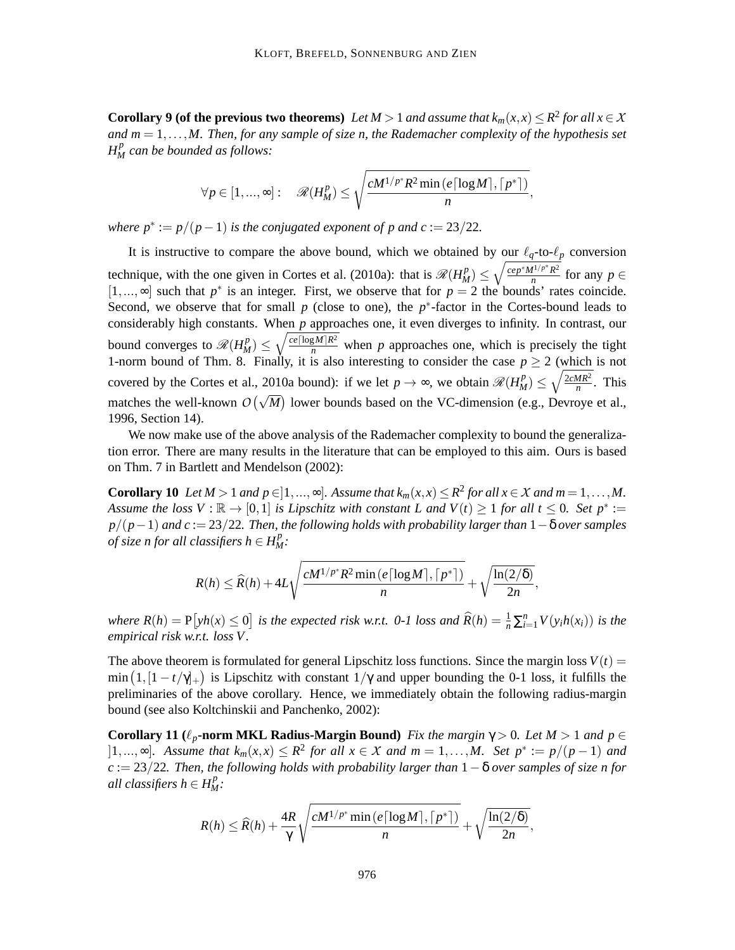**Corollary 9 (of the previous two theorems)** *Let*  $M > 1$  *and assume that*  $k_m(x, x) \leq R^2$  *for all*  $x \in X$ *and m* = 1,...,*M. Then, for any sample of size n, the Rademacher complexity of the hypothesis set*  $H_M^p$  can be bounded as follows:

$$
\forall p \in [1,...,\infty]: \quad \mathscr{R}(H_M^p) \leq \sqrt{\frac{cM^{1/p^*}R^2 \min\left(e\lceil\log M\rceil,\lceil p^*\rceil\right)}{n}},
$$

*where*  $p^* := p/(p-1)$  *is the conjugated exponent of p and c* := 23/22*.* 

It is instructive to compare the above bound, which we obtained by our  $\ell_q$ -to- $\ell_p$  conversion technique, with the one given in Cortes et al. (2010a): that is  $\mathcal{R}(H_M^p) \leq \sqrt{\frac{ce^{p^*}M^{1/p^*}R^2}{n}}$  $\frac{f^{1/p}R^2}{n}$  for any  $p \in$ [1,...,∞] such that  $p^*$  is an integer. First, we observe that for  $p = 2$  the bounds' rates coincide. Second, we observe that for small  $p$  (close to one), the  $p^*$ -factor in the Cortes-bound leads to considerably high constants. When *p* approaches one, it even diverges to infinity. In contrast, our bound converges to  $\mathcal{R}(H_M^p) \leq \sqrt{\frac{ce[\log M]R^2}{n}}$  when *p* approaches one, which is precisely the tight 1-norm bound of Thm. 8. Finally, it is also interesting to consider the case  $p \ge 2$  (which is not covered by the Cortes et al., 2010a bound): if we let  $p \to \infty$ , we obtain  $\mathcal{R}(H_M^p) \le \sqrt{\frac{2cMR^2}{n}}$  $\frac{MR^2}{n}$ . This matches the well-known  $O(\sqrt{M})$  lower bounds based on the VC-dimension (e.g., Devroye et al., 1996, Section 14).

We now make use of the above analysis of the Rademacher complexity to bound the generalization error. There are many results in the literature that can be employed to this aim. Ours is based on Thm. 7 in Bartlett and Mendelson (2002):

**Corollary 10** *Let*  $M > 1$  *and*  $p \in ]1, ..., \infty]$ *. Assume that*  $k_m(x, x) \leq R^2$  *for all*  $x \in X$  *and*  $m = 1, ..., M$ *. Assume the loss*  $V : \mathbb{R} \to [0,1]$  *is Lipschitz with constant L and*  $V(t) \ge 1$  *for all*  $t \le 0$ *. Set*  $p^* :=$ *p*/(*p*−1) *and c* := 23/22*. Then, the following holds with probability larger than* 1−δ *over samples of size n for all classifiers*  $h \in H_M^p$ *:* 

$$
R(h) \leq \widehat{R}(h) + 4L\sqrt{\frac{cM^{1/p^*}R^2\min\left(e\lceil\log M\rceil, \lceil p^*\rceil\right)}{n}} + \sqrt{\frac{\ln(2/\delta)}{2n}},
$$

where  $R(h) = P[yh(x) \le 0]$  is the expected risk w.r.t. 0-1 loss and  $\widehat{R}(h) = \frac{1}{n} \sum_{i=1}^{n} V(y_i h(x_i))$  is the *empirical risk w.r.t. loss V .*

The above theorem is formulated for general Lipschitz loss functions. Since the margin loss  $V(t)$  = min  $(1,[1-t/\gamma]_+)$  is Lipschitz with constant  $1/\gamma$  and upper bounding the 0-1 loss, it fulfills the preliminaries of the above corollary. Hence, we immediately obtain the following radius-margin bound (see also Koltchinskii and Panchenko, 2002):

**Corollary 11** ( $\ell_p$ **-norm MKL Radius-Margin Bound)** *Fix the margin*  $\gamma > 0$ *. Let M* > 1 *and*  $p \in$  $[1,...,∞]$ *.* Assume that  $k_m(x,x) \leq R^2$  for all  $x \in X$  and  $m = 1,...,M$ . Set  $p^* := p/(p-1)$  and *c* := 23/22*. Then, the following holds with probability larger than* 1−δ *over samples of size n for all classifiers h*  $\in$  *H*<sup>*p*</sup><sub>*M*</sub>:

$$
R(h) \leq \widehat{R}(h) + \frac{4R}{\gamma} \sqrt{\frac{cM^{1/p^*} \min(e\lceil \log M \rceil, \lceil p^* \rceil)}{n}} + \sqrt{\frac{\ln(2/\delta)}{2n}},
$$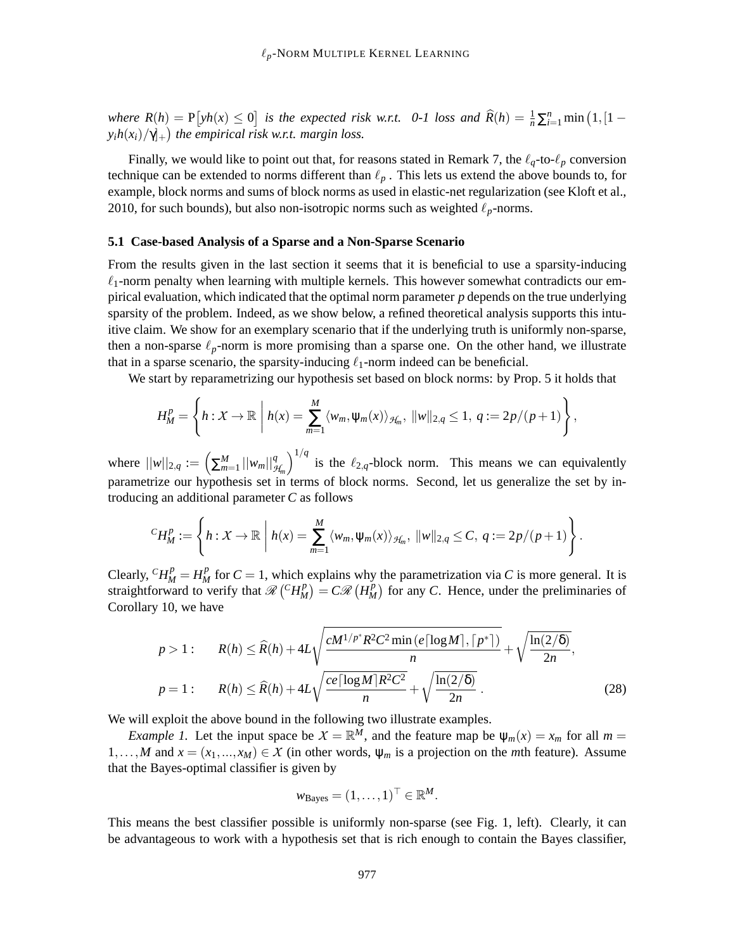*where*  $R(h) = P[yh(x) \le 0]$  *is the expected risk w.r.t.* 0-1 loss and  $\widehat{R}(h) = \frac{1}{n} \sum_{i=1}^{n} \min(1, [1 - \frac{1}{n}]$  $y_i h(x_i)/\gamma]_+$ ) the empirical risk w.r.t. margin loss.

Finally, we would like to point out that, for reasons stated in Remark 7, the  $\ell_q$ -to- $\ell_p$  conversion technique can be extended to norms different than  $\ell_p$ . This lets us extend the above bounds to, for example, block norms and sums of block norms as used in elastic-net regularization (see Kloft et al., 2010, for such bounds), but also non-isotropic norms such as weighted  $\ell_p$ -norms.

# **5.1 Case-based Analysis of a Sparse and a Non-Sparse Scenario**

From the results given in the last section it seems that it is beneficial to use a sparsity-inducing  $\ell_1$ -norm penalty when learning with multiple kernels. This however somewhat contradicts our empirical evaluation, which indicated that the optimal norm parameter *p* depends on the true underlying sparsity of the problem. Indeed, as we show below, a refined theoretical analysis supports this intuitive claim. We show for an exemplary scenario that if the underlying truth is uniformly non-sparse, then a non-sparse  $\ell_p$ -norm is more promising than a sparse one. On the other hand, we illustrate that in a sparse scenario, the sparsity-inducing  $\ell_1$ -norm indeed can be beneficial.

We start by reparametrizing our hypothesis set based on block norms: by Prop. 5 it holds that

$$
H_M^p = \left\{ h: X \to \mathbb{R} \mid h(x) = \sum_{m=1}^M \langle w_m, \psi_m(x) \rangle_{\mathcal{H}_m}, ||w||_{2,q} \leq 1, q := 2p/(p+1) \right\},\
$$

where  $||w||_{2,q} := \left(\sum_{m=1}^{M} ||w_m||_{\mathcal{H}_m}^q\right)$  $\int_0^{1/q}$  is the  $\ell_{2,q}$ -block norm. This means we can equivalently parametrize our hypothesis set in terms of block norms. Second, let us generalize the set by introducing an additional parameter *C* as follows

$$
{}^{C}H_M^p:=\left\{h:\mathcal{X}\to\mathbb{R}\,\bigg|\,h(x)=\sum_{m=1}^M\langle w_m,\psi_m(x)\rangle_{\mathcal{H}_m},\,\|w\|_{2,q}\leq C,\,q:=2p/(p+1)\right\}.
$$

Clearly,  ${}^C H_M^p = H_M^p$  for  $C = 1$ , which explains why the parametrization via *C* is more general. It is straightforward to verify that  $\mathcal{R}$  ( $^cH_M^p$ )  $\binom{p}{M}$  =  $C\mathscr{R}\left(H_M^p\right)$  $\binom{p}{M}$  for any *C*. Hence, under the preliminaries of Corollary 10, we have

$$
p > 1: \qquad R(h) \le \widehat{R}(h) + 4L\sqrt{\frac{cM^{1/p^*}R^2C^2\min\left(e\left[\log M\right],\left\lceil p^*\right\rceil\right)}{n}} + \sqrt{\frac{\ln(2/\delta)}{2n}},
$$
\n
$$
p = 1: \qquad R(h) \le \widehat{R}(h) + 4L\sqrt{\frac{ce\left[\log M\right]R^2C^2}{n}} + \sqrt{\frac{\ln(2/\delta)}{2n}}. \tag{28}
$$

We will exploit the above bound in the following two illustrate examples.

*Example 1.* Let the input space be  $X = \mathbb{R}^M$ , and the feature map be  $\psi_m(x) = x_m$  for all  $m =$ 1,...,*M* and  $x = (x_1, ..., x_M) \in X$  (in other words,  $\Psi_m$  is a projection on the *m*th feature). Assume that the Bayes-optimal classifier is given by

$$
w_{\text{Bayes}} = (1, \ldots, 1)^{\top} \in \mathbb{R}^M.
$$

This means the best classifier possible is uniformly non-sparse (see Fig. 1, left). Clearly, it can be advantageous to work with a hypothesis set that is rich enough to contain the Bayes classifier,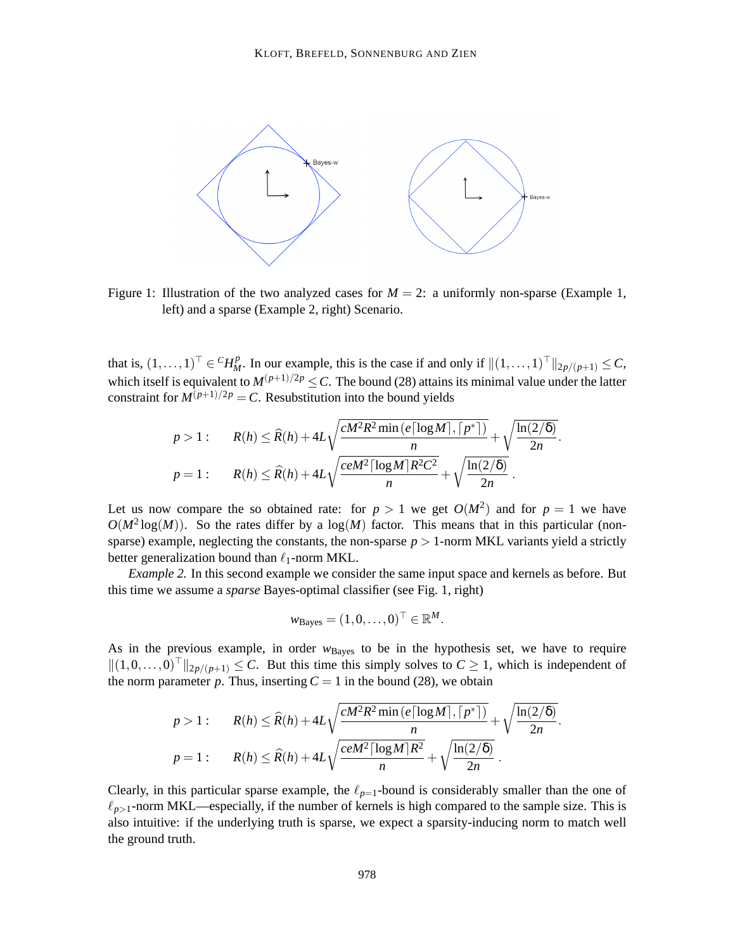

Figure 1: Illustration of the two analyzed cases for  $M = 2$ : a uniformly non-sparse (Example 1, left) and a sparse (Example 2, right) Scenario.

that is,  $(1, \ldots, 1)^\top \in {}^C H_M^p$ . In our example, this is the case if and only if  $||(1, \ldots, 1)^\top ||_{2p/(p+1)} \le C$ , which itself is equivalent to  $M^{(p+1)/2p} \leq C$ . The bound (28) attains its minimal value under the latter constraint for  $M^{(p+1)/2p} = C$ . Resubstitution into the bound yields

$$
p > 1: \qquad R(h) \leq \widehat{R}(h) + 4L\sqrt{\frac{cM^2R^2\min(e\lceil \log M \rceil, \lceil p^* \rceil)}{n}} + \sqrt{\frac{\ln(2/\delta)}{2n}}.
$$

$$
p = 1: \qquad R(h) \leq \widehat{R}(h) + 4L\sqrt{\frac{ceM^2\lceil \log M \rceil R^2C^2}{n}} + \sqrt{\frac{\ln(2/\delta)}{2n}}.
$$

Let us now compare the so obtained rate: for  $p > 1$  we get  $O(M^2)$  and for  $p = 1$  we have  $O(M^2 \log(M))$ . So the rates differ by a  $\log(M)$  factor. This means that in this particular (nonsparse) example, neglecting the constants, the non-sparse  $p > 1$ -norm MKL variants yield a strictly better generalization bound than  $\ell_1$ -norm MKL.

*Example 2.* In this second example we consider the same input space and kernels as before. But this time we assume a *sparse* Bayes-optimal classifier (see Fig. 1, right)

$$
w_{\text{Bayes}} = (1, 0, \ldots, 0)^{\top} \in \mathbb{R}^M.
$$

As in the previous example, in order  $w_{\text{Bayes}}$  to be in the hypothesis set, we have to require  $||(1,0,\ldots,0)||_{2p/(p+1)} \leq C$ . But this time this simply solves to  $C \geq 1$ , which is independent of the norm parameter p. Thus, inserting  $C = 1$  in the bound (28), we obtain

$$
p > 1: \qquad R(h) \leq \widehat{R}(h) + 4L\sqrt{\frac{cM^2R^2\min(e\lceil \log M \rceil, \lceil p^* \rceil)}{n}} + \sqrt{\frac{\ln(2/\delta)}{2n}}.
$$

$$
p = 1: \qquad R(h) \leq \widehat{R}(h) + 4L\sqrt{\frac{ceM^2\lceil \log M \rceil R^2}{n}} + \sqrt{\frac{\ln(2/\delta)}{2n}}.
$$

Clearly, in this particular sparse example, the  $\ell_{p=1}$ -bound is considerably smaller than the one of  $\ell_{p>1}$ -norm MKL—especially, if the number of kernels is high compared to the sample size. This is also intuitive: if the underlying truth is sparse, we expect a sparsity-inducing norm to match well the ground truth.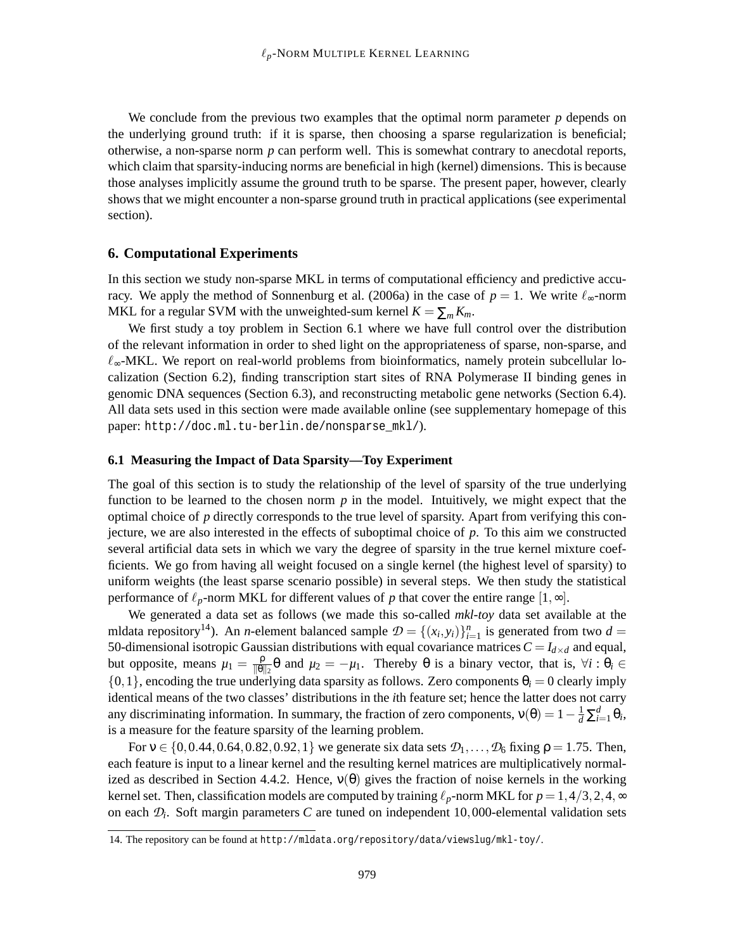We conclude from the previous two examples that the optimal norm parameter *p* depends on the underlying ground truth: if it is sparse, then choosing a sparse regularization is beneficial; otherwise, a non-sparse norm *p* can perform well. This is somewhat contrary to anecdotal reports, which claim that sparsity-inducing norms are beneficial in high (kernel) dimensions. This is because those analyses implicitly assume the ground truth to be sparse. The present paper, however, clearly shows that we might encounter a non-sparse ground truth in practical applications (see experimental section).

# **6. Computational Experiments**

In this section we study non-sparse MKL in terms of computational efficiency and predictive accuracy. We apply the method of Sonnenburg et al. (2006a) in the case of  $p = 1$ . We write  $\ell_{\infty}$ -norm MKL for a regular SVM with the unweighted-sum kernel  $K = \sum_m K_m$ .

We first study a toy problem in Section 6.1 where we have full control over the distribution of the relevant information in order to shed light on the appropriateness of sparse, non-sparse, and  $\ell_{\infty}$ -MKL. We report on real-world problems from bioinformatics, namely protein subcellular localization (Section 6.2), finding transcription start sites of RNA Polymerase II binding genes in genomic DNA sequences (Section 6.3), and reconstructing metabolic gene networks (Section 6.4). All data sets used in this section were made available online (see supplementary homepage of this paper: http://doc.ml.tu-berlin.de/nonsparse\_mkl/).

#### **6.1 Measuring the Impact of Data Sparsity—Toy Experiment**

The goal of this section is to study the relationship of the level of sparsity of the true underlying function to be learned to the chosen norm *p* in the model. Intuitively, we might expect that the optimal choice of *p* directly corresponds to the true level of sparsity. Apart from verifying this conjecture, we are also interested in the effects of suboptimal choice of *p*. To this aim we constructed several artificial data sets in which we vary the degree of sparsity in the true kernel mixture coefficients. We go from having all weight focused on a single kernel (the highest level of sparsity) to uniform weights (the least sparse scenario possible) in several steps. We then study the statistical performance of  $\ell_p$ -norm MKL for different values of p that cover the entire range  $[1, \infty]$ .

We generated a data set as follows (we made this so-called *mkl-toy* data set available at the mldata repository<sup>14</sup>). An *n*-element balanced sample  $\mathcal{D} = \{(x_i, y_i)\}_{i=1}^n$  is generated from two  $d =$ 50-dimensional isotropic Gaussian distributions with equal covariance matrices  $C = I_{d \times d}$  and equal, but opposite, means  $\mu_1 = \frac{\rho}{\|\theta\|}$  $\frac{\beta}{\|\theta\|_2}$ θ and  $\mu_2 = -\mu_1$ . Thereby θ is a binary vector, that is,  $\forall i : \theta_i \in$  $\{0,1\}$ , encoding the true underlying data sparsity as follows. Zero components  $\theta_i = 0$  clearly imply identical means of the two classes' distributions in the *i*th feature set; hence the latter does not carry any discriminating information. In summary, the fraction of zero components,  $v(\theta) = 1 - \frac{1}{d} \sum_{i=1}^{d} \theta_i$ , is a measure for the feature sparsity of the learning problem.

For  $v \in \{0, 0.44, 0.64, 0.82, 0.92, 1\}$  we generate six data sets  $\mathcal{D}_1, \ldots, \mathcal{D}_6$  fixing  $\rho = 1.75$ . Then, each feature is input to a linear kernel and the resulting kernel matrices are multiplicatively normalized as described in Section 4.4.2. Hence,  $v(\theta)$  gives the fraction of noise kernels in the working kernel set. Then, classification models are computed by training  $\ell_p$ -norm MKL for  $p = 1, 4/3, 2, 4, \infty$ on each *D<sup>i</sup>* . Soft margin parameters *C* are tuned on independent 10,000-elemental validation sets

<sup>14.</sup> The repository can be found at http://mldata.org/repository/data/viewslug/mkl-toy/.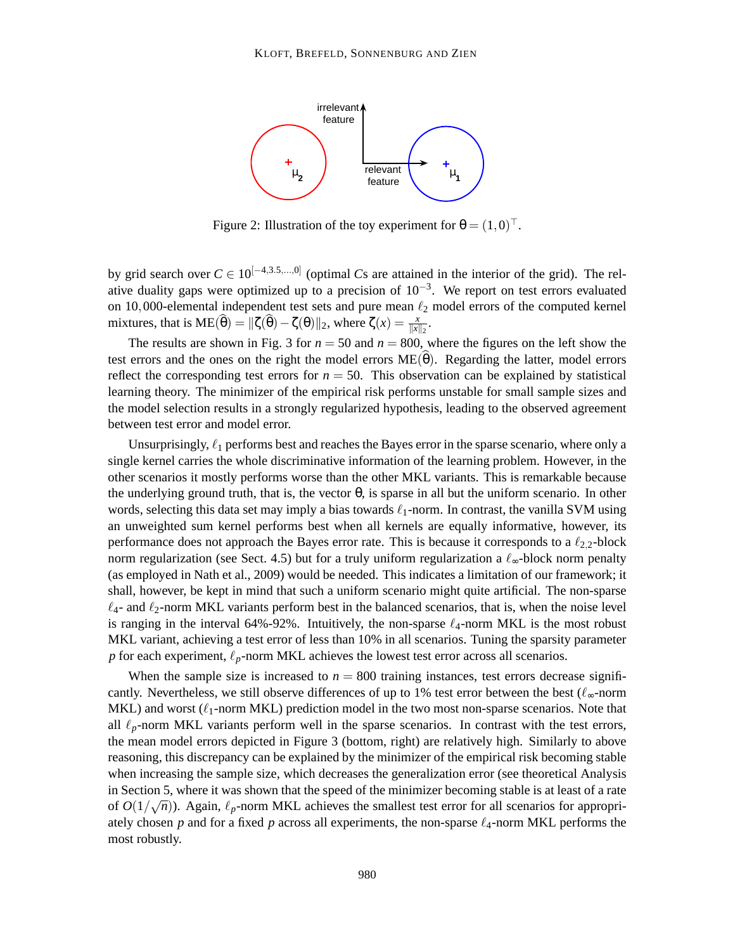

Figure 2: Illustration of the toy experiment for  $\theta = (1,0)^{\top}$ .

by grid search over  $C \in 10^{[-4,3.5,...,0]}$  (optimal *Cs* are attained in the interior of the grid). The relative duality gaps were optimized up to a precision of  $10^{-3}$ . We report on test errors evaluated on 10,000-elemental independent test sets and pure mean  $\ell_2$  model errors of the computed kernel mixtures, that is  $ME(\widehat{\theta}) = ||\zeta(\widehat{\theta}) - \zeta(\theta)||_2$ , where  $\zeta(x) = \frac{x}{||x||_2}$ .

The results are shown in Fig. 3 for  $n = 50$  and  $n = 800$ , where the figures on the left show the test errors and the ones on the right the model errors  $ME(\theta)$ . Regarding the latter, model errors reflect the corresponding test errors for  $n = 50$ . This observation can be explained by statistical learning theory. The minimizer of the empirical risk performs unstable for small sample sizes and the model selection results in a strongly regularized hypothesis, leading to the observed agreement between test error and model error.

Unsurprisingly,  $\ell_1$  performs best and reaches the Bayes error in the sparse scenario, where only a single kernel carries the whole discriminative information of the learning problem. However, in the other scenarios it mostly performs worse than the other MKL variants. This is remarkable because the underlying ground truth, that is, the vector  $\theta$ , is sparse in all but the uniform scenario. In other words, selecting this data set may imply a bias towards  $\ell_1$ -norm. In contrast, the vanilla SVM using an unweighted sum kernel performs best when all kernels are equally informative, however, its performance does not approach the Bayes error rate. This is because it corresponds to a  $\ell_{2,2}$ -block norm regularization (see Sect. 4.5) but for a truly uniform regularization a  $\ell_{\infty}$ -block norm penalty (as employed in Nath et al., 2009) would be needed. This indicates a limitation of our framework; it shall, however, be kept in mind that such a uniform scenario might quite artificial. The non-sparse  $\ell_4$ - and  $\ell_2$ -norm MKL variants perform best in the balanced scenarios, that is, when the noise level is ranging in the interval 64%-92%. Intuitively, the non-sparse  $\ell_4$ -norm MKL is the most robust MKL variant, achieving a test error of less than 10% in all scenarios. Tuning the sparsity parameter *p* for each experiment, ℓ*p*-norm MKL achieves the lowest test error across all scenarios.

When the sample size is increased to  $n = 800$  training instances, test errors decrease significantly. Nevertheless, we still observe differences of up to 1% test error between the best ( $\ell_{\infty}$ -norm MKL) and worst  $(\ell_1$ -norm MKL) prediction model in the two most non-sparse scenarios. Note that all  $\ell_p$ -norm MKL variants perform well in the sparse scenarios. In contrast with the test errors, the mean model errors depicted in Figure 3 (bottom, right) are relatively high. Similarly to above reasoning, this discrepancy can be explained by the minimizer of the empirical risk becoming stable when increasing the sample size, which decreases the generalization error (see theoretical Analysis in Section 5, where it was shown that the speed of the minimizer becoming stable is at least of a rate of  $O(1/\sqrt{n})$ ). Again,  $\ell_p$ -norm MKL achieves the smallest test error for all scenarios for appropriately chosen  $p$  and for a fixed  $p$  across all experiments, the non-sparse  $\ell_4$ -norm MKL performs the most robustly.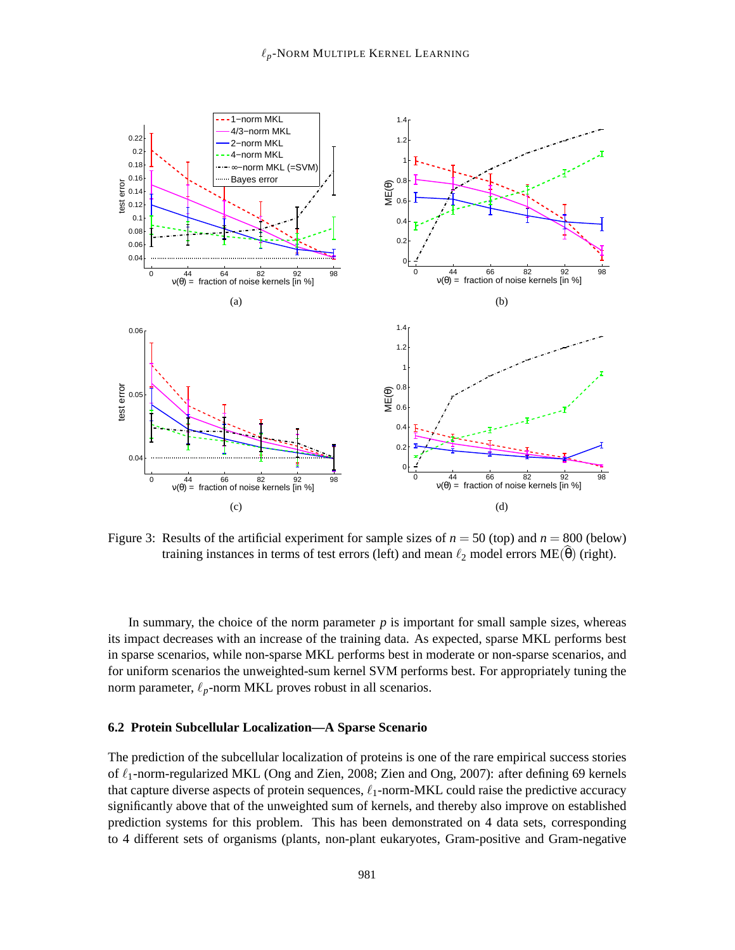

Figure 3: Results of the artificial experiment for sample sizes of  $n = 50$  (top) and  $n = 800$  (below) training instances in terms of test errors (left) and mean  $\ell_2$  model errors ME( $\theta$ ) (right).

In summary, the choice of the norm parameter  $p$  is important for small sample sizes, whereas its impact decreases with an increase of the training data. As expected, sparse MKL performs best in sparse scenarios, while non-sparse MKL performs best in moderate or non-sparse scenarios, and for uniform scenarios the unweighted-sum kernel SVM performs best. For appropriately tuning the norm parameter,  $\ell_p$ -norm MKL proves robust in all scenarios.

#### **6.2 Protein Subcellular Localization—A Sparse Scenario**

The prediction of the subcellular localization of proteins is one of the rare empirical success stories of  $\ell_1$ -norm-regularized MKL (Ong and Zien, 2008; Zien and Ong, 2007): after defining 69 kernels that capture diverse aspects of protein sequences,  $\ell_1$ -norm-MKL could raise the predictive accuracy significantly above that of the unweighted sum of kernels, and thereby also improve on established prediction systems for this problem. This has been demonstrated on 4 data sets, corresponding to 4 different sets of organisms (plants, non-plant eukaryotes, Gram-positive and Gram-negative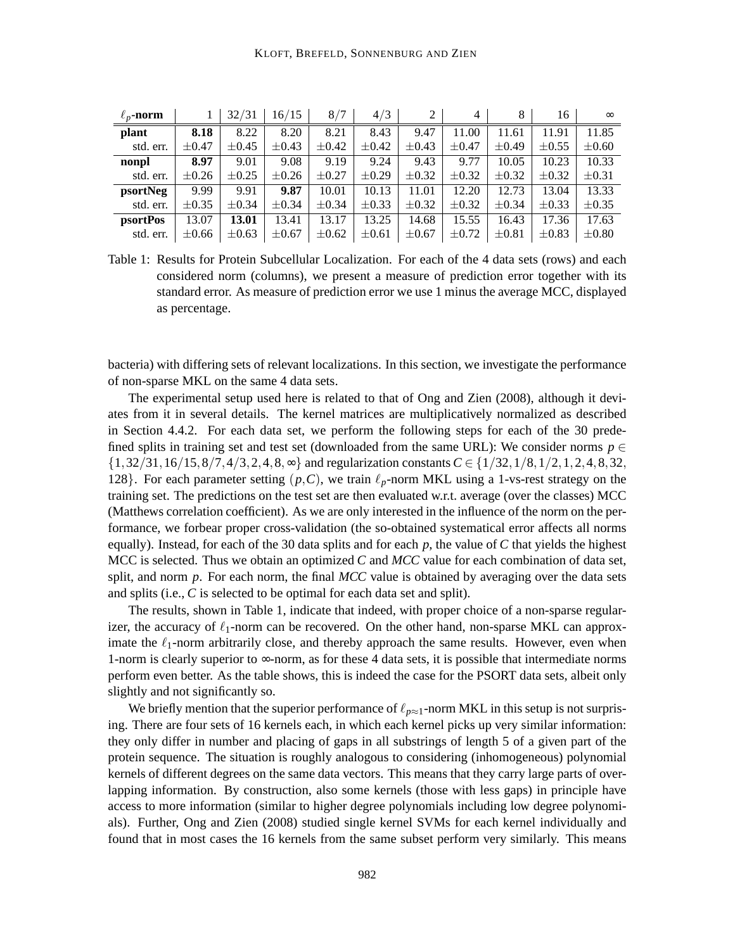| $\ell_n$ -norm  |            | 32/31      | 16/15      | 8/7        | 4/3        |            | 4          | 8          | 16         | $\infty$   |
|-----------------|------------|------------|------------|------------|------------|------------|------------|------------|------------|------------|
| plant           | 8.18       | 8.22       | 8.20       | 8.21       | 8.43       | 9.47       | 11.00      | 11.61      | 11.91      | 11.85      |
| std. err.       | $\pm 0.47$ | $\pm 0.45$ | $\pm 0.43$ | $\pm 0.42$ | $\pm 0.42$ | $\pm 0.43$ | $\pm 0.47$ | $\pm 0.49$ | $\pm 0.55$ | $\pm 0.60$ |
| nonpl           | 8.97       | 9.01       | 9.08       | 9.19       | 9.24       | 9.43       | 9.77       | 10.05      | 10.23      | 10.33      |
| std. err.       | $\pm 0.26$ | $\pm 0.25$ | $\pm 0.26$ | $\pm 0.27$ | $\pm 0.29$ | $\pm 0.32$ | $\pm 0.32$ | $\pm 0.32$ | $\pm 0.32$ | $\pm 0.31$ |
| psortNeg        | 9.99       | 9.91       | 9.87       | 10.01      | 10.13      | 11.01      | 12.20      | 12.73      | 13.04      | 13.33      |
| std. err.       | $\pm 0.35$ | $\pm 0.34$ | $\pm 0.34$ | $\pm 0.34$ | $\pm 0.33$ | $\pm 0.32$ | $\pm 0.32$ | $\pm 0.34$ | $\pm 0.33$ | $\pm 0.35$ |
| <i>psortPos</i> | 13.07      | 13.01      | 13.41      | 13.17      | 13.25      | 14.68      | 15.55      | 16.43      | 17.36      | 17.63      |
| std. err.       | $\pm 0.66$ | $\pm 0.63$ | $\pm 0.67$ | $\pm 0.62$ | $\pm 0.61$ | $\pm 0.67$ | $\pm 0.72$ | $\pm 0.81$ | $\pm 0.83$ | $\pm 0.80$ |

Table 1: Results for Protein Subcellular Localization. For each of the 4 data sets (rows) and each considered norm (columns), we present a measure of prediction error together with its standard error. As measure of prediction error we use 1 minus the average MCC, displayed as percentage.

bacteria) with differing sets of relevant localizations. In this section, we investigate the performance of non-sparse MKL on the same 4 data sets.

The experimental setup used here is related to that of Ong and Zien (2008), although it deviates from it in several details. The kernel matrices are multiplicatively normalized as described in Section 4.4.2. For each data set, we perform the following steps for each of the 30 predefined splits in training set and test set (downloaded from the same URL): We consider norms  $p \in$ {1,32/31,16/15,8/7,4/3,2,4,8,∞} and regularization constants *C* ∈ {1/32,1/8,1/2,1,2,4,8,32, 128}. For each parameter setting  $(p, C)$ , we train  $\ell_p$ -norm MKL using a 1-vs-rest strategy on the training set. The predictions on the test set are then evaluated w.r.t. average (over the classes) MCC (Matthews correlation coefficient). As we are only interested in the influence of the norm on the performance, we forbear proper cross-validation (the so-obtained systematical error affects all norms equally). Instead, for each of the 30 data splits and for each *p*, the value of *C* that yields the highest MCC is selected. Thus we obtain an optimized *C* and *MCC* value for each combination of data set, split, and norm *p*. For each norm, the final *MCC* value is obtained by averaging over the data sets and splits (i.e., *C* is selected to be optimal for each data set and split).

The results, shown in Table 1, indicate that indeed, with proper choice of a non-sparse regularizer, the accuracy of  $\ell_1$ -norm can be recovered. On the other hand, non-sparse MKL can approximate the  $\ell_1$ -norm arbitrarily close, and thereby approach the same results. However, even when 1-norm is clearly superior to  $\infty$ -norm, as for these 4 data sets, it is possible that intermediate norms perform even better. As the table shows, this is indeed the case for the PSORT data sets, albeit only slightly and not significantly so.

We briefly mention that the superior performance of  $\ell_{p\approx 1}$ -norm MKL in this setup is not surprising. There are four sets of 16 kernels each, in which each kernel picks up very similar information: they only differ in number and placing of gaps in all substrings of length 5 of a given part of the protein sequence. The situation is roughly analogous to considering (inhomogeneous) polynomial kernels of different degrees on the same data vectors. This means that they carry large parts of overlapping information. By construction, also some kernels (those with less gaps) in principle have access to more information (similar to higher degree polynomials including low degree polynomials). Further, Ong and Zien (2008) studied single kernel SVMs for each kernel individually and found that in most cases the 16 kernels from the same subset perform very similarly. This means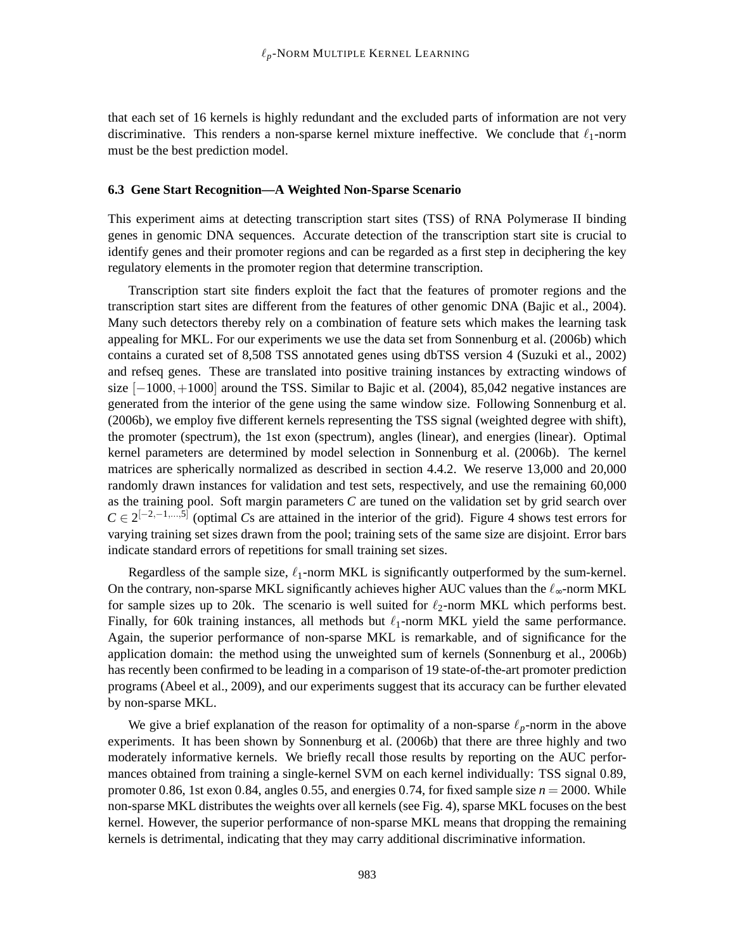that each set of 16 kernels is highly redundant and the excluded parts of information are not very discriminative. This renders a non-sparse kernel mixture ineffective. We conclude that  $\ell_1$ -norm must be the best prediction model.

#### **6.3 Gene Start Recognition—A Weighted Non-Sparse Scenario**

This experiment aims at detecting transcription start sites (TSS) of RNA Polymerase II binding genes in genomic DNA sequences. Accurate detection of the transcription start site is crucial to identify genes and their promoter regions and can be regarded as a first step in deciphering the key regulatory elements in the promoter region that determine transcription.

Transcription start site finders exploit the fact that the features of promoter regions and the transcription start sites are different from the features of other genomic DNA (Bajic et al., 2004). Many such detectors thereby rely on a combination of feature sets which makes the learning task appealing for MKL. For our experiments we use the data set from Sonnenburg et al. (2006b) which contains a curated set of 8,508 TSS annotated genes using dbTSS version 4 (Suzuki et al., 2002) and refseq genes. These are translated into positive training instances by extracting windows of size  $[-1000,+1000]$  around the TSS. Similar to Bajic et al. (2004), 85,042 negative instances are generated from the interior of the gene using the same window size. Following Sonnenburg et al. (2006b), we employ five different kernels representing the TSS signal (weighted degree with shift), the promoter (spectrum), the 1st exon (spectrum), angles (linear), and energies (linear). Optimal kernel parameters are determined by model selection in Sonnenburg et al. (2006b). The kernel matrices are spherically normalized as described in section 4.4.2. We reserve 13,000 and 20,000 randomly drawn instances for validation and test sets, respectively, and use the remaining 60,000 as the training pool. Soft margin parameters *C* are tuned on the validation set by grid search over  $C \in 2^{[-2,-1,...,5]}$  (optimal *Cs* are attained in the interior of the grid). Figure 4 shows test errors for varying training set sizes drawn from the pool; training sets of the same size are disjoint. Error bars indicate standard errors of repetitions for small training set sizes.

Regardless of the sample size,  $\ell_1$ -norm MKL is significantly outperformed by the sum-kernel. On the contrary, non-sparse MKL significantly achieves higher AUC values than the  $\ell_{\infty}$ -norm MKL for sample sizes up to 20k. The scenario is well suited for  $\ell_2$ -norm MKL which performs best. Finally, for 60k training instances, all methods but  $\ell_1$ -norm MKL yield the same performance. Again, the superior performance of non-sparse MKL is remarkable, and of significance for the application domain: the method using the unweighted sum of kernels (Sonnenburg et al., 2006b) has recently been confirmed to be leading in a comparison of 19 state-of-the-art promoter prediction programs (Abeel et al., 2009), and our experiments suggest that its accuracy can be further elevated by non-sparse MKL.

We give a brief explanation of the reason for optimality of a non-sparse  $\ell_p$ -norm in the above experiments. It has been shown by Sonnenburg et al. (2006b) that there are three highly and two moderately informative kernels. We briefly recall those results by reporting on the AUC performances obtained from training a single-kernel SVM on each kernel individually: TSS signal 0.89, promoter 0.86, 1st exon 0.84, angles 0.55, and energies 0.74, for fixed sample size  $n = 2000$ . While non-sparse MKL distributes the weights over all kernels (see Fig. 4), sparse MKL focuses on the best kernel. However, the superior performance of non-sparse MKL means that dropping the remaining kernels is detrimental, indicating that they may carry additional discriminative information.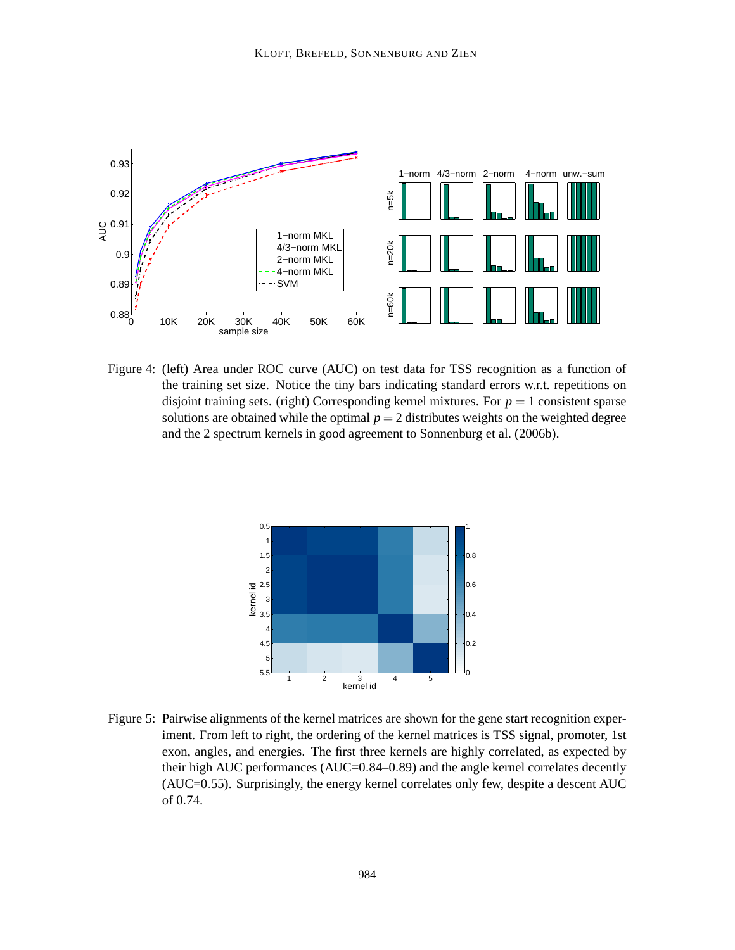

Figure 4: (left) Area under ROC curve (AUC) on test data for TSS recognition as a function of the training set size. Notice the tiny bars indicating standard errors w.r.t. repetitions on disjoint training sets. (right) Corresponding kernel mixtures. For  $p = 1$  consistent sparse solutions are obtained while the optimal  $p = 2$  distributes weights on the weighted degree and the 2 spectrum kernels in good agreement to Sonnenburg et al. (2006b).



Figure 5: Pairwise alignments of the kernel matrices are shown for the gene start recognition experiment. From left to right, the ordering of the kernel matrices is TSS signal, promoter, 1st exon, angles, and energies. The first three kernels are highly correlated, as expected by their high AUC performances (AUC=0.84–0.89) and the angle kernel correlates decently (AUC=0.55). Surprisingly, the energy kernel correlates only few, despite a descent AUC of 0.74.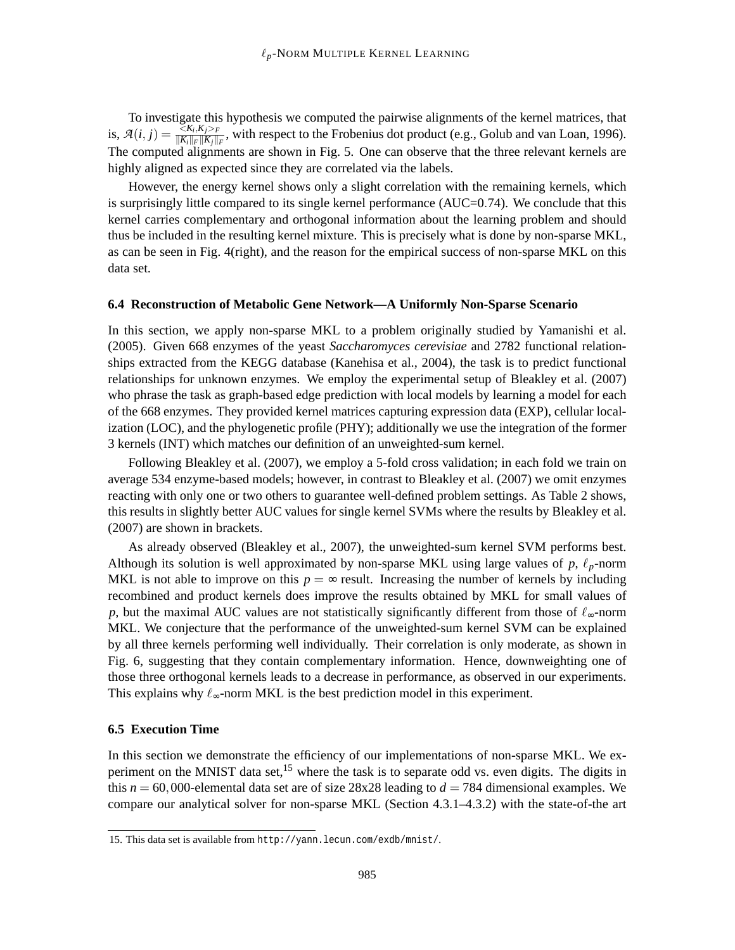To investigate this hypothesis we computed the pairwise alignments of the kernel matrices, that is,  $\mathcal{A}(i, j) = \frac{\leq K_i, K_j > F}{\|K\| \cdot \|F\| \cdot K\|}$  $\frac{\langle \mathcal{R}_i, \mathbf{A}_j \rangle_F}{\|\mathbf{K}_i\|_F \|\mathbf{K}_j\|_F}$ , with respect to the Frobenius dot product (e.g., Golub and van Loan, 1996). The computed alignments are shown in Fig. 5. One can observe that the three relevant kernels are highly aligned as expected since they are correlated via the labels.

However, the energy kernel shows only a slight correlation with the remaining kernels, which is surprisingly little compared to its single kernel performance (AUC=0.74). We conclude that this kernel carries complementary and orthogonal information about the learning problem and should thus be included in the resulting kernel mixture. This is precisely what is done by non-sparse MKL, as can be seen in Fig. 4(right), and the reason for the empirical success of non-sparse MKL on this data set.

# **6.4 Reconstruction of Metabolic Gene Network—A Uniformly Non-Sparse Scenario**

In this section, we apply non-sparse MKL to a problem originally studied by Yamanishi et al. (2005). Given 668 enzymes of the yeast *Saccharomyces cerevisiae* and 2782 functional relationships extracted from the KEGG database (Kanehisa et al., 2004), the task is to predict functional relationships for unknown enzymes. We employ the experimental setup of Bleakley et al. (2007) who phrase the task as graph-based edge prediction with local models by learning a model for each of the 668 enzymes. They provided kernel matrices capturing expression data (EXP), cellular localization (LOC), and the phylogenetic profile (PHY); additionally we use the integration of the former 3 kernels (INT) which matches our definition of an unweighted-sum kernel.

Following Bleakley et al. (2007), we employ a 5-fold cross validation; in each fold we train on average 534 enzyme-based models; however, in contrast to Bleakley et al. (2007) we omit enzymes reacting with only one or two others to guarantee well-defined problem settings. As Table 2 shows, this results in slightly better AUC values for single kernel SVMs where the results by Bleakley et al. (2007) are shown in brackets.

As already observed (Bleakley et al., 2007), the unweighted-sum kernel SVM performs best. Although its solution is well approximated by non-sparse MKL using large values of  $p$ ,  $\ell_p$ -norm MKL is not able to improve on this  $p = \infty$  result. Increasing the number of kernels by including recombined and product kernels does improve the results obtained by MKL for small values of *p*, but the maximal AUC values are not statistically significantly different from those of  $\ell_{\infty}$ -norm MKL. We conjecture that the performance of the unweighted-sum kernel SVM can be explained by all three kernels performing well individually. Their correlation is only moderate, as shown in Fig. 6, suggesting that they contain complementary information. Hence, downweighting one of those three orthogonal kernels leads to a decrease in performance, as observed in our experiments. This explains why  $\ell_{\infty}$ -norm MKL is the best prediction model in this experiment.

# **6.5 Execution Time**

In this section we demonstrate the efficiency of our implementations of non-sparse MKL. We experiment on the MNIST data set,<sup>15</sup> where the task is to separate odd vs. even digits. The digits in this  $n = 60,000$ -elemental data set are of size 28x28 leading to  $d = 784$  dimensional examples. We compare our analytical solver for non-sparse MKL (Section 4.3.1–4.3.2) with the state-of-the art

<sup>15.</sup> This data set is available from http://yann.lecun.com/exdb/mnist/.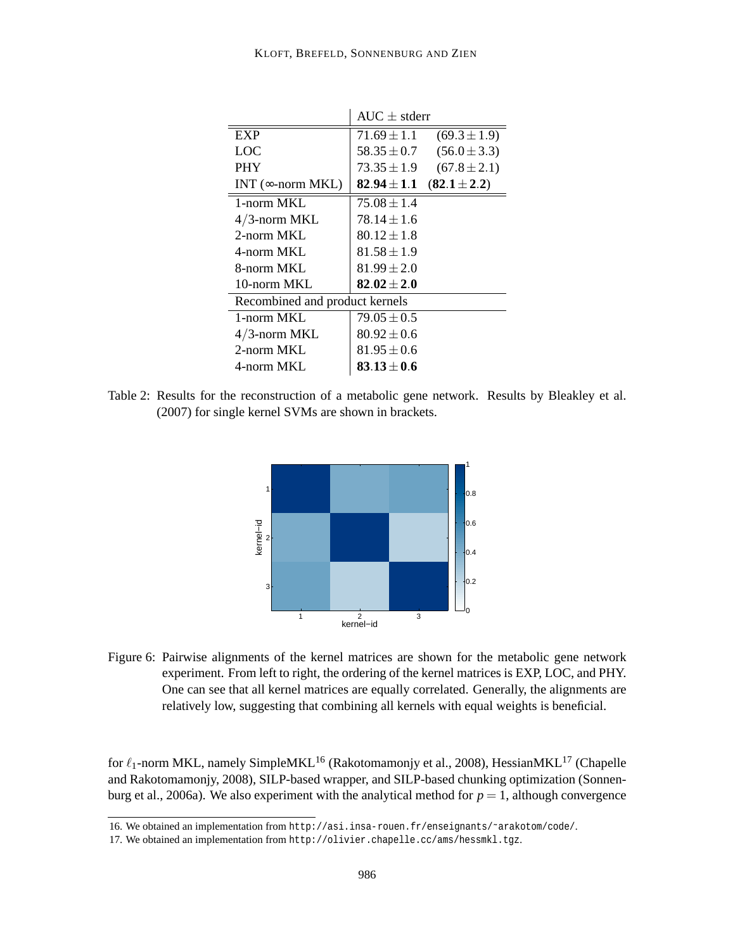|                                | $AUC + stderr$  |                  |  |  |  |
|--------------------------------|-----------------|------------------|--|--|--|
| EXP                            | $71.69 \pm 1.1$ | $(69.3 \pm 1.9)$ |  |  |  |
| LOC                            | $58.35 \pm 0.7$ | $(56.0 \pm 3.3)$ |  |  |  |
| <b>PHY</b>                     | $73.35 \pm 1.9$ | $(67.8 \pm 2.1)$ |  |  |  |
| INT ( $\infty$ -norm MKL)      | $82.94 \pm 1.1$ | $(82.1 \pm 2.2)$ |  |  |  |
| 1-norm $MKL$                   | $75.08 \pm 1.4$ |                  |  |  |  |
| $4/3$ -norm MKL                | $78.14 \pm 1.6$ |                  |  |  |  |
| 2-norm MKL                     | $80.12 \pm 1.8$ |                  |  |  |  |
| 4-norm MKL                     | $81.58 \pm 1.9$ |                  |  |  |  |
| 8-norm MKL                     | $81.99 \pm 2.0$ |                  |  |  |  |
| 10-norm MKL                    | $82.02 \pm 2.0$ |                  |  |  |  |
| Recombined and product kernels |                 |                  |  |  |  |
| 1-norm $MKL$                   | $79.05 \pm 0.5$ |                  |  |  |  |
| $4/3$ -norm MKL                | $80.92 \pm 0.6$ |                  |  |  |  |
| 2-norm MKL                     | $81.95 \pm 0.6$ |                  |  |  |  |
| 4-norm MKL                     | $83.13 \pm 0.6$ |                  |  |  |  |

Table 2: Results for the reconstruction of a metabolic gene network. Results by Bleakley et al. (2007) for single kernel SVMs are shown in brackets.



Figure 6: Pairwise alignments of the kernel matrices are shown for the metabolic gene network experiment. From left to right, the ordering of the kernel matrices is EXP, LOC, and PHY. One can see that all kernel matrices are equally correlated. Generally, the alignments are relatively low, suggesting that combining all kernels with equal weights is beneficial.

for  $\ell_1$ -norm MKL, namely SimpleMKL<sup>16</sup> (Rakotomamonjy et al., 2008), HessianMKL<sup>17</sup> (Chapelle and Rakotomamonjy, 2008), SILP-based wrapper, and SILP-based chunking optimization (Sonnenburg et al., 2006a). We also experiment with the analytical method for  $p = 1$ , although convergence

<sup>16.</sup> We obtained an implementation from http://asi.insa-rouen.fr/enseignants/˜arakotom/code/.

<sup>17.</sup> We obtained an implementation from http://olivier.chapelle.cc/ams/hessmkl.tgz.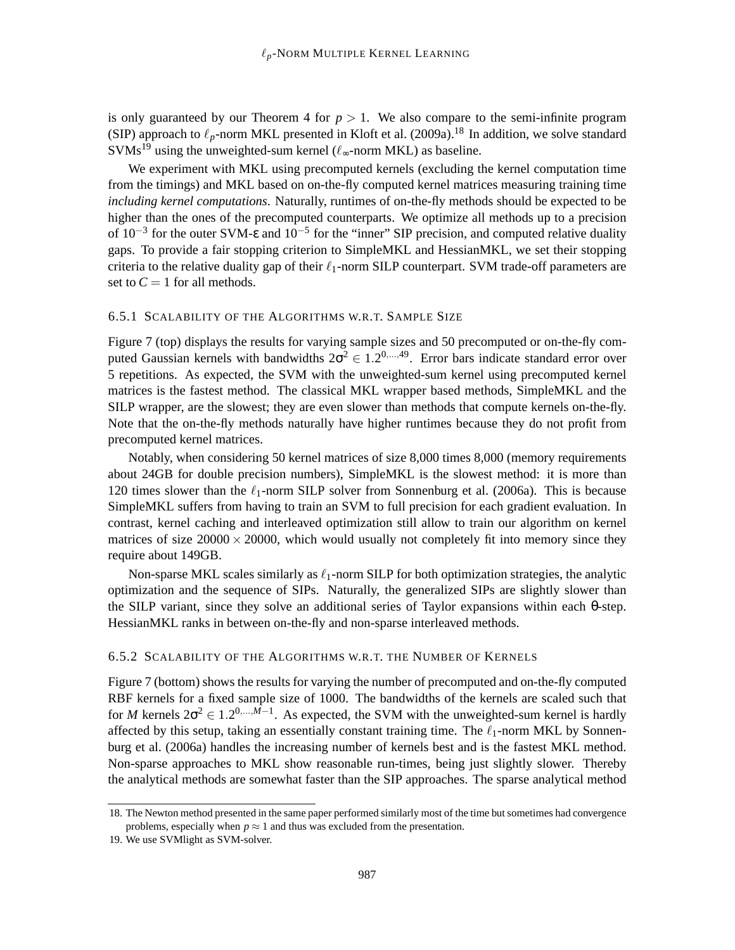is only guaranteed by our Theorem 4 for  $p > 1$ . We also compare to the semi-infinite program (SIP) approach to  $\ell_p$ -norm MKL presented in Kloft et al. (2009a).<sup>18</sup> In addition, we solve standard  $\text{SWMs}^{19}$  using the unweighted-sum kernel ( $\ell_{\infty}$ -norm MKL) as baseline.

We experiment with MKL using precomputed kernels (excluding the kernel computation time from the timings) and MKL based on on-the-fly computed kernel matrices measuring training time *including kernel computations*. Naturally, runtimes of on-the-fly methods should be expected to be higher than the ones of the precomputed counterparts. We optimize all methods up to a precision of  $10^{-3}$  for the outer SVM- $\varepsilon$  and  $10^{-5}$  for the "inner" SIP precision, and computed relative duality gaps. To provide a fair stopping criterion to SimpleMKL and HessianMKL, we set their stopping criteria to the relative duality gap of their  $\ell_1$ -norm SILP counterpart. SVM trade-off parameters are set to  $C = 1$  for all methods.

# 6.5.1 SCALABILITY OF THE ALGORITHMS W.R.T. SAMPLE SIZE

Figure 7 (top) displays the results for varying sample sizes and 50 precomputed or on-the-fly computed Gaussian kernels with bandwidths  $2\sigma^2 \in 1.2^{0,\dots,49}$ . Error bars indicate standard error over 5 repetitions. As expected, the SVM with the unweighted-sum kernel using precomputed kernel matrices is the fastest method. The classical MKL wrapper based methods, SimpleMKL and the SILP wrapper, are the slowest; they are even slower than methods that compute kernels on-the-fly. Note that the on-the-fly methods naturally have higher runtimes because they do not profit from precomputed kernel matrices.

Notably, when considering 50 kernel matrices of size 8,000 times 8,000 (memory requirements about 24GB for double precision numbers), SimpleMKL is the slowest method: it is more than 120 times slower than the  $\ell_1$ -norm SILP solver from Sonnenburg et al. (2006a). This is because SimpleMKL suffers from having to train an SVM to full precision for each gradient evaluation. In contrast, kernel caching and interleaved optimization still allow to train our algorithm on kernel matrices of size  $20000 \times 20000$ , which would usually not completely fit into memory since they require about 149GB.

Non-sparse MKL scales similarly as  $\ell_1$ -norm SILP for both optimization strategies, the analytic optimization and the sequence of SIPs. Naturally, the generalized SIPs are slightly slower than the SILP variant, since they solve an additional series of Taylor expansions within each θ-step. HessianMKL ranks in between on-the-fly and non-sparse interleaved methods.

# 6.5.2 SCALABILITY OF THE ALGORITHMS W.R.T. THE NUMBER OF KERNELS

Figure 7 (bottom) shows the results for varying the number of precomputed and on-the-fly computed RBF kernels for a fixed sample size of 1000. The bandwidths of the kernels are scaled such that for *M* kernels  $2\sigma^2 \in 1.2^{0,\dots,M-1}$ . As expected, the SVM with the unweighted-sum kernel is hardly affected by this setup, taking an essentially constant training time. The  $\ell_1$ -norm MKL by Sonnenburg et al. (2006a) handles the increasing number of kernels best and is the fastest MKL method. Non-sparse approaches to MKL show reasonable run-times, being just slightly slower. Thereby the analytical methods are somewhat faster than the SIP approaches. The sparse analytical method

<sup>18.</sup> The Newton method presented in the same paper performed similarly most of the time but sometimes had convergence problems, especially when  $p \approx 1$  and thus was excluded from the presentation.

<sup>19.</sup> We use SVMlight as SVM-solver.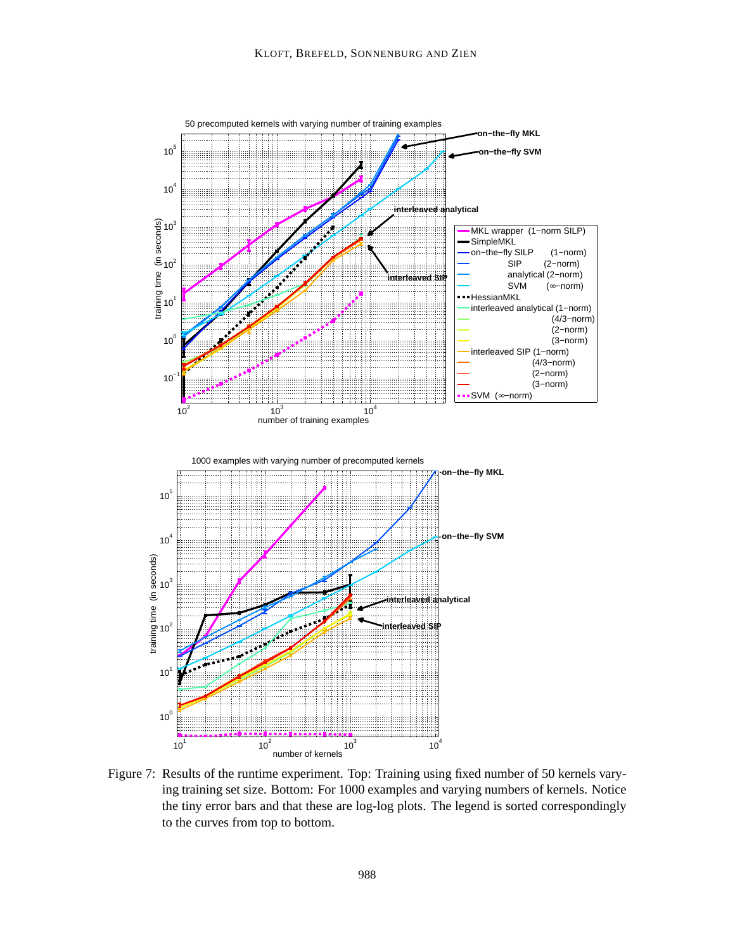

Figure 7: Results of the runtime experiment. Top: Training using fixed number of 50 kernels varying training set size. Bottom: For 1000 examples and varying numbers of kernels. Notice the tiny error bars and that these are log-log plots. The legend is sorted correspondingly to the curves from top to bottom.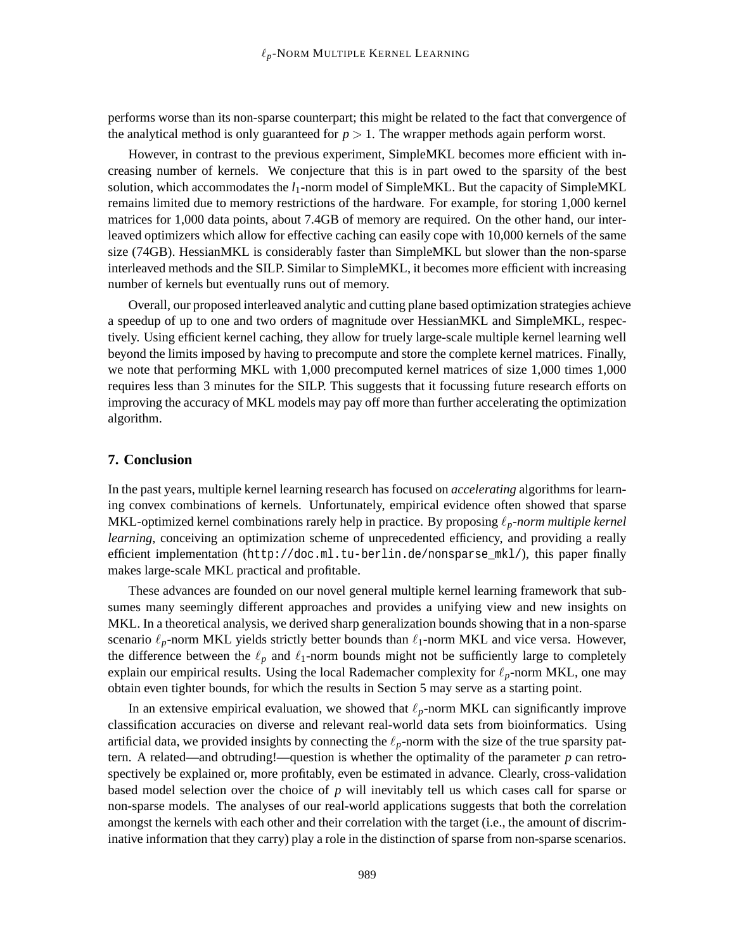performs worse than its non-sparse counterpart; this might be related to the fact that convergence of the analytical method is only guaranteed for  $p > 1$ . The wrapper methods again perform worst.

However, in contrast to the previous experiment, SimpleMKL becomes more efficient with increasing number of kernels. We conjecture that this is in part owed to the sparsity of the best solution, which accommodates the  $l_1$ -norm model of SimpleMKL. But the capacity of SimpleMKL remains limited due to memory restrictions of the hardware. For example, for storing 1,000 kernel matrices for 1,000 data points, about 7.4GB of memory are required. On the other hand, our interleaved optimizers which allow for effective caching can easily cope with 10,000 kernels of the same size (74GB). HessianMKL is considerably faster than SimpleMKL but slower than the non-sparse interleaved methods and the SILP. Similar to SimpleMKL, it becomes more efficient with increasing number of kernels but eventually runs out of memory.

Overall, our proposed interleaved analytic and cutting plane based optimization strategies achieve a speedup of up to one and two orders of magnitude over HessianMKL and SimpleMKL, respectively. Using efficient kernel caching, they allow for truely large-scale multiple kernel learning well beyond the limits imposed by having to precompute and store the complete kernel matrices. Finally, we note that performing MKL with 1,000 precomputed kernel matrices of size 1,000 times 1,000 requires less than 3 minutes for the SILP. This suggests that it focussing future research efforts on improving the accuracy of MKL models may pay off more than further accelerating the optimization algorithm.

# **7. Conclusion**

In the past years, multiple kernel learning research has focused on *accelerating* algorithms for learning convex combinations of kernels. Unfortunately, empirical evidence often showed that sparse MKL-optimized kernel combinations rarely help in practice. By proposing ℓ*p-norm multiple kernel learning*, conceiving an optimization scheme of unprecedented efficiency, and providing a really efficient implementation (http://doc.ml.tu-berlin.de/nonsparse\_mkl/), this paper finally makes large-scale MKL practical and profitable.

These advances are founded on our novel general multiple kernel learning framework that subsumes many seemingly different approaches and provides a unifying view and new insights on MKL. In a theoretical analysis, we derived sharp generalization bounds showing that in a non-sparse scenario  $\ell_p$ -norm MKL yields strictly better bounds than  $\ell_1$ -norm MKL and vice versa. However, the difference between the  $\ell_p$  and  $\ell_1$ -norm bounds might not be sufficiently large to completely explain our empirical results. Using the local Rademacher complexity for ℓ*p*-norm MKL, one may obtain even tighter bounds, for which the results in Section 5 may serve as a starting point.

In an extensive empirical evaluation, we showed that  $\ell_p$ -norm MKL can significantly improve classification accuracies on diverse and relevant real-world data sets from bioinformatics. Using artificial data, we provided insights by connecting the  $\ell_p$ -norm with the size of the true sparsity pattern. A related—and obtruding!—question is whether the optimality of the parameter  $p$  can retrospectively be explained or, more profitably, even be estimated in advance. Clearly, cross-validation based model selection over the choice of *p* will inevitably tell us which cases call for sparse or non-sparse models. The analyses of our real-world applications suggests that both the correlation amongst the kernels with each other and their correlation with the target (i.e., the amount of discriminative information that they carry) play a role in the distinction of sparse from non-sparse scenarios.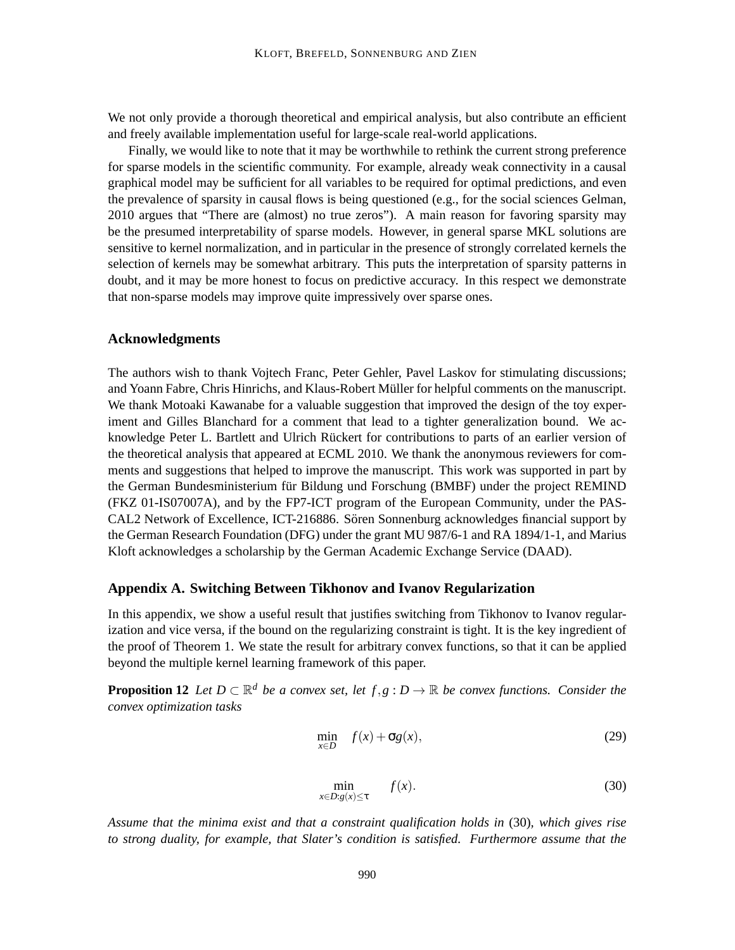We not only provide a thorough theoretical and empirical analysis, but also contribute an efficient and freely available implementation useful for large-scale real-world applications.

Finally, we would like to note that it may be worthwhile to rethink the current strong preference for sparse models in the scientific community. For example, already weak connectivity in a causal graphical model may be sufficient for all variables to be required for optimal predictions, and even the prevalence of sparsity in causal flows is being questioned (e.g., for the social sciences Gelman, 2010 argues that "There are (almost) no true zeros"). A main reason for favoring sparsity may be the presumed interpretability of sparse models. However, in general sparse MKL solutions are sensitive to kernel normalization, and in particular in the presence of strongly correlated kernels the selection of kernels may be somewhat arbitrary. This puts the interpretation of sparsity patterns in doubt, and it may be more honest to focus on predictive accuracy. In this respect we demonstrate that non-sparse models may improve quite impressively over sparse ones.

# **Acknowledgments**

The authors wish to thank Vojtech Franc, Peter Gehler, Pavel Laskov for stimulating discussions; and Yoann Fabre, Chris Hinrichs, and Klaus-Robert Muller for helpful comments on the manuscript. ¨ We thank Motoaki Kawanabe for a valuable suggestion that improved the design of the toy experiment and Gilles Blanchard for a comment that lead to a tighter generalization bound. We acknowledge Peter L. Bartlett and Ulrich Rückert for contributions to parts of an earlier version of the theoretical analysis that appeared at ECML 2010. We thank the anonymous reviewers for comments and suggestions that helped to improve the manuscript. This work was supported in part by the German Bundesministerium für Bildung und Forschung (BMBF) under the project REMIND (FKZ 01-IS07007A), and by the FP7-ICT program of the European Community, under the PAS-CAL2 Network of Excellence, ICT-216886. Sören Sonnenburg acknowledges financial support by the German Research Foundation (DFG) under the grant MU 987/6-1 and RA 1894/1-1, and Marius Kloft acknowledges a scholarship by the German Academic Exchange Service (DAAD).

#### **Appendix A. Switching Between Tikhonov and Ivanov Regularization**

In this appendix, we show a useful result that justifies switching from Tikhonov to Ivanov regularization and vice versa, if the bound on the regularizing constraint is tight. It is the key ingredient of the proof of Theorem 1. We state the result for arbitrary convex functions, so that it can be applied beyond the multiple kernel learning framework of this paper.

**Proposition 12** *Let*  $D \subset \mathbb{R}^d$  *be a convex set, let*  $f, g : D \to \mathbb{R}$  *be convex functions. Consider the convex optimization tasks*

$$
\min_{x \in D} f(x) + \sigma g(x),\tag{29}
$$

$$
\min_{x \in D: g(x) \le \tau} f(x). \tag{30}
$$

*Assume that the minima exist and that a constraint qualification holds in* (30)*, which gives rise to strong duality, for example, that Slater's condition is satisfied. Furthermore assume that the*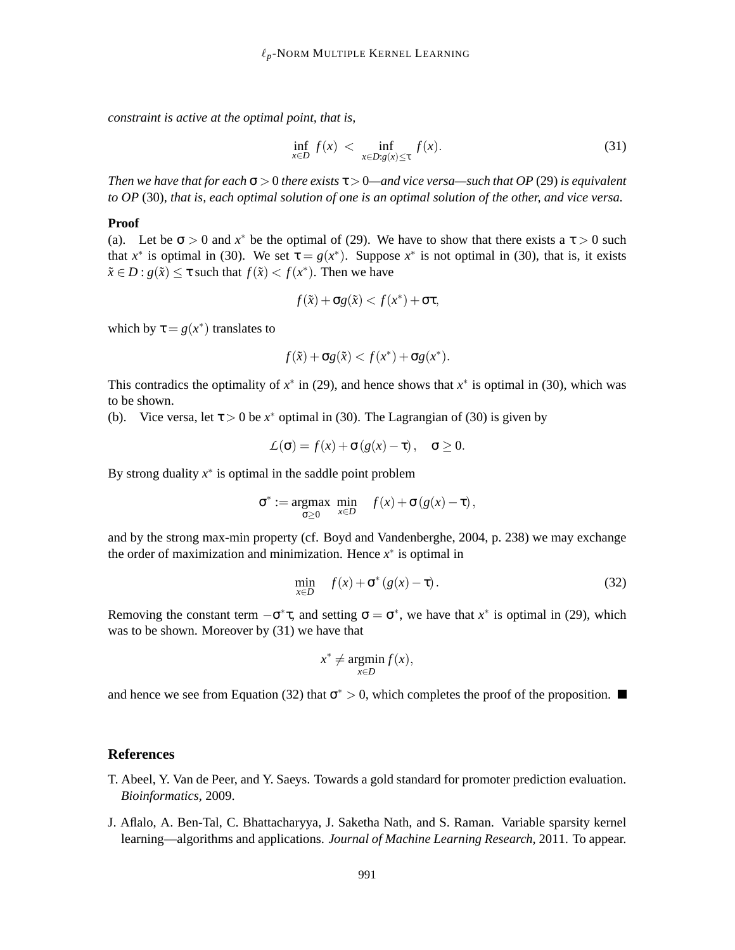*constraint is active at the optimal point, that is,*

$$
\inf_{x \in D} f(x) < \inf_{x \in D: g(x) \le \tau} f(x). \tag{31}
$$

*Then we have that for each*  $\sigma > 0$  *there exists*  $\tau > 0$ —and vice versa—such that OP (29) is equivalent *to OP* (30)*, that is, each optimal solution of one is an optimal solution of the other, and vice versa.*

#### **Proof**

(a). Let be  $\sigma > 0$  and  $x^*$  be the optimal of (29). We have to show that there exists a  $\tau > 0$  such that  $x^*$  is optimal in (30). We set  $\tau = g(x^*)$ . Suppose  $x^*$  is not optimal in (30), that is, it exists  $\tilde{x} \in D : g(\tilde{x}) \leq \tau$  such that  $f(\tilde{x}) < f(x^*)$ . Then we have

$$
f(\tilde{x}) + \sigma g(\tilde{x}) < f(x^*) + \sigma \tau,
$$

which by  $\tau = g(x^*)$  translates to

$$
f(\tilde{x}) + \sigma g(\tilde{x}) < f(x^*) + \sigma g(x^*).
$$

This contradics the optimality of  $x^*$  in (29), and hence shows that  $x^*$  is optimal in (30), which was to be shown.

(b). Vice versa, let  $\tau > 0$  be  $x^*$  optimal in (30). The Lagrangian of (30) is given by

$$
\mathcal{L}(\sigma) = f(x) + \sigma(g(x) - \tau), \quad \sigma \ge 0.
$$

By strong duality  $x^*$  is optimal in the saddle point problem

$$
\sigma^* := \underset{\sigma \ge 0}{\operatorname{argmax}} \ \underset{x \in D}{\operatorname{min}} \quad f(x) + \sigma(g(x) - \tau),
$$

and by the strong max-min property (cf. Boyd and Vandenberghe, 2004, p. 238) we may exchange the order of maximization and minimization. Hence  $x^*$  is optimal in

$$
\min_{x \in D} f(x) + \sigma^* (g(x) - \tau). \tag{32}
$$

Removing the constant term  $-\sigma^* \tau$ , and setting  $\sigma = \sigma^*$ , we have that  $x^*$  is optimal in (29), which was to be shown. Moreover by (31) we have that

$$
x^* \neq \operatorname*{argmin}_{x \in D} f(x),
$$

and hence we see from Equation (32) that  $\sigma^* > 0$ , which completes the proof of the proposition.

## **References**

- T. Abeel, Y. Van de Peer, and Y. Saeys. Towards a gold standard for promoter prediction evaluation. *Bioinformatics*, 2009.
- J. Aflalo, A. Ben-Tal, C. Bhattacharyya, J. Saketha Nath, and S. Raman. Variable sparsity kernel learning—algorithms and applications. *Journal of Machine Learning Research*, 2011. To appear.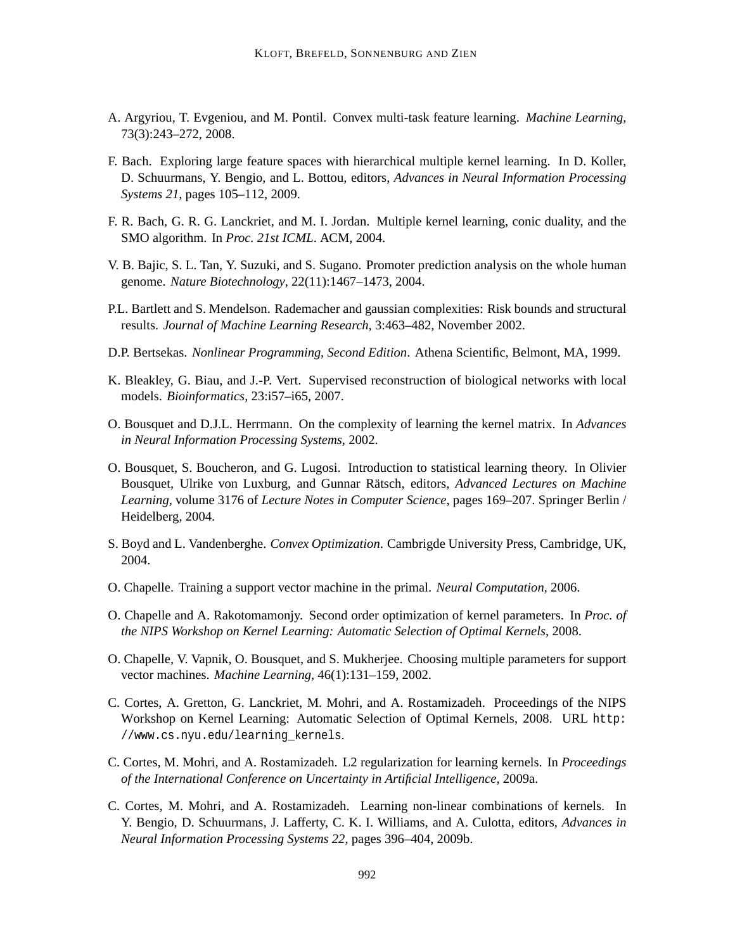- A. Argyriou, T. Evgeniou, and M. Pontil. Convex multi-task feature learning. *Machine Learning*, 73(3):243–272, 2008.
- F. Bach. Exploring large feature spaces with hierarchical multiple kernel learning. In D. Koller, D. Schuurmans, Y. Bengio, and L. Bottou, editors, *Advances in Neural Information Processing Systems 21*, pages 105–112, 2009.
- F. R. Bach, G. R. G. Lanckriet, and M. I. Jordan. Multiple kernel learning, conic duality, and the SMO algorithm. In *Proc. 21st ICML*. ACM, 2004.
- V. B. Bajic, S. L. Tan, Y. Suzuki, and S. Sugano. Promoter prediction analysis on the whole human genome. *Nature Biotechnology*, 22(11):1467–1473, 2004.
- P.L. Bartlett and S. Mendelson. Rademacher and gaussian complexities: Risk bounds and structural results. *Journal of Machine Learning Research*, 3:463–482, November 2002.
- D.P. Bertsekas. *Nonlinear Programming, Second Edition*. Athena Scientific, Belmont, MA, 1999.
- K. Bleakley, G. Biau, and J.-P. Vert. Supervised reconstruction of biological networks with local models. *Bioinformatics*, 23:i57–i65, 2007.
- O. Bousquet and D.J.L. Herrmann. On the complexity of learning the kernel matrix. In *Advances in Neural Information Processing Systems*, 2002.
- O. Bousquet, S. Boucheron, and G. Lugosi. Introduction to statistical learning theory. In Olivier Bousquet, Ulrike von Luxburg, and Gunnar Rätsch, editors, *Advanced Lectures on Machine Learning*, volume 3176 of *Lecture Notes in Computer Science*, pages 169–207. Springer Berlin / Heidelberg, 2004.
- S. Boyd and L. Vandenberghe. *Convex Optimization*. Cambrigde University Press, Cambridge, UK, 2004.
- O. Chapelle. Training a support vector machine in the primal. *Neural Computation*, 2006.
- O. Chapelle and A. Rakotomamonjy. Second order optimization of kernel parameters. In *Proc. of the NIPS Workshop on Kernel Learning: Automatic Selection of Optimal Kernels*, 2008.
- O. Chapelle, V. Vapnik, O. Bousquet, and S. Mukherjee. Choosing multiple parameters for support vector machines. *Machine Learning*, 46(1):131–159, 2002.
- C. Cortes, A. Gretton, G. Lanckriet, M. Mohri, and A. Rostamizadeh. Proceedings of the NIPS Workshop on Kernel Learning: Automatic Selection of Optimal Kernels, 2008. URL http: //www.cs.nyu.edu/learning\_kernels.
- C. Cortes, M. Mohri, and A. Rostamizadeh. L2 regularization for learning kernels. In *Proceedings of the International Conference on Uncertainty in Artificial Intelligence*, 2009a.
- C. Cortes, M. Mohri, and A. Rostamizadeh. Learning non-linear combinations of kernels. In Y. Bengio, D. Schuurmans, J. Lafferty, C. K. I. Williams, and A. Culotta, editors, *Advances in Neural Information Processing Systems 22*, pages 396–404, 2009b.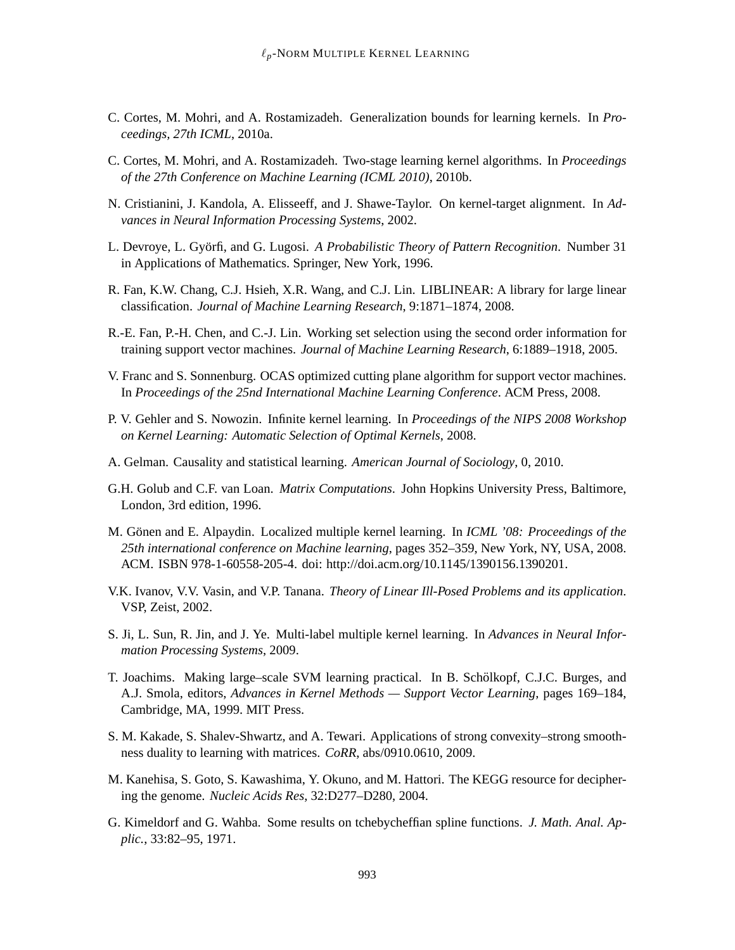- C. Cortes, M. Mohri, and A. Rostamizadeh. Generalization bounds for learning kernels. In *Proceedings, 27th ICML*, 2010a.
- C. Cortes, M. Mohri, and A. Rostamizadeh. Two-stage learning kernel algorithms. In *Proceedings of the 27th Conference on Machine Learning (ICML 2010)*, 2010b.
- N. Cristianini, J. Kandola, A. Elisseeff, and J. Shawe-Taylor. On kernel-target alignment. In *Advances in Neural Information Processing Systems*, 2002.
- L. Devroye, L. Györfi, and G. Lugosi. *A Probabilistic Theory of Pattern Recognition*. Number 31 in Applications of Mathematics. Springer, New York, 1996.
- R. Fan, K.W. Chang, C.J. Hsieh, X.R. Wang, and C.J. Lin. LIBLINEAR: A library for large linear classification. *Journal of Machine Learning Research*, 9:1871–1874, 2008.
- R.-E. Fan, P.-H. Chen, and C.-J. Lin. Working set selection using the second order information for training support vector machines. *Journal of Machine Learning Research*, 6:1889–1918, 2005.
- V. Franc and S. Sonnenburg. OCAS optimized cutting plane algorithm for support vector machines. In *Proceedings of the 25nd International Machine Learning Conference*. ACM Press, 2008.
- P. V. Gehler and S. Nowozin. Infinite kernel learning. In *Proceedings of the NIPS 2008 Workshop on Kernel Learning: Automatic Selection of Optimal Kernels*, 2008.
- A. Gelman. Causality and statistical learning. *American Journal of Sociology*, 0, 2010.
- G.H. Golub and C.F. van Loan. *Matrix Computations*. John Hopkins University Press, Baltimore, London, 3rd edition, 1996.
- M. Gönen and E. Alpaydin. Localized multiple kernel learning. In *ICML '08: Proceedings of the 25th international conference on Machine learning*, pages 352–359, New York, NY, USA, 2008. ACM. ISBN 978-1-60558-205-4. doi: http://doi.acm.org/10.1145/1390156.1390201.
- V.K. Ivanov, V.V. Vasin, and V.P. Tanana. *Theory of Linear Ill-Posed Problems and its application*. VSP, Zeist, 2002.
- S. Ji, L. Sun, R. Jin, and J. Ye. Multi-label multiple kernel learning. In *Advances in Neural Information Processing Systems*, 2009.
- T. Joachims. Making large–scale SVM learning practical. In B. Scholkopf, C.J.C. Burges, and ¨ A.J. Smola, editors, *Advances in Kernel Methods — Support Vector Learning*, pages 169–184, Cambridge, MA, 1999. MIT Press.
- S. M. Kakade, S. Shalev-Shwartz, and A. Tewari. Applications of strong convexity–strong smoothness duality to learning with matrices. *CoRR*, abs/0910.0610, 2009.
- M. Kanehisa, S. Goto, S. Kawashima, Y. Okuno, and M. Hattori. The KEGG resource for deciphering the genome. *Nucleic Acids Res*, 32:D277–D280, 2004.
- G. Kimeldorf and G. Wahba. Some results on tchebycheffian spline functions. *J. Math. Anal. Applic.*, 33:82–95, 1971.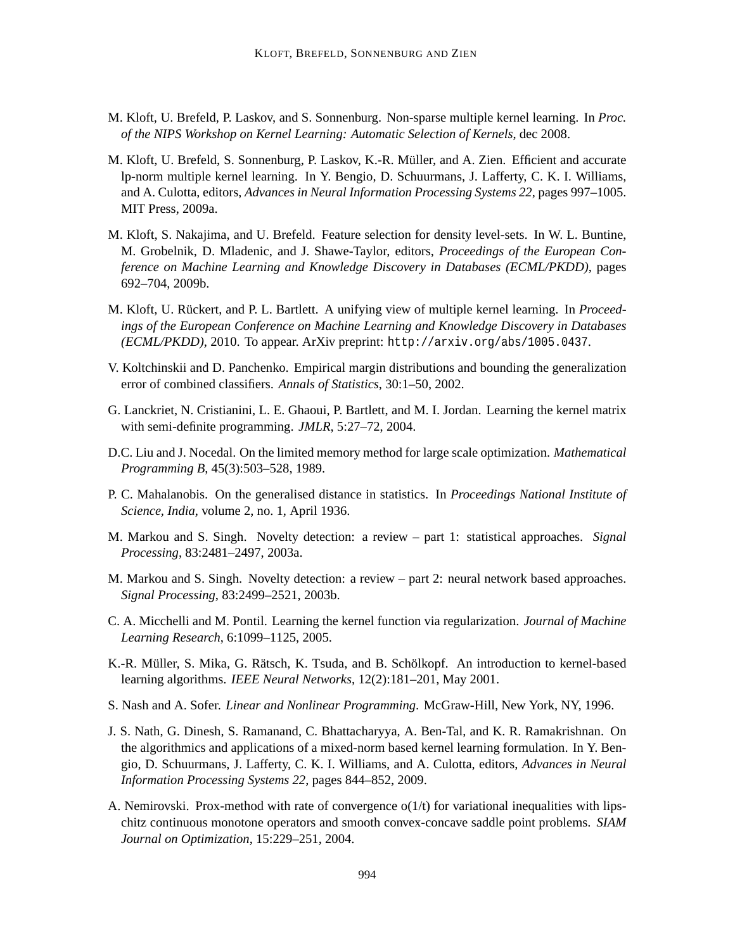- M. Kloft, U. Brefeld, P. Laskov, and S. Sonnenburg. Non-sparse multiple kernel learning. In *Proc. of the NIPS Workshop on Kernel Learning: Automatic Selection of Kernels*, dec 2008.
- M. Kloft, U. Brefeld, S. Sonnenburg, P. Laskov, K.-R. Muller, and A. Zien. Efficient and accurate ¨ lp-norm multiple kernel learning. In Y. Bengio, D. Schuurmans, J. Lafferty, C. K. I. Williams, and A. Culotta, editors, *Advances in Neural Information Processing Systems 22*, pages 997–1005. MIT Press, 2009a.
- M. Kloft, S. Nakajima, and U. Brefeld. Feature selection for density level-sets. In W. L. Buntine, M. Grobelnik, D. Mladenic, and J. Shawe-Taylor, editors, *Proceedings of the European Conference on Machine Learning and Knowledge Discovery in Databases (ECML/PKDD)*, pages 692–704, 2009b.
- M. Kloft, U. Rückert, and P. L. Bartlett. A unifying view of multiple kernel learning. In *Proceedings of the European Conference on Machine Learning and Knowledge Discovery in Databases (ECML/PKDD)*, 2010. To appear. ArXiv preprint: http://arxiv.org/abs/1005.0437.
- V. Koltchinskii and D. Panchenko. Empirical margin distributions and bounding the generalization error of combined classifiers. *Annals of Statistics*, 30:1–50, 2002.
- G. Lanckriet, N. Cristianini, L. E. Ghaoui, P. Bartlett, and M. I. Jordan. Learning the kernel matrix with semi-definite programming. *JMLR*, 5:27–72, 2004.
- D.C. Liu and J. Nocedal. On the limited memory method for large scale optimization. *Mathematical Programming B*, 45(3):503–528, 1989.
- P. C. Mahalanobis. On the generalised distance in statistics. In *Proceedings National Institute of Science, India*, volume 2, no. 1, April 1936.
- M. Markou and S. Singh. Novelty detection: a review part 1: statistical approaches. *Signal Processing*, 83:2481–2497, 2003a.
- M. Markou and S. Singh. Novelty detection: a review part 2: neural network based approaches. *Signal Processing*, 83:2499–2521, 2003b.
- C. A. Micchelli and M. Pontil. Learning the kernel function via regularization. *Journal of Machine Learning Research*, 6:1099–1125, 2005.
- K.-R. Müller, S. Mika, G. Rätsch, K. Tsuda, and B. Schölkopf. An introduction to kernel-based learning algorithms. *IEEE Neural Networks*, 12(2):181–201, May 2001.
- S. Nash and A. Sofer. *Linear and Nonlinear Programming*. McGraw-Hill, New York, NY, 1996.
- J. S. Nath, G. Dinesh, S. Ramanand, C. Bhattacharyya, A. Ben-Tal, and K. R. Ramakrishnan. On the algorithmics and applications of a mixed-norm based kernel learning formulation. In Y. Bengio, D. Schuurmans, J. Lafferty, C. K. I. Williams, and A. Culotta, editors, *Advances in Neural Information Processing Systems 22*, pages 844–852, 2009.
- A. Nemirovski. Prox-method with rate of convergence  $o(1/t)$  for variational inequalities with lipschitz continuous monotone operators and smooth convex-concave saddle point problems. *SIAM Journal on Optimization*, 15:229–251, 2004.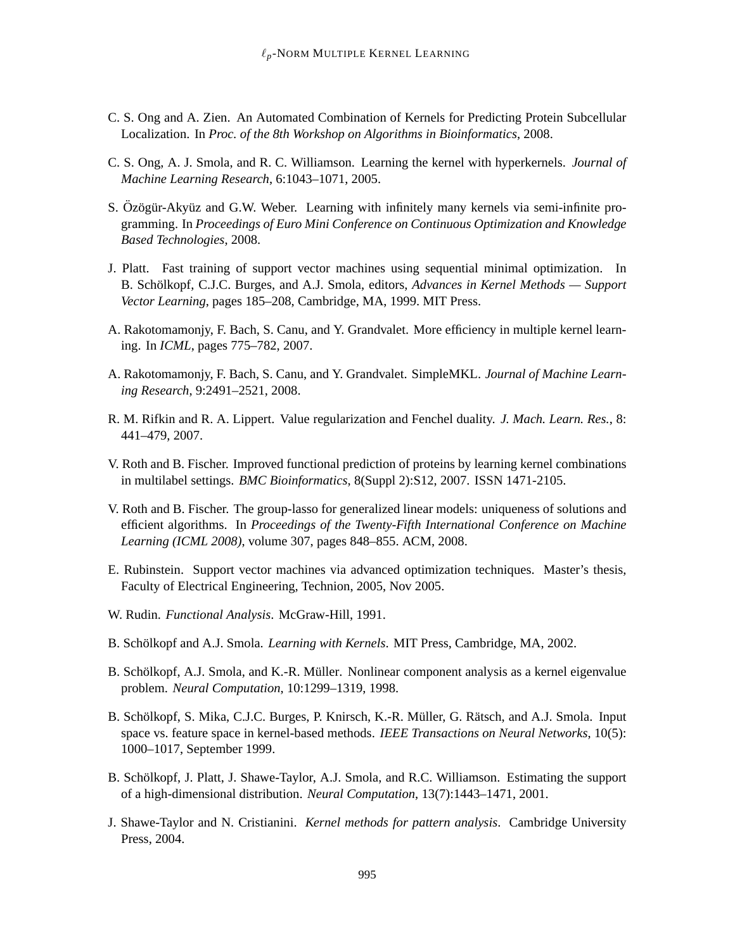- C. S. Ong and A. Zien. An Automated Combination of Kernels for Predicting Protein Subcellular Localization. In *Proc. of the 8th Workshop on Algorithms in Bioinformatics*, 2008.
- C. S. Ong, A. J. Smola, and R. C. Williamson. Learning the kernel with hyperkernels. *Journal of Machine Learning Research*, 6:1043–1071, 2005.
- S. Özögür-Akyüz and G.W. Weber. Learning with infinitely many kernels via semi-infinite programming. In *Proceedings of Euro Mini Conference on Continuous Optimization and Knowledge Based Technologies*, 2008.
- J. Platt. Fast training of support vector machines using sequential minimal optimization. In B. Schölkopf, C.J.C. Burges, and A.J. Smola, editors, *Advances in Kernel Methods — Support Vector Learning*, pages 185–208, Cambridge, MA, 1999. MIT Press.
- A. Rakotomamonjy, F. Bach, S. Canu, and Y. Grandvalet. More efficiency in multiple kernel learning. In *ICML*, pages 775–782, 2007.
- A. Rakotomamonjy, F. Bach, S. Canu, and Y. Grandvalet. SimpleMKL. *Journal of Machine Learning Research*, 9:2491–2521, 2008.
- R. M. Rifkin and R. A. Lippert. Value regularization and Fenchel duality. *J. Mach. Learn. Res.*, 8: 441–479, 2007.
- V. Roth and B. Fischer. Improved functional prediction of proteins by learning kernel combinations in multilabel settings. *BMC Bioinformatics*, 8(Suppl 2):S12, 2007. ISSN 1471-2105.
- V. Roth and B. Fischer. The group-lasso for generalized linear models: uniqueness of solutions and efficient algorithms. In *Proceedings of the Twenty-Fifth International Conference on Machine Learning (ICML 2008)*, volume 307, pages 848–855. ACM, 2008.
- E. Rubinstein. Support vector machines via advanced optimization techniques. Master's thesis, Faculty of Electrical Engineering, Technion, 2005, Nov 2005.
- W. Rudin. *Functional Analysis*. McGraw-Hill, 1991.
- B. Schölkopf and A.J. Smola. *Learning with Kernels*. MIT Press, Cambridge, MA, 2002.
- B. Schölkopf, A.J. Smola, and K.-R. Müller. Nonlinear component analysis as a kernel eigenvalue problem. *Neural Computation*, 10:1299–1319, 1998.
- B. Schölkopf, S. Mika, C.J.C. Burges, P. Knirsch, K.-R. Müller, G. Rätsch, and A.J. Smola. Input space vs. feature space in kernel-based methods. *IEEE Transactions on Neural Networks*, 10(5): 1000–1017, September 1999.
- B. Schölkopf, J. Platt, J. Shawe-Taylor, A.J. Smola, and R.C. Williamson. Estimating the support of a high-dimensional distribution. *Neural Computation*, 13(7):1443–1471, 2001.
- J. Shawe-Taylor and N. Cristianini. *Kernel methods for pattern analysis*. Cambridge University Press, 2004.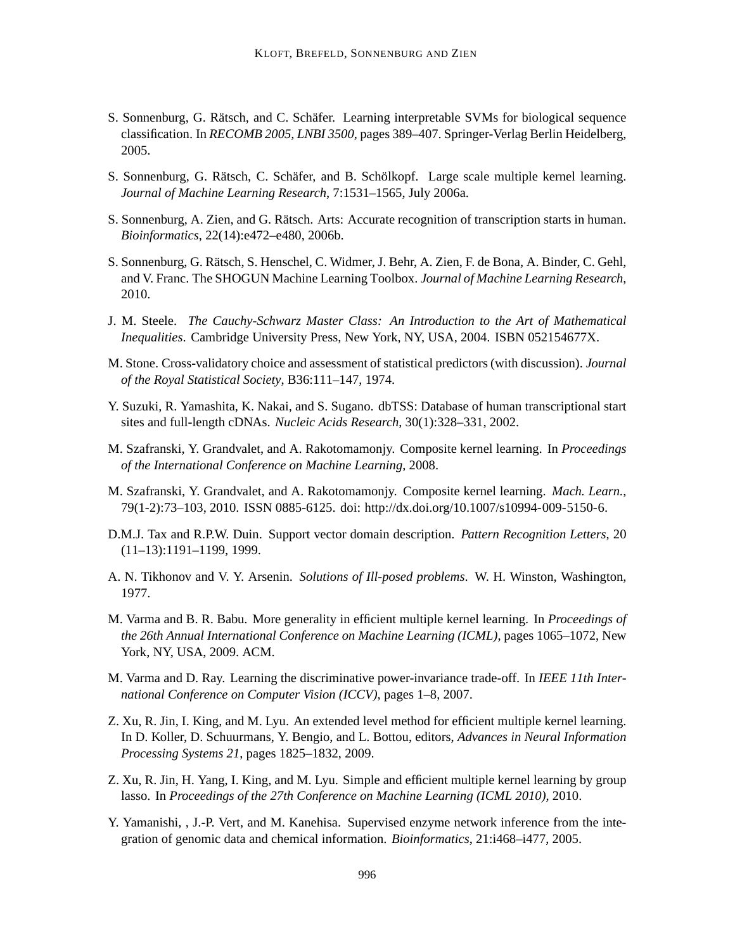- S. Sonnenburg, G. Rätsch, and C. Schäfer. Learning interpretable SVMs for biological sequence classification. In *RECOMB 2005, LNBI 3500*, pages 389–407. Springer-Verlag Berlin Heidelberg, 2005.
- S. Sonnenburg, G. Rätsch, C. Schäfer, and B. Schölkopf. Large scale multiple kernel learning. *Journal of Machine Learning Research*, 7:1531–1565, July 2006a.
- S. Sonnenburg, A. Zien, and G. Rätsch. Arts: Accurate recognition of transcription starts in human. *Bioinformatics*, 22(14):e472–e480, 2006b.
- S. Sonnenburg, G. Rätsch, S. Henschel, C. Widmer, J. Behr, A. Zien, F. de Bona, A. Binder, C. Gehl, and V. Franc. The SHOGUN Machine Learning Toolbox. *Journal of Machine Learning Research*, 2010.
- J. M. Steele. *The Cauchy-Schwarz Master Class: An Introduction to the Art of Mathematical Inequalities*. Cambridge University Press, New York, NY, USA, 2004. ISBN 052154677X.
- M. Stone. Cross-validatory choice and assessment of statistical predictors (with discussion). *Journal of the Royal Statistical Society*, B36:111–147, 1974.
- Y. Suzuki, R. Yamashita, K. Nakai, and S. Sugano. dbTSS: Database of human transcriptional start sites and full-length cDNAs. *Nucleic Acids Research*, 30(1):328–331, 2002.
- M. Szafranski, Y. Grandvalet, and A. Rakotomamonjy. Composite kernel learning. In *Proceedings of the International Conference on Machine Learning*, 2008.
- M. Szafranski, Y. Grandvalet, and A. Rakotomamonjy. Composite kernel learning. *Mach. Learn.*, 79(1-2):73–103, 2010. ISSN 0885-6125. doi: http://dx.doi.org/10.1007/s10994-009-5150-6.
- D.M.J. Tax and R.P.W. Duin. Support vector domain description. *Pattern Recognition Letters*, 20 (11–13):1191–1199, 1999.
- A. N. Tikhonov and V. Y. Arsenin. *Solutions of Ill-posed problems*. W. H. Winston, Washington, 1977.
- M. Varma and B. R. Babu. More generality in efficient multiple kernel learning. In *Proceedings of the 26th Annual International Conference on Machine Learning (ICML)*, pages 1065–1072, New York, NY, USA, 2009. ACM.
- M. Varma and D. Ray. Learning the discriminative power-invariance trade-off. In *IEEE 11th International Conference on Computer Vision (ICCV)*, pages 1–8, 2007.
- Z. Xu, R. Jin, I. King, and M. Lyu. An extended level method for efficient multiple kernel learning. In D. Koller, D. Schuurmans, Y. Bengio, and L. Bottou, editors, *Advances in Neural Information Processing Systems 21*, pages 1825–1832, 2009.
- Z. Xu, R. Jin, H. Yang, I. King, and M. Lyu. Simple and efficient multiple kernel learning by group lasso. In *Proceedings of the 27th Conference on Machine Learning (ICML 2010)*, 2010.
- Y. Yamanishi, , J.-P. Vert, and M. Kanehisa. Supervised enzyme network inference from the integration of genomic data and chemical information. *Bioinformatics*, 21:i468–i477, 2005.